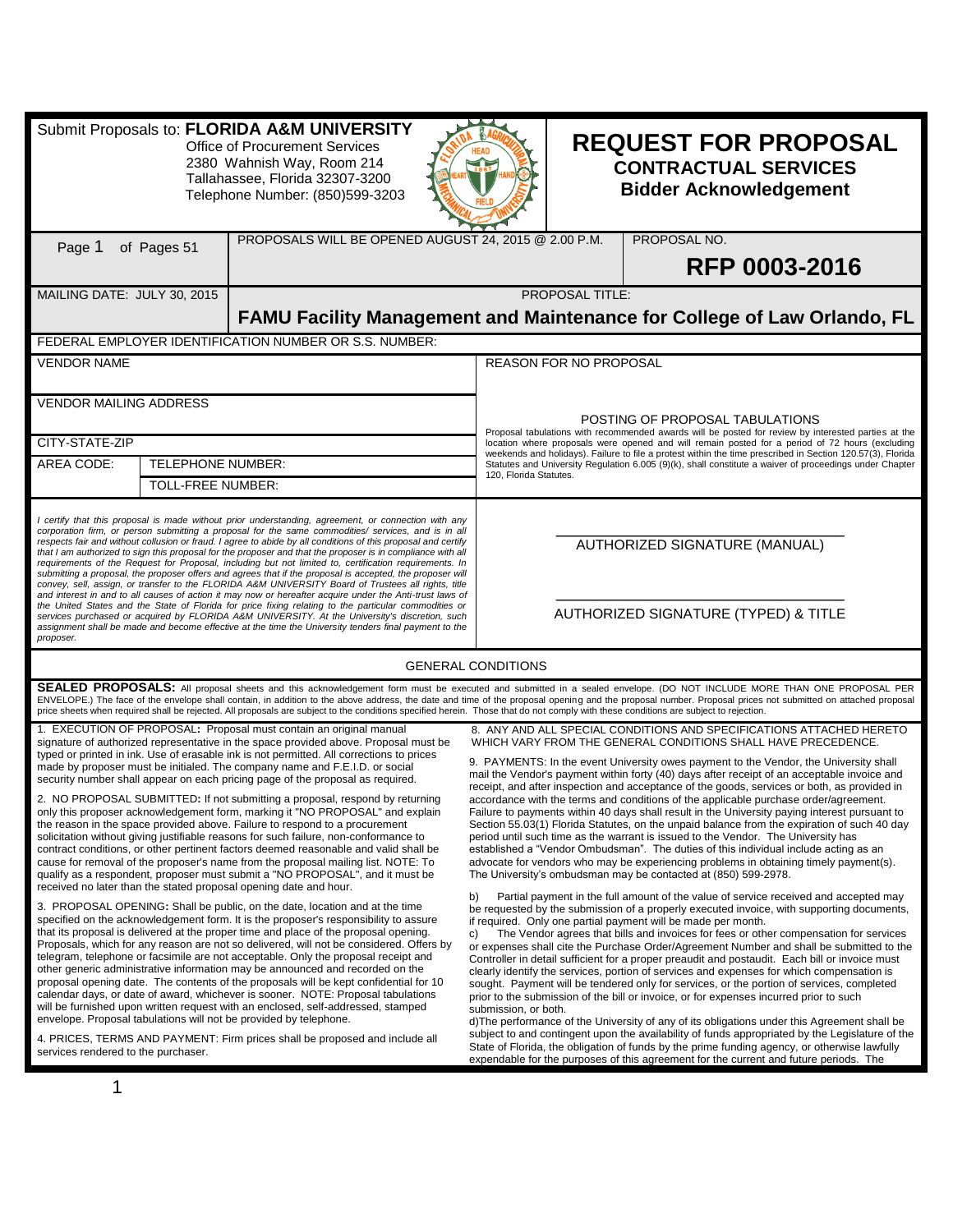| Submit Proposals to: FLORIDA A&M UNIVERSITY<br><b>Office of Procurement Services</b><br>2380 Wahnish Way, Room 214<br>Tallahassee, Florida 32307-3200<br>Telephone Number: (850)599-3203                                                                                                                                                                                                                                                                                                                                                                                                                                                                                                                                                                                                                                                                                                                                                                                                                                                                                                                                                                                                                            |                                                                                                                                                                                                                                                                                                                                                                                                                                                                                                                                                                           |                                                                                                                                                                                                                                                                                                                                                                                                                                                                                                                                                                                                                                                                                                                                                                                                                                                                                                                                                                                                                                                                                                                                                                                                                                                                                                                                                                                                                                                                                                                                                                                                                                                                                                                                                                                                                                                                                                                                                                                                                                                       |                                  |                                                                       | <b>REQUEST FOR PROPOSAL</b><br><b>CONTRACTUAL SERVICES</b><br><b>Bidder Acknowledgement</b>                                                                                                                                                                                                                                                                                                                                                                                                                                                                                                                                                                                                                                                                                                                                                                                                                                                                                                                                                                                                                                                                                                                                                                                                                                                                                                                                                                                                                                                                                                                                                                                                                                                                                                                                                                                                                                                                                                                                                                                                                                                                                                                                                                                               |
|---------------------------------------------------------------------------------------------------------------------------------------------------------------------------------------------------------------------------------------------------------------------------------------------------------------------------------------------------------------------------------------------------------------------------------------------------------------------------------------------------------------------------------------------------------------------------------------------------------------------------------------------------------------------------------------------------------------------------------------------------------------------------------------------------------------------------------------------------------------------------------------------------------------------------------------------------------------------------------------------------------------------------------------------------------------------------------------------------------------------------------------------------------------------------------------------------------------------|---------------------------------------------------------------------------------------------------------------------------------------------------------------------------------------------------------------------------------------------------------------------------------------------------------------------------------------------------------------------------------------------------------------------------------------------------------------------------------------------------------------------------------------------------------------------------|-------------------------------------------------------------------------------------------------------------------------------------------------------------------------------------------------------------------------------------------------------------------------------------------------------------------------------------------------------------------------------------------------------------------------------------------------------------------------------------------------------------------------------------------------------------------------------------------------------------------------------------------------------------------------------------------------------------------------------------------------------------------------------------------------------------------------------------------------------------------------------------------------------------------------------------------------------------------------------------------------------------------------------------------------------------------------------------------------------------------------------------------------------------------------------------------------------------------------------------------------------------------------------------------------------------------------------------------------------------------------------------------------------------------------------------------------------------------------------------------------------------------------------------------------------------------------------------------------------------------------------------------------------------------------------------------------------------------------------------------------------------------------------------------------------------------------------------------------------------------------------------------------------------------------------------------------------------------------------------------------------------------------------------------------------|----------------------------------|-----------------------------------------------------------------------|-------------------------------------------------------------------------------------------------------------------------------------------------------------------------------------------------------------------------------------------------------------------------------------------------------------------------------------------------------------------------------------------------------------------------------------------------------------------------------------------------------------------------------------------------------------------------------------------------------------------------------------------------------------------------------------------------------------------------------------------------------------------------------------------------------------------------------------------------------------------------------------------------------------------------------------------------------------------------------------------------------------------------------------------------------------------------------------------------------------------------------------------------------------------------------------------------------------------------------------------------------------------------------------------------------------------------------------------------------------------------------------------------------------------------------------------------------------------------------------------------------------------------------------------------------------------------------------------------------------------------------------------------------------------------------------------------------------------------------------------------------------------------------------------------------------------------------------------------------------------------------------------------------------------------------------------------------------------------------------------------------------------------------------------------------------------------------------------------------------------------------------------------------------------------------------------------------------------------------------------------------------------------------------------|
| Page 1                                                                                                                                                                                                                                                                                                                                                                                                                                                                                                                                                                                                                                                                                                                                                                                                                                                                                                                                                                                                                                                                                                                                                                                                              | of Pages 51                                                                                                                                                                                                                                                                                                                                                                                                                                                                                                                                                               | PROPOSALS WILL BE OPENED AUGUST 24, 2015 @ 2.00 P.M.                                                                                                                                                                                                                                                                                                                                                                                                                                                                                                                                                                                                                                                                                                                                                                                                                                                                                                                                                                                                                                                                                                                                                                                                                                                                                                                                                                                                                                                                                                                                                                                                                                                                                                                                                                                                                                                                                                                                                                                                  |                                  |                                                                       | PROPOSAL NO.<br>RFP 0003-2016                                                                                                                                                                                                                                                                                                                                                                                                                                                                                                                                                                                                                                                                                                                                                                                                                                                                                                                                                                                                                                                                                                                                                                                                                                                                                                                                                                                                                                                                                                                                                                                                                                                                                                                                                                                                                                                                                                                                                                                                                                                                                                                                                                                                                                                             |
| MAILING DATE: JULY 30, 2015                                                                                                                                                                                                                                                                                                                                                                                                                                                                                                                                                                                                                                                                                                                                                                                                                                                                                                                                                                                                                                                                                                                                                                                         |                                                                                                                                                                                                                                                                                                                                                                                                                                                                                                                                                                           |                                                                                                                                                                                                                                                                                                                                                                                                                                                                                                                                                                                                                                                                                                                                                                                                                                                                                                                                                                                                                                                                                                                                                                                                                                                                                                                                                                                                                                                                                                                                                                                                                                                                                                                                                                                                                                                                                                                                                                                                                                                       |                                  | PROPOSAL TITLE:                                                       | FAMU Facility Management and Maintenance for College of Law Orlando, FL                                                                                                                                                                                                                                                                                                                                                                                                                                                                                                                                                                                                                                                                                                                                                                                                                                                                                                                                                                                                                                                                                                                                                                                                                                                                                                                                                                                                                                                                                                                                                                                                                                                                                                                                                                                                                                                                                                                                                                                                                                                                                                                                                                                                                   |
|                                                                                                                                                                                                                                                                                                                                                                                                                                                                                                                                                                                                                                                                                                                                                                                                                                                                                                                                                                                                                                                                                                                                                                                                                     |                                                                                                                                                                                                                                                                                                                                                                                                                                                                                                                                                                           | FEDERAL EMPLOYER IDENTIFICATION NUMBER OR S.S. NUMBER:                                                                                                                                                                                                                                                                                                                                                                                                                                                                                                                                                                                                                                                                                                                                                                                                                                                                                                                                                                                                                                                                                                                                                                                                                                                                                                                                                                                                                                                                                                                                                                                                                                                                                                                                                                                                                                                                                                                                                                                                |                                  |                                                                       |                                                                                                                                                                                                                                                                                                                                                                                                                                                                                                                                                                                                                                                                                                                                                                                                                                                                                                                                                                                                                                                                                                                                                                                                                                                                                                                                                                                                                                                                                                                                                                                                                                                                                                                                                                                                                                                                                                                                                                                                                                                                                                                                                                                                                                                                                           |
| <b>VENDOR NAME</b>                                                                                                                                                                                                                                                                                                                                                                                                                                                                                                                                                                                                                                                                                                                                                                                                                                                                                                                                                                                                                                                                                                                                                                                                  |                                                                                                                                                                                                                                                                                                                                                                                                                                                                                                                                                                           |                                                                                                                                                                                                                                                                                                                                                                                                                                                                                                                                                                                                                                                                                                                                                                                                                                                                                                                                                                                                                                                                                                                                                                                                                                                                                                                                                                                                                                                                                                                                                                                                                                                                                                                                                                                                                                                                                                                                                                                                                                                       |                                  | <b>REASON FOR NO PROPOSAL</b>                                         |                                                                                                                                                                                                                                                                                                                                                                                                                                                                                                                                                                                                                                                                                                                                                                                                                                                                                                                                                                                                                                                                                                                                                                                                                                                                                                                                                                                                                                                                                                                                                                                                                                                                                                                                                                                                                                                                                                                                                                                                                                                                                                                                                                                                                                                                                           |
| <b>VENDOR MAILING ADDRESS</b>                                                                                                                                                                                                                                                                                                                                                                                                                                                                                                                                                                                                                                                                                                                                                                                                                                                                                                                                                                                                                                                                                                                                                                                       |                                                                                                                                                                                                                                                                                                                                                                                                                                                                                                                                                                           |                                                                                                                                                                                                                                                                                                                                                                                                                                                                                                                                                                                                                                                                                                                                                                                                                                                                                                                                                                                                                                                                                                                                                                                                                                                                                                                                                                                                                                                                                                                                                                                                                                                                                                                                                                                                                                                                                                                                                                                                                                                       |                                  |                                                                       | POSTING OF PROPOSAL TABULATIONS                                                                                                                                                                                                                                                                                                                                                                                                                                                                                                                                                                                                                                                                                                                                                                                                                                                                                                                                                                                                                                                                                                                                                                                                                                                                                                                                                                                                                                                                                                                                                                                                                                                                                                                                                                                                                                                                                                                                                                                                                                                                                                                                                                                                                                                           |
| CITY-STATE-ZIP                                                                                                                                                                                                                                                                                                                                                                                                                                                                                                                                                                                                                                                                                                                                                                                                                                                                                                                                                                                                                                                                                                                                                                                                      |                                                                                                                                                                                                                                                                                                                                                                                                                                                                                                                                                                           |                                                                                                                                                                                                                                                                                                                                                                                                                                                                                                                                                                                                                                                                                                                                                                                                                                                                                                                                                                                                                                                                                                                                                                                                                                                                                                                                                                                                                                                                                                                                                                                                                                                                                                                                                                                                                                                                                                                                                                                                                                                       |                                  |                                                                       | Proposal tabulations with recommended awards will be posted for review by interested parties at the<br>location where proposals were opened and will remain posted for a period of 72 hours (excluding                                                                                                                                                                                                                                                                                                                                                                                                                                                                                                                                                                                                                                                                                                                                                                                                                                                                                                                                                                                                                                                                                                                                                                                                                                                                                                                                                                                                                                                                                                                                                                                                                                                                                                                                                                                                                                                                                                                                                                                                                                                                                    |
| AREA CODE:                                                                                                                                                                                                                                                                                                                                                                                                                                                                                                                                                                                                                                                                                                                                                                                                                                                                                                                                                                                                                                                                                                                                                                                                          | <b>TELEPHONE NUMBER:</b>                                                                                                                                                                                                                                                                                                                                                                                                                                                                                                                                                  |                                                                                                                                                                                                                                                                                                                                                                                                                                                                                                                                                                                                                                                                                                                                                                                                                                                                                                                                                                                                                                                                                                                                                                                                                                                                                                                                                                                                                                                                                                                                                                                                                                                                                                                                                                                                                                                                                                                                                                                                                                                       |                                  |                                                                       | weekends and holidays). Failure to file a protest within the time prescribed in Section 120.57(3), Florida<br>Statutes and University Regulation 6.005 (9)(k), shall constitute a waiver of proceedings under Chapter                                                                                                                                                                                                                                                                                                                                                                                                                                                                                                                                                                                                                                                                                                                                                                                                                                                                                                                                                                                                                                                                                                                                                                                                                                                                                                                                                                                                                                                                                                                                                                                                                                                                                                                                                                                                                                                                                                                                                                                                                                                                     |
|                                                                                                                                                                                                                                                                                                                                                                                                                                                                                                                                                                                                                                                                                                                                                                                                                                                                                                                                                                                                                                                                                                                                                                                                                     | TOLL-FREE NUMBER:                                                                                                                                                                                                                                                                                                                                                                                                                                                                                                                                                         |                                                                                                                                                                                                                                                                                                                                                                                                                                                                                                                                                                                                                                                                                                                                                                                                                                                                                                                                                                                                                                                                                                                                                                                                                                                                                                                                                                                                                                                                                                                                                                                                                                                                                                                                                                                                                                                                                                                                                                                                                                                       | 120, Florida Statutes.           |                                                                       |                                                                                                                                                                                                                                                                                                                                                                                                                                                                                                                                                                                                                                                                                                                                                                                                                                                                                                                                                                                                                                                                                                                                                                                                                                                                                                                                                                                                                                                                                                                                                                                                                                                                                                                                                                                                                                                                                                                                                                                                                                                                                                                                                                                                                                                                                           |
| certify that this proposal is made without prior understanding, agreement, or connection with any<br>corporation firm, or person submitting a proposal for the same commodities/ services, and is in all<br>respects fair and without collusion or fraud. I agree to abide by all conditions of this proposal and certify<br>that I am authorized to sign this proposal for the proposer and that the proposer is in compliance with all<br>requirements of the Request for Proposal, including but not limited to, certification requirements. In<br>submitting a proposal, the proposer offers and agrees that if the proposal is accepted, the proposer will<br>convey, sell, assign, or transfer to the FLORIDA A&M UNIVERSITY Board of Trustees all rights, title<br>and interest in and to all causes of action it may now or hereafter acquire under the Anti-trust laws of<br>the United States and the State of Florida for price fixing relating to the particular commodities or<br>services purchased or acquired by FLORIDA A&M UNIVERSITY. At the University's discretion, such<br>assignment shall be made and become effective at the time the University tenders final payment to the<br>proposer. |                                                                                                                                                                                                                                                                                                                                                                                                                                                                                                                                                                           |                                                                                                                                                                                                                                                                                                                                                                                                                                                                                                                                                                                                                                                                                                                                                                                                                                                                                                                                                                                                                                                                                                                                                                                                                                                                                                                                                                                                                                                                                                                                                                                                                                                                                                                                                                                                                                                                                                                                                                                                                                                       |                                  | AUTHORIZED SIGNATURE (MANUAL)<br>AUTHORIZED SIGNATURE (TYPED) & TITLE |                                                                                                                                                                                                                                                                                                                                                                                                                                                                                                                                                                                                                                                                                                                                                                                                                                                                                                                                                                                                                                                                                                                                                                                                                                                                                                                                                                                                                                                                                                                                                                                                                                                                                                                                                                                                                                                                                                                                                                                                                                                                                                                                                                                                                                                                                           |
|                                                                                                                                                                                                                                                                                                                                                                                                                                                                                                                                                                                                                                                                                                                                                                                                                                                                                                                                                                                                                                                                                                                                                                                                                     |                                                                                                                                                                                                                                                                                                                                                                                                                                                                                                                                                                           |                                                                                                                                                                                                                                                                                                                                                                                                                                                                                                                                                                                                                                                                                                                                                                                                                                                                                                                                                                                                                                                                                                                                                                                                                                                                                                                                                                                                                                                                                                                                                                                                                                                                                                                                                                                                                                                                                                                                                                                                                                                       | <b>GENERAL CONDITIONS</b>        |                                                                       |                                                                                                                                                                                                                                                                                                                                                                                                                                                                                                                                                                                                                                                                                                                                                                                                                                                                                                                                                                                                                                                                                                                                                                                                                                                                                                                                                                                                                                                                                                                                                                                                                                                                                                                                                                                                                                                                                                                                                                                                                                                                                                                                                                                                                                                                                           |
|                                                                                                                                                                                                                                                                                                                                                                                                                                                                                                                                                                                                                                                                                                                                                                                                                                                                                                                                                                                                                                                                                                                                                                                                                     | SEALED PROPOSALS: All proposal sheets and this acknowledgement form must be executed and submitted in a sealed envelope. (DO NOT INCLUDE MORE THAN ONE PROPOSAL PER<br>ENVELOPE.) The face of the envelope shall contain, in addition to the above address, the date and time of the proposal opening and the proposal number. Proposal prices not submitted on attached proposal<br>price sheets when required shall be rejected. All proposals are subject to the conditions specified herein. Those that do not comply with these conditions are subject to rejection. |                                                                                                                                                                                                                                                                                                                                                                                                                                                                                                                                                                                                                                                                                                                                                                                                                                                                                                                                                                                                                                                                                                                                                                                                                                                                                                                                                                                                                                                                                                                                                                                                                                                                                                                                                                                                                                                                                                                                                                                                                                                       |                                  |                                                                       |                                                                                                                                                                                                                                                                                                                                                                                                                                                                                                                                                                                                                                                                                                                                                                                                                                                                                                                                                                                                                                                                                                                                                                                                                                                                                                                                                                                                                                                                                                                                                                                                                                                                                                                                                                                                                                                                                                                                                                                                                                                                                                                                                                                                                                                                                           |
| services rendered to the purchaser.                                                                                                                                                                                                                                                                                                                                                                                                                                                                                                                                                                                                                                                                                                                                                                                                                                                                                                                                                                                                                                                                                                                                                                                 |                                                                                                                                                                                                                                                                                                                                                                                                                                                                                                                                                                           | 1. EXECUTION OF PROPOSAL: Proposal must contain an original manual<br>signature of authorized representative in the space provided above. Proposal must be<br>typed or printed in ink. Use of erasable ink is not permitted. All corrections to prices<br>made by proposer must be initialed. The company name and F.E.I.D. or social<br>security number shall appear on each pricing page of the proposal as required.<br>NO PROPOSAL SUBMITTED: If not submitting a proposal, respond by returning<br>only this proposer acknowledgement form, marking it "NO PROPOSAL" and explain<br>the reason in the space provided above. Failure to respond to a procurement<br>solicitation without giving justifiable reasons for such failure, non-conformance to<br>contract conditions, or other pertinent factors deemed reasonable and valid shall be<br>cause for removal of the proposer's name from the proposal mailing list. NOTE: To<br>qualify as a respondent, proposer must submit a "NO PROPOSAL", and it must be<br>received no later than the stated proposal opening date and hour.<br>3. PROPOSAL OPENING: Shall be public, on the date, location and at the time<br>specified on the acknowledgement form. It is the proposer's responsibility to assure<br>that its proposal is delivered at the proper time and place of the proposal opening.<br>Proposals, which for any reason are not so delivered, will not be considered. Offers by<br>telegram, telephone or facsimile are not acceptable. Only the proposal receipt and<br>other generic administrative information may be announced and recorded on the<br>proposal opening date. The contents of the proposals will be kept confidential for 10<br>calendar days, or date of award, whichever is sooner. NOTE: Proposal tabulations<br>will be furnished upon written request with an enclosed, self-addressed, stamped<br>envelope. Proposal tabulations will not be provided by telephone.<br>4. PRICES, TERMS AND PAYMENT: Firm prices shall be proposed and include all | b)<br>C)<br>submission, or both. |                                                                       | 8. ANY AND ALL SPECIAL CONDITIONS AND SPECIFICATIONS ATTACHED HERETO<br>WHICH VARY FROM THE GENERAL CONDITIONS SHALL HAVE PRECEDENCE.<br>9. PAYMENTS: In the event University owes payment to the Vendor, the University shall<br>mail the Vendor's payment within forty (40) days after receipt of an acceptable invoice and<br>receipt, and after inspection and acceptance of the goods, services or both, as provided in<br>accordance with the terms and conditions of the applicable purchase order/agreement.<br>Failure to payments within 40 days shall result in the University paying interest pursuant to<br>Section 55.03(1) Florida Statutes, on the unpaid balance from the expiration of such 40 day<br>period until such time as the warrant is issued to the Vendor. The University has<br>established a "Vendor Ombudsman". The duties of this individual include acting as an<br>advocate for vendors who may be experiencing problems in obtaining timely payment(s).<br>The University's ombudsman may be contacted at (850) 599-2978.<br>Partial payment in the full amount of the value of service received and accepted may<br>be requested by the submission of a properly executed invoice, with supporting documents,<br>if required. Only one partial payment will be made per month.<br>The Vendor agrees that bills and invoices for fees or other compensation for services<br>or expenses shall cite the Purchase Order/Agreement Number and shall be submitted to the<br>Controller in detail sufficient for a proper preaudit and postaudit. Each bill or invoice must<br>clearly identify the services, portion of services and expenses for which compensation is<br>sought. Payment will be tendered only for services, or the portion of services, completed<br>prior to the submission of the bill or invoice, or for expenses incurred prior to such<br>d) The performance of the University of any of its obligations under this Agreement shall be<br>subject to and contingent upon the availability of funds appropriated by the Legislature of the<br>State of Florida, the obligation of funds by the prime funding agency, or otherwise lawfully<br>expendable for the purposes of this agreement for the current and future periods. The |
| 1                                                                                                                                                                                                                                                                                                                                                                                                                                                                                                                                                                                                                                                                                                                                                                                                                                                                                                                                                                                                                                                                                                                                                                                                                   |                                                                                                                                                                                                                                                                                                                                                                                                                                                                                                                                                                           |                                                                                                                                                                                                                                                                                                                                                                                                                                                                                                                                                                                                                                                                                                                                                                                                                                                                                                                                                                                                                                                                                                                                                                                                                                                                                                                                                                                                                                                                                                                                                                                                                                                                                                                                                                                                                                                                                                                                                                                                                                                       |                                  |                                                                       |                                                                                                                                                                                                                                                                                                                                                                                                                                                                                                                                                                                                                                                                                                                                                                                                                                                                                                                                                                                                                                                                                                                                                                                                                                                                                                                                                                                                                                                                                                                                                                                                                                                                                                                                                                                                                                                                                                                                                                                                                                                                                                                                                                                                                                                                                           |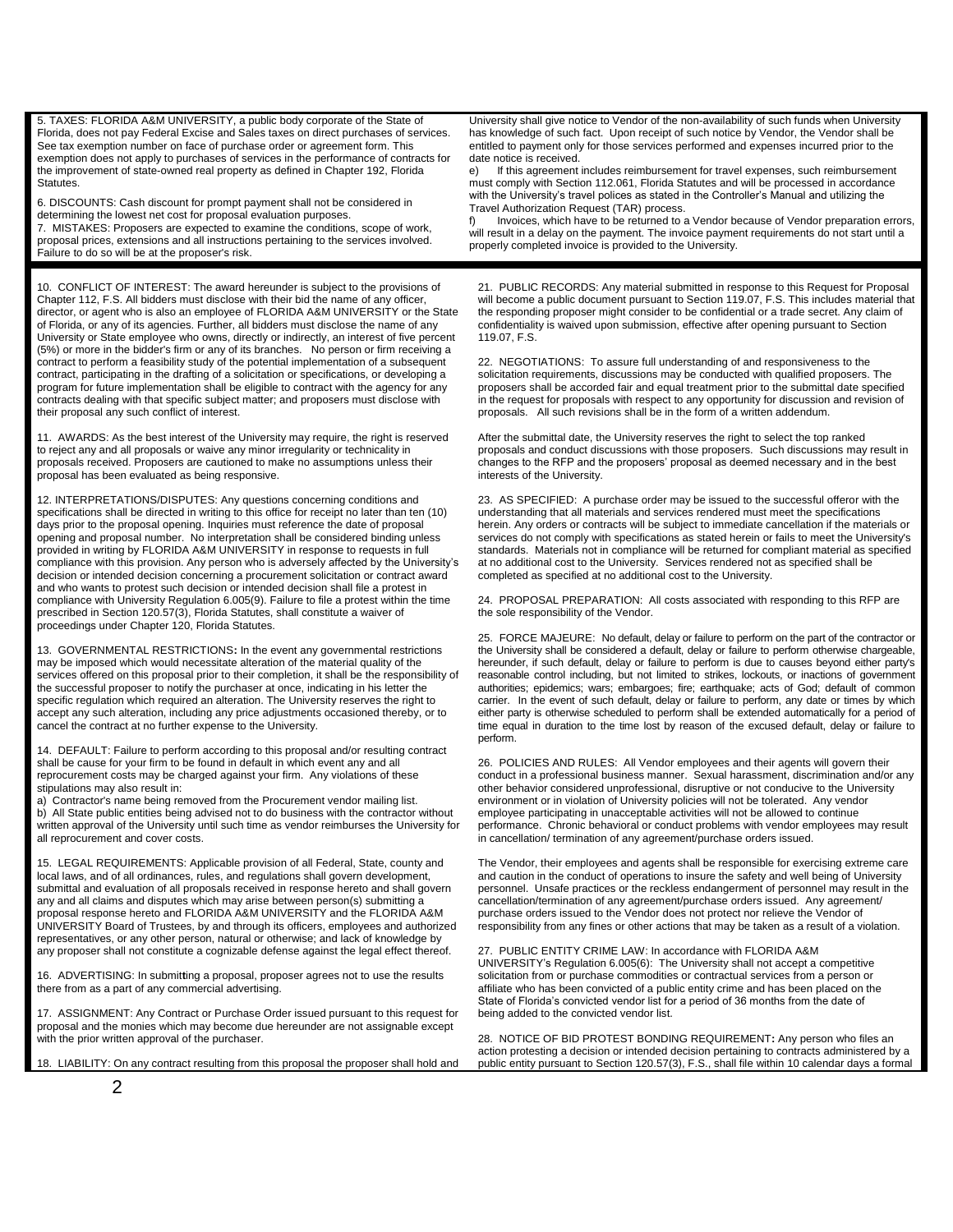5. TAXES: FLORIDA A&M UNIVERSITY, a public body corporate of the State of Florida, does not pay Federal Excise and Sales taxes on direct purchases of services. See tax exemption number on face of purchase order or agreement form. This exemption does not apply to purchases of services in the performance of contracts for the improvement of state-owned real property as defined in Chapter 192, Florida Statutes.

6. DISCOUNTS: Cash discount for prompt payment shall not be considered in determining the lowest net cost for proposal evaluation purposes. 7. MISTAKES: Proposers are expected to examine the conditions, scope of work, proposal prices, extensions and all instructions pertaining to the services involved. Failure to do so will be at the proposer's risk.

10. CONFLICT OF INTEREST: The award hereunder is subject to the provisions of Chapter 112, F.S. All bidders must disclose with their bid the name of any officer, director, or agent who is also an employee of FLORIDA A&M UNIVERSITY or the State of Florida, or any of its agencies. Further, all bidders must disclose the name of any University or State employee who owns, directly or indirectly, an interest of five percent (5%) or more in the bidder's firm or any of its branches. No person or firm receiving a contract to perform a feasibility study of the potential implementation of a subsequent contract, participating in the drafting of a solicitation or specifications, or developing a program for future implementation shall be eligible to contract with the agency for any contracts dealing with that specific subject matter; and proposers must disclose with their proposal any such conflict of interest.

11. AWARDS: As the best interest of the University may require, the right is reserved to reject any and all proposals or waive any minor irregularity or technicality in proposals received. Proposers are cautioned to make no assumptions unless their proposal has been evaluated as being responsive.

12. INTERPRETATIONS/DISPUTES: Any questions concerning conditions and specifications shall be directed in writing to this office for receipt no later than ten (10) days prior to the proposal opening. Inquiries must reference the date of proposal opening and proposal number. No interpretation shall be considered binding unless provided in writing by FLORIDA A&M UNIVERSITY in response to requests in full compliance with this provision. Any person who is adversely affected by the University's decision or intended decision concerning a procurement solicitation or contract award and who wants to protest such decision or intended decision shall file a protest in compliance with University Regulation 6.005(9). Failure to file a protest within the time prescribed in Section 120.57(3), Florida Statutes, shall constitute a waiver of proceedings under Chapter 120, Florida Statutes.

13. GOVERNMENTAL RESTRICTIONS**:** In the event any governmental restrictions may be imposed which would necessitate alteration of the material quality of the services offered on this proposal prior to their completion, it shall be the responsibility of the successful proposer to notify the purchaser at once, indicating in his letter the specific regulation which required an alteration. The University reserves the right to accept any such alteration, including any price adjustments occasioned thereby, or to cancel the contract at no further expense to the University.

14. DEFAULT: Failure to perform according to this proposal and/or resulting contract shall be cause for your firm to be found in default in which event any and all reprocurement costs may be charged against your firm. Any violations of these stipulations may also result in:

a) Contractor's name being removed from the Procurement vendor mailing list. All State public entities being advised not to do business with the contractor without written approval of the University until such time as vendor reimburses the University for all reprocurement and cover costs.

15. LEGAL REQUIREMENTS: Applicable provision of all Federal, State, county and local laws, and of all ordinances, rules, and regulations shall govern development, submittal and evaluation of all proposals received in response hereto and shall govern any and all claims and disputes which may arise between person(s) submitting a proposal response hereto and FLORIDA A&M UNIVERSITY and the FLORIDA A&M UNIVERSITY Board of Trustees, by and through its officers, employees and authorized representatives, or any other person, natural or otherwise; and lack of knowledge by any proposer shall not constitute a cognizable defense against the legal effect thereof.

16. ADVERTISING: In submit**t**ing a proposal, proposer agrees not to use the results there from as a part of any commercial advertising.

17. ASSIGNMENT: Any Contract or Purchase Order issued pursuant to this request for proposal and the monies which may become due hereunder are not assignable except with the prior written approval of the purchaser.

18. LIABILITY: On any contract resulting from this proposal the proposer shall hold and

University shall give notice to Vendor of the non-availability of such funds when University has knowledge of such fact. Upon receipt of such notice by Vendor, the Vendor shall be entitled to payment only for those services performed and expenses incurred prior to the date notice is received.

e) If this agreement includes reimbursement for travel expenses, such reimbursement must comply with Section 112.061, Florida Statutes and will be processed in accordance with the University's travel polices as stated in the Controller's Manual and utilizing the Travel Authorization Request (TAR) process.

Invoices, which have to be returned to a Vendor because of Vendor preparation errors, will result in a delay on the payment. The invoice payment requirements do not start until a properly completed invoice is provided to the University.

21. PUBLIC RECORDS: Any material submitted in response to this Request for Proposal will become a public document pursuant to Section 119.07, F.S. This includes material that the responding proposer might consider to be confidential or a trade secret. Any claim of confidentiality is waived upon submission, effective after opening pursuant to Section 119.07, F.S.

22. NEGOTIATIONS: To assure full understanding of and responsiveness to the solicitation requirements, discussions may be conducted with qualified proposers. The proposers shall be accorded fair and equal treatment prior to the submittal date specified in the request for proposals with respect to any opportunity for discussion and revision of proposals. All such revisions shall be in the form of a written addendum.

After the submittal date, the University reserves the right to select the top ranked proposals and conduct discussions with those proposers. Such discussions may result in changes to the RFP and the proposers' proposal as deemed necessary and in the best interests of the University.

23. AS SPECIFIED: A purchase order may be issued to the successful offeror with the understanding that all materials and services rendered must meet the specifications herein. Any orders or contracts will be subject to immediate cancellation if the materials or services do not comply with specifications as stated herein or fails to meet the University's standards. Materials not in compliance will be returned for compliant material as specified at no additional cost to the University. Services rendered not as specified shall be completed as specified at no additional cost to the University.

24. PROPOSAL PREPARATION: All costs associated with responding to this RFP are the sole responsibility of the Vendor.

25. FORCE MAJEURE: No default, delay or failure to perform on the part of the contractor or the University shall be considered a default, delay or failure to perform otherwise chargeable, hereunder, if such default, delay or failure to perform is due to causes beyond either party's reasonable control including, but not limited to strikes, lockouts, or inactions of government authorities; epidemics; wars; embargoes; fire; earthquake; acts of God; default of common carrier. In the event of such default, delay or failure to perform, any date or times by which either party is otherwise scheduled to perform shall be extended automatically for a period of time equal in duration to the time lost by reason of the excused default, delay or failure to perform.

26. POLICIES AND RULES: All Vendor employees and their agents will govern their conduct in a professional business manner. Sexual harassment, discrimination and/or any other behavior considered unprofessional, disruptive or not conducive to the University environment or in violation of University policies will not be tolerated. Any vendor employee participating in unacceptable activities will not be allowed to continue performance. Chronic behavioral or conduct problems with vendor employees may result .<br>in cancellation/ termination of any agreement/purchase orders issued.

The Vendor, their employees and agents shall be responsible for exercising extreme care and caution in the conduct of operations to insure the safety and well being of University personnel. Unsafe practices or the reckless endangerment of personnel may result in the cancellation/termination of any agreement/purchase orders issued. Any agreement/ purchase orders issued to the Vendor does not protect nor relieve the Vendor of responsibility from any fines or other actions that may be taken as a result of a violation.

27. PUBLIC ENTITY CRIME LAW: In accordance with FLORIDA A&M UNIVERSITY's Regulation 6.005(6): The University shall not accept a competitive solicitation from or purchase commodities or contractual services from a person or affiliate who has been convicted of a public entity crime and has been placed on the State of Florida's convicted vendor list for a period of 36 months from the date of being added to the convicted vendor list.

28. NOTICE OF BID PROTEST BONDING REQUIREMENT**:** Any person who files an action protesting a decision or intended decision pertaining to contracts administered by a public entity pursuant to Section 120.57(3), F.S., shall file within 10 calendar days a formal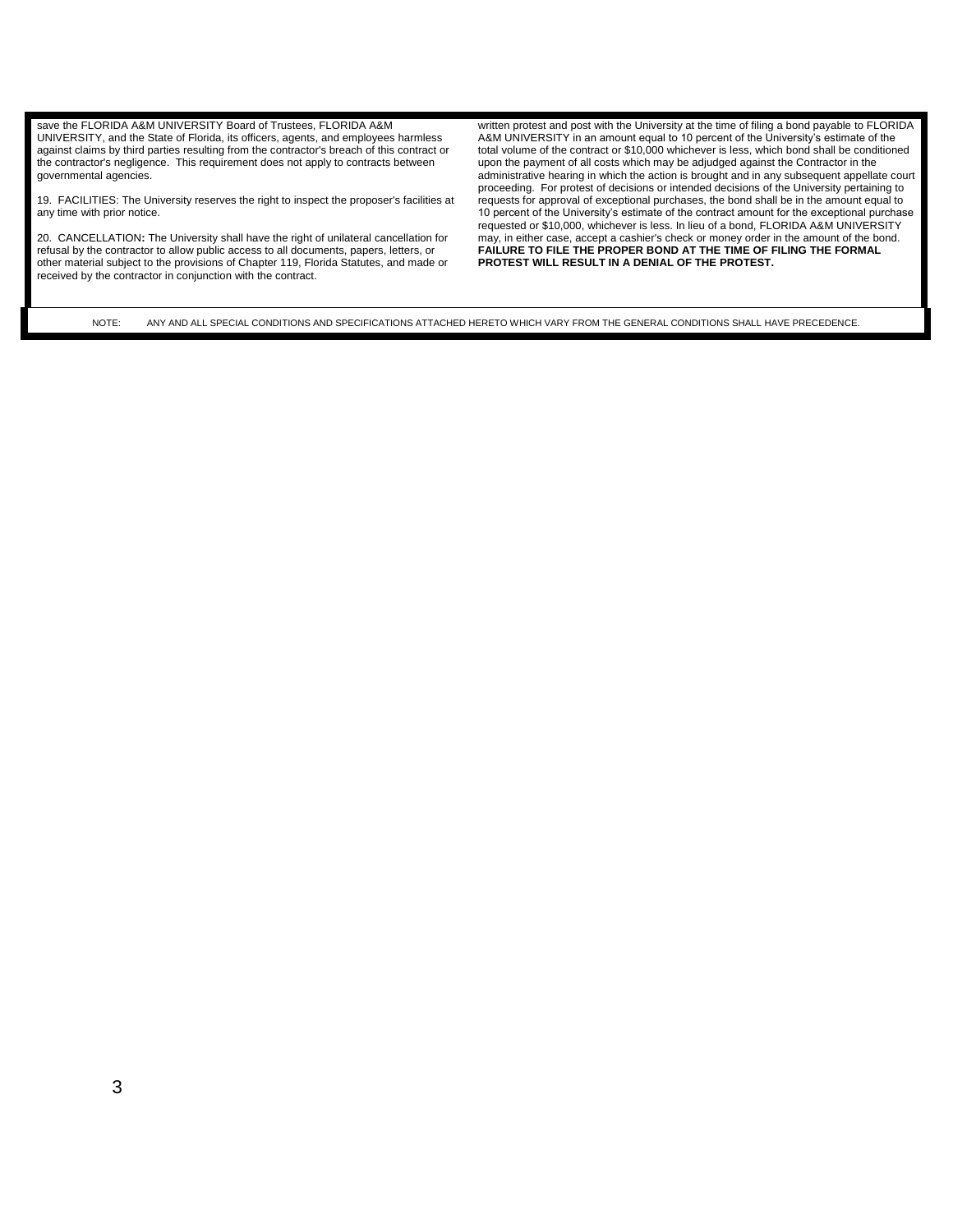save the FLORIDA A&M UNIVERSITY Board of Trustees, FLORIDA A&M UNIVERSITY, and the State of Florida, its officers, agents, and employees harmless against claims by third parties resulting from the contractor's breach of this contract or the contractor's negligence. This requirement does not apply to contracts between governmental agencies.

19. FACILITIES: The University reserves the right to inspect the proposer's facilities at any time with prior notice.

20. CANCELLATION**:** The University shall have the right of unilateral cancellation for refusal by the contractor to allow public access to all documents, papers, letters, or other material subject to the provisions of Chapter 119, Florida Statutes, and made or received by the contractor in conjunction with the contract.

written protest and post with the University at the time of filing a bond payable to FLORIDA A&M UNIVERSITY in an amount equal to 10 percent of the University's estimate of the total volume of the contract or \$10,000 whichever is less, which bond shall be conditioned upon the payment of all costs which may be adjudged against the Contractor in the administrative hearing in which the action is brought and in any subsequent appellate court proceeding. For protest of decisions or intended decisions of the University pertaining to requests for approval of exceptional purchases, the bond shall be in the amount equal to 10 percent of the University's estimate of the contract amount for the exceptional purchase requested or \$10,000, whichever is less. In lieu of a bond, FLORIDA A&M UNIVERSITY may, in either case, accept a cashier's check or money order in the amount of the bond. **FAILURE TO FILE THE PROPER BOND AT THE TIME OF FILING THE FORMAL PROTEST WILL RESULT IN A DENIAL OF THE PROTEST.**

NOTE: ANY AND ALL SPECIAL CONDITIONS AND SPECIFICATIONS ATTACHED HERETO WHICH VARY FROM THE GENERAL CONDITIONS SHALL HAVE PRECEDENCE.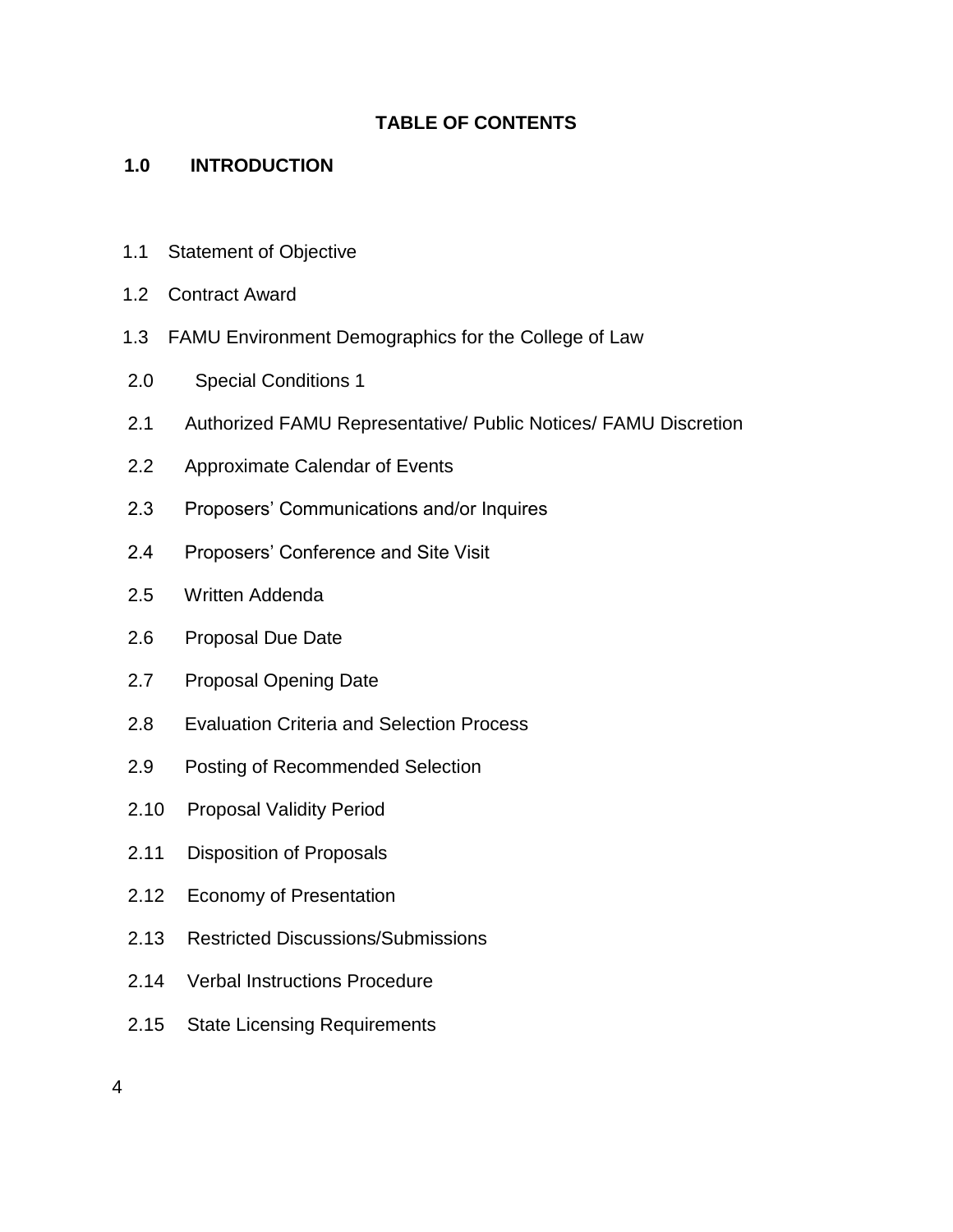## **TABLE OF CONTENTS**

## **1.0 INTRODUCTION**

- 1.1 Statement of Objective
- 1.2 Contract Award
- 1.3 FAMU Environment Demographics for the College of Law
- 2.0 Special Conditions 1
- 2.1 Authorized FAMU Representative/ Public Notices/ FAMU Discretion
- 2.2 Approximate Calendar of Events
- 2.3 Proposers' Communications and/or Inquires
- 2.4 Proposers' Conference and Site Visit
- 2.5 Written Addenda
- 2.6 Proposal Due Date
- 2.7 Proposal Opening Date
- 2.8 Evaluation Criteria and Selection Process
- 2.9 Posting of Recommended Selection
- 2.10 Proposal Validity Period
- 2.11 Disposition of Proposals
- 2.12 Economy of Presentation
- 2.13 Restricted Discussions/Submissions
- 2.14 Verbal Instructions Procedure
- 2.15 State Licensing Requirements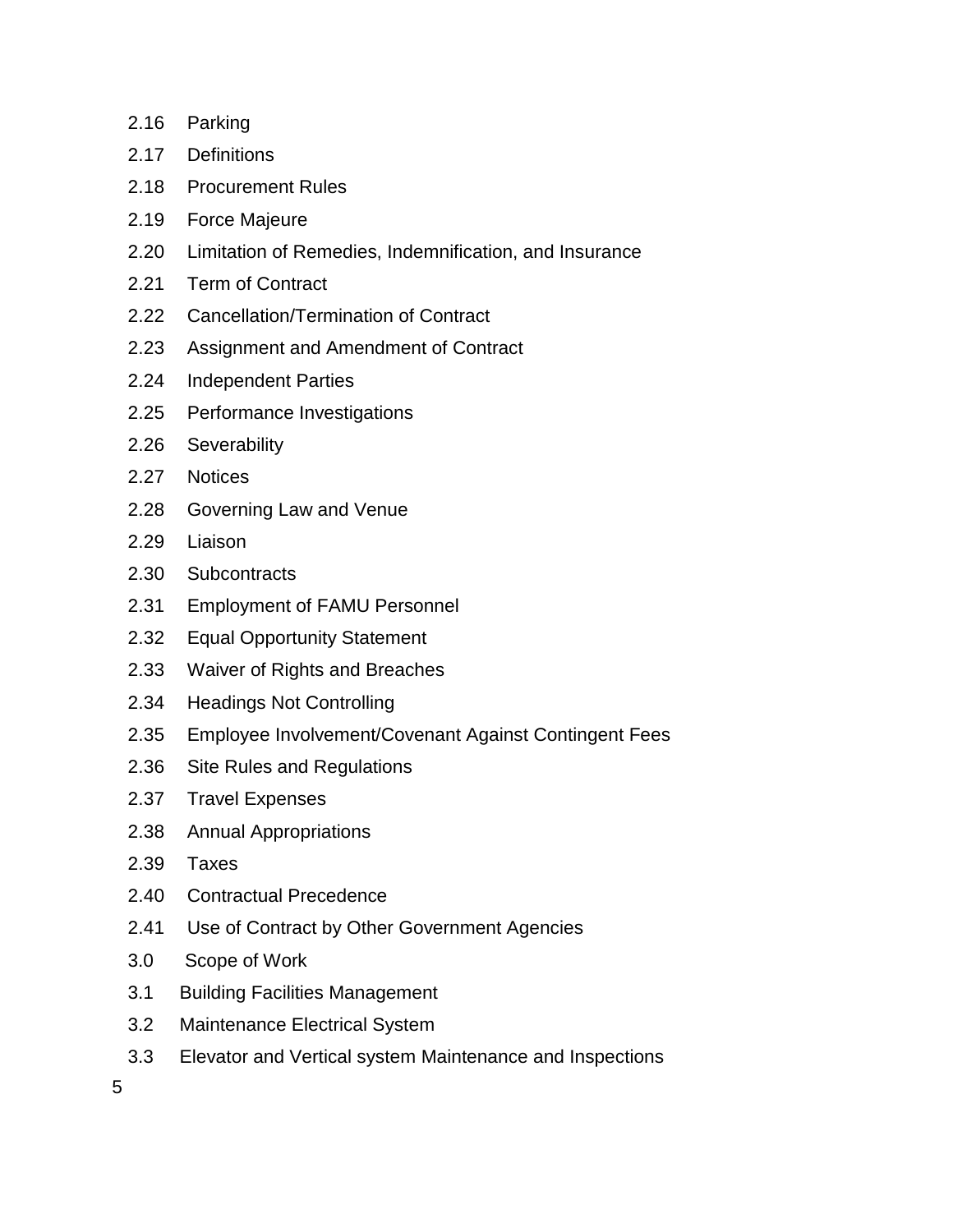- 2.16 Parking
- 2.17 Definitions
- 2.18 Procurement Rules
- 2.19 Force Majeure
- 2.20 Limitation of Remedies, Indemnification, and Insurance
- 2.21 Term of Contract
- 2.22 Cancellation/Termination of Contract
- 2.23 Assignment and Amendment of Contract
- 2.24 Independent Parties
- 2.25 Performance Investigations
- 2.26 Severability
- 2.27 Notices
- 2.28 Governing Law and Venue
- 2.29 Liaison
- 2.30 Subcontracts
- 2.31 Employment of FAMU Personnel
- 2.32 Equal Opportunity Statement
- 2.33 Waiver of Rights and Breaches
- 2.34 Headings Not Controlling
- 2.35 Employee Involvement/Covenant Against Contingent Fees
- 2.36 Site Rules and Regulations
- 2.37 Travel Expenses
- 2.38 Annual Appropriations
- 2.39 Taxes
- 2.40 Contractual Precedence
- 2.41 Use of Contract by Other Government Agencies
- 3.0 Scope of Work
- 3.1 Building Facilities Management
- 3.2 Maintenance Electrical System
- 3.3 Elevator and Vertical system Maintenance and Inspections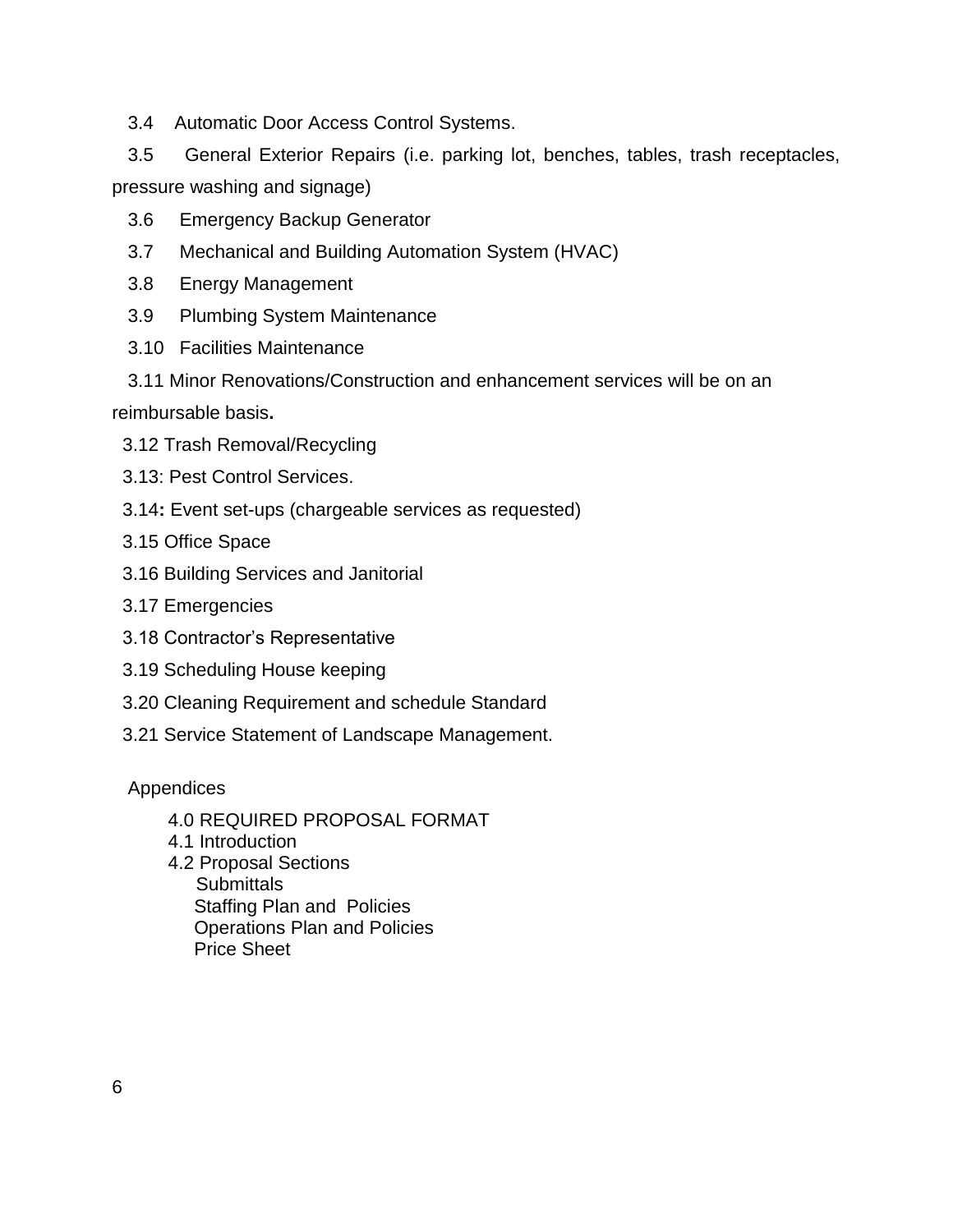3.4 Automatic Door Access Control Systems.

 3.5 General Exterior Repairs (i.e. parking lot, benches, tables, trash receptacles, pressure washing and signage)

- 3.6 Emergency Backup Generator
- 3.7 Mechanical and Building Automation System (HVAC)
- 3.8 Energy Management
- 3.9 Plumbing System Maintenance
- 3.10 Facilities Maintenance
- 3.11 Minor Renovations/Construction and enhancement services will be on an

reimbursable basis**.**

- 3.12 Trash Removal/Recycling
- 3.13: Pest Control Services.
- 3.14**:** Event set-ups (chargeable services as requested)
- 3.15 Office Space
- 3.16 Building Services and Janitorial
- 3.17 Emergencies
- 3.18 Contractor's Representative
- 3.19 Scheduling House keeping
- 3.20 Cleaning Requirement and schedule Standard
- 3.21 Service Statement of Landscape Management.

### Appendices

- 4.0 REQUIRED PROPOSAL FORMAT
- 4.1 Introduction
- 4.2 Proposal Sections **Submittals**  Staffing Plan and Policies Operations Plan and Policies Price Sheet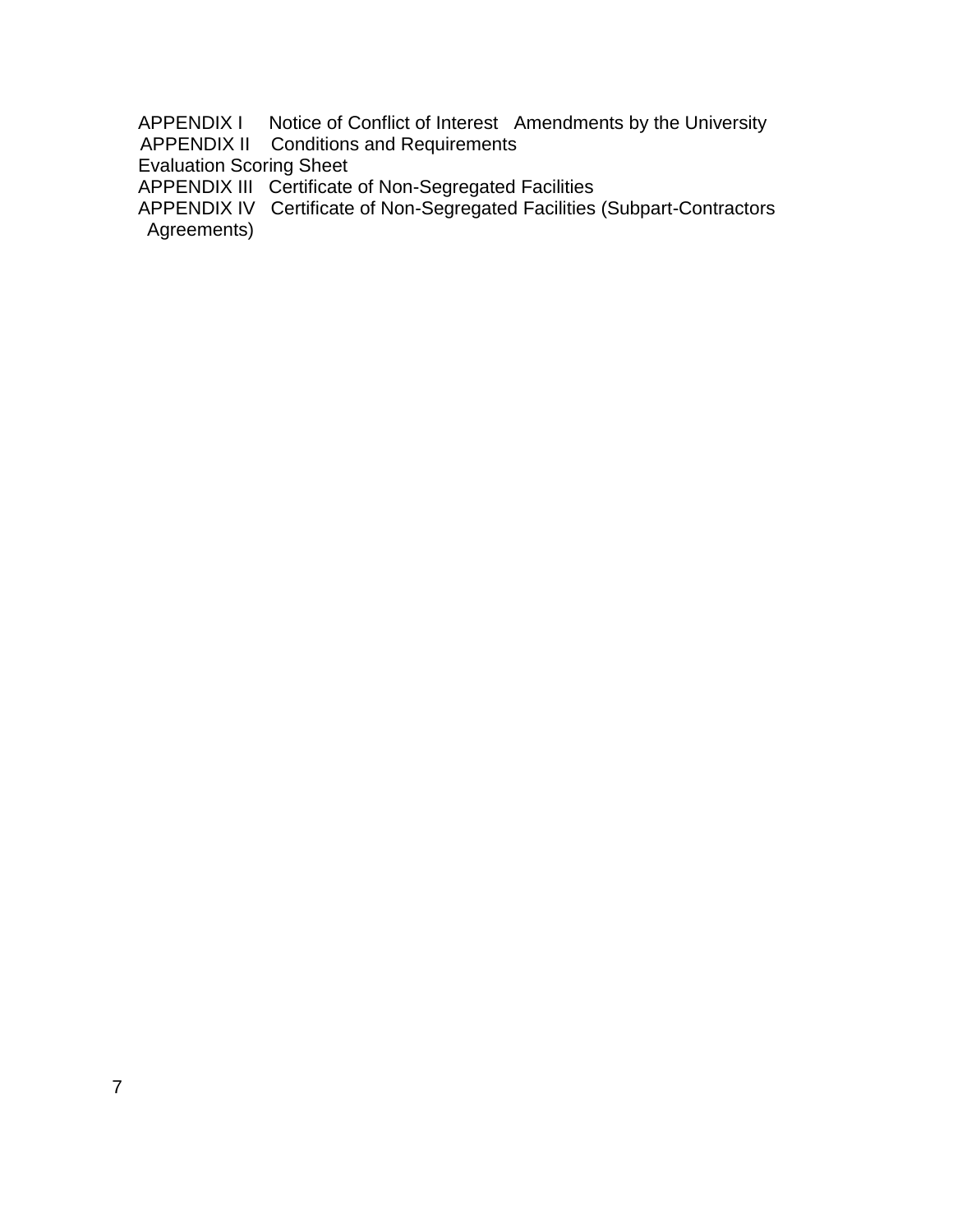APPENDIX I Notice of Conflict of Interest Amendments by the University APPENDIX II Conditions and Requirements

Evaluation Scoring Sheet

APPENDIX III Certificate of Non-Segregated Facilities

 APPENDIX IV Certificate of Non-Segregated Facilities (Subpart-Contractors Agreements)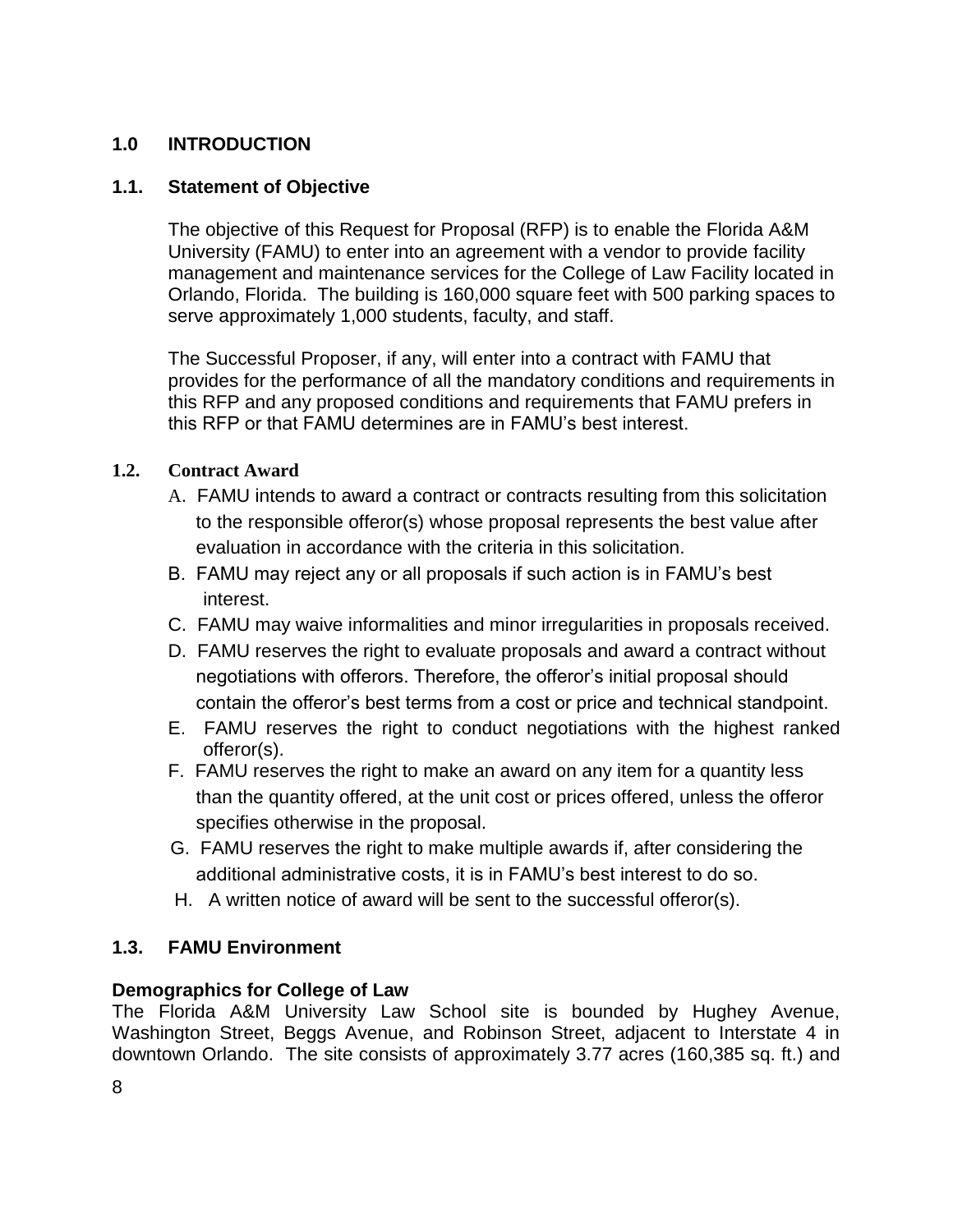### **1.0 INTRODUCTION**

### **1.1. Statement of Objective**

The objective of this Request for Proposal (RFP) is to enable the Florida A&M University (FAMU) to enter into an agreement with a vendor to provide facility management and maintenance services for the College of Law Facility located in Orlando, Florida. The building is 160,000 square feet with 500 parking spaces to serve approximately 1,000 students, faculty, and staff.

The Successful Proposer, if any, will enter into a contract with FAMU that provides for the performance of all the mandatory conditions and requirements in this RFP and any proposed conditions and requirements that FAMU prefers in this RFP or that FAMU determines are in FAMU's best interest.

### **1.2. Contract Award**

- A. FAMU intends to award a contract or contracts resulting from this solicitation to the responsible offeror(s) whose proposal represents the best value after evaluation in accordance with the criteria in this solicitation.
- B. FAMU may reject any or all proposals if such action is in FAMU's best interest.
- C. FAMU may waive informalities and minor irregularities in proposals received.
- D. FAMU reserves the right to evaluate proposals and award a contract without negotiations with offerors. Therefore, the offeror's initial proposal should contain the offeror's best terms from a cost or price and technical standpoint.
- E. FAMU reserves the right to conduct negotiations with the highest ranked offeror(s).
- F. FAMU reserves the right to make an award on any item for a quantity less than the quantity offered, at the unit cost or prices offered, unless the offeror specifies otherwise in the proposal.
- G. FAMU reserves the right to make multiple awards if, after considering the additional administrative costs, it is in FAMU's best interest to do so.
- H. A written notice of award will be sent to the successful offeror(s).

### **1.3. FAMU Environment**

### **Demographics for College of Law**

The Florida A&M University Law School site is bounded by Hughey Avenue, Washington Street, Beggs Avenue, and Robinson Street, adjacent to Interstate 4 in downtown Orlando. The site consists of approximately 3.77 acres (160,385 sq. ft.) and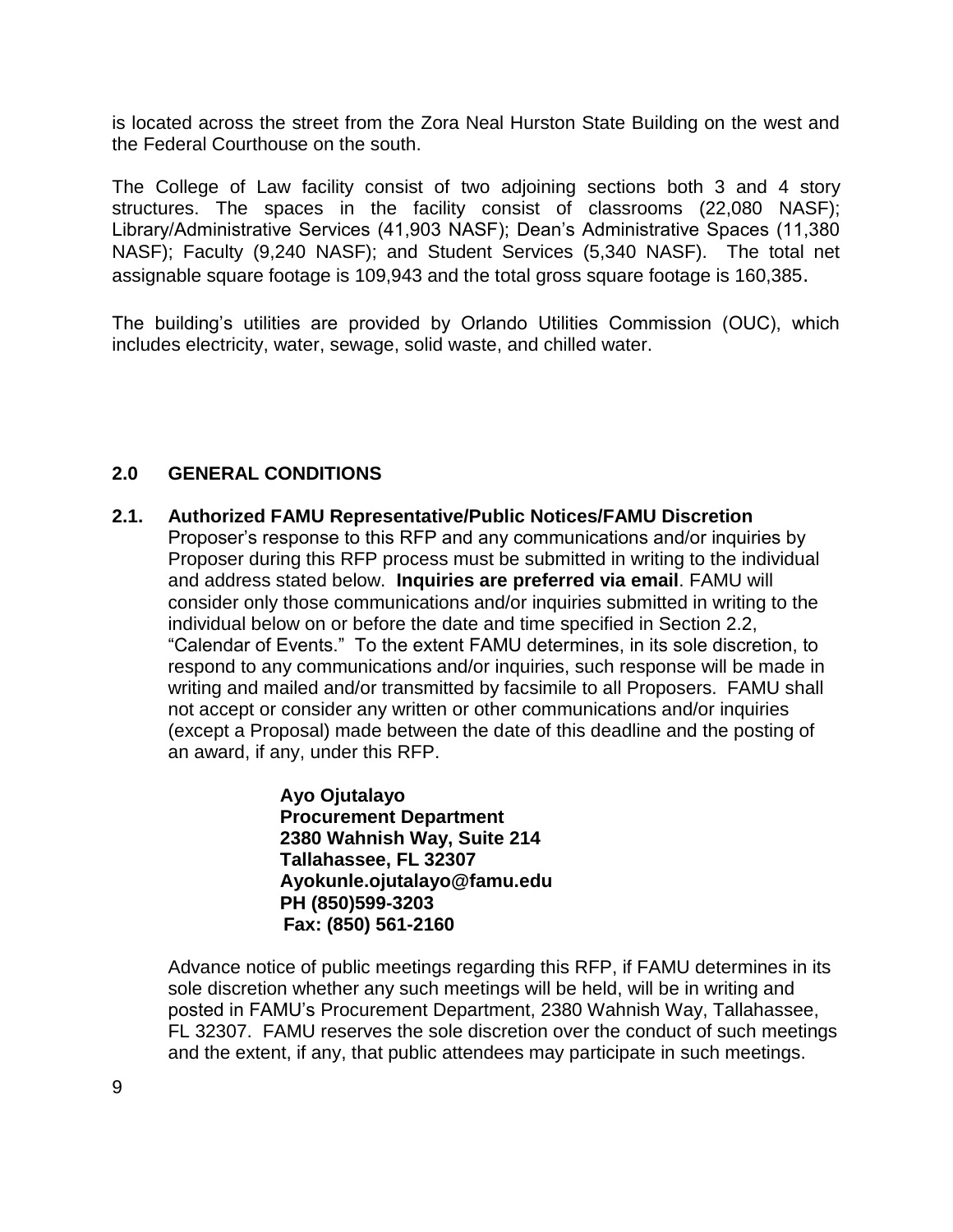is located across the street from the Zora Neal Hurston State Building on the west and the Federal Courthouse on the south.

The College of Law facility consist of two adjoining sections both 3 and 4 story structures. The spaces in the facility consist of classrooms (22,080 NASF); Library/Administrative Services (41,903 NASF); Dean's Administrative Spaces (11,380 NASF); Faculty (9,240 NASF); and Student Services (5,340 NASF). The total net assignable square footage is 109,943 and the total gross square footage is 160,385.

The building's utilities are provided by Orlando Utilities Commission (OUC), which includes electricity, water, sewage, solid waste, and chilled water.

## **2.0 GENERAL CONDITIONS**

**2.1. Authorized FAMU Representative/Public Notices/FAMU Discretion** Proposer's response to this RFP and any communications and/or inquiries by Proposer during this RFP process must be submitted in writing to the individual and address stated below. **Inquiries are preferred via email**. FAMU will consider only those communications and/or inquiries submitted in writing to the individual below on or before the date and time specified in Section 2.2, "Calendar of Events." To the extent FAMU determines, in its sole discretion, to respond to any communications and/or inquiries, such response will be made in writing and mailed and/or transmitted by facsimile to all Proposers. FAMU shall not accept or consider any written or other communications and/or inquiries (except a Proposal) made between the date of this deadline and the posting of an award, if any, under this RFP.

> **Ayo Ojutalayo Procurement Department 2380 Wahnish Way, Suite 214 Tallahassee, FL 32307 Ayokunle.ojutalayo@famu.edu PH (850)599-3203 Fax: (850) 561-2160**

Advance notice of public meetings regarding this RFP, if FAMU determines in its sole discretion whether any such meetings will be held, will be in writing and posted in FAMU's Procurement Department, 2380 Wahnish Way, Tallahassee, FL 32307. FAMU reserves the sole discretion over the conduct of such meetings and the extent, if any, that public attendees may participate in such meetings.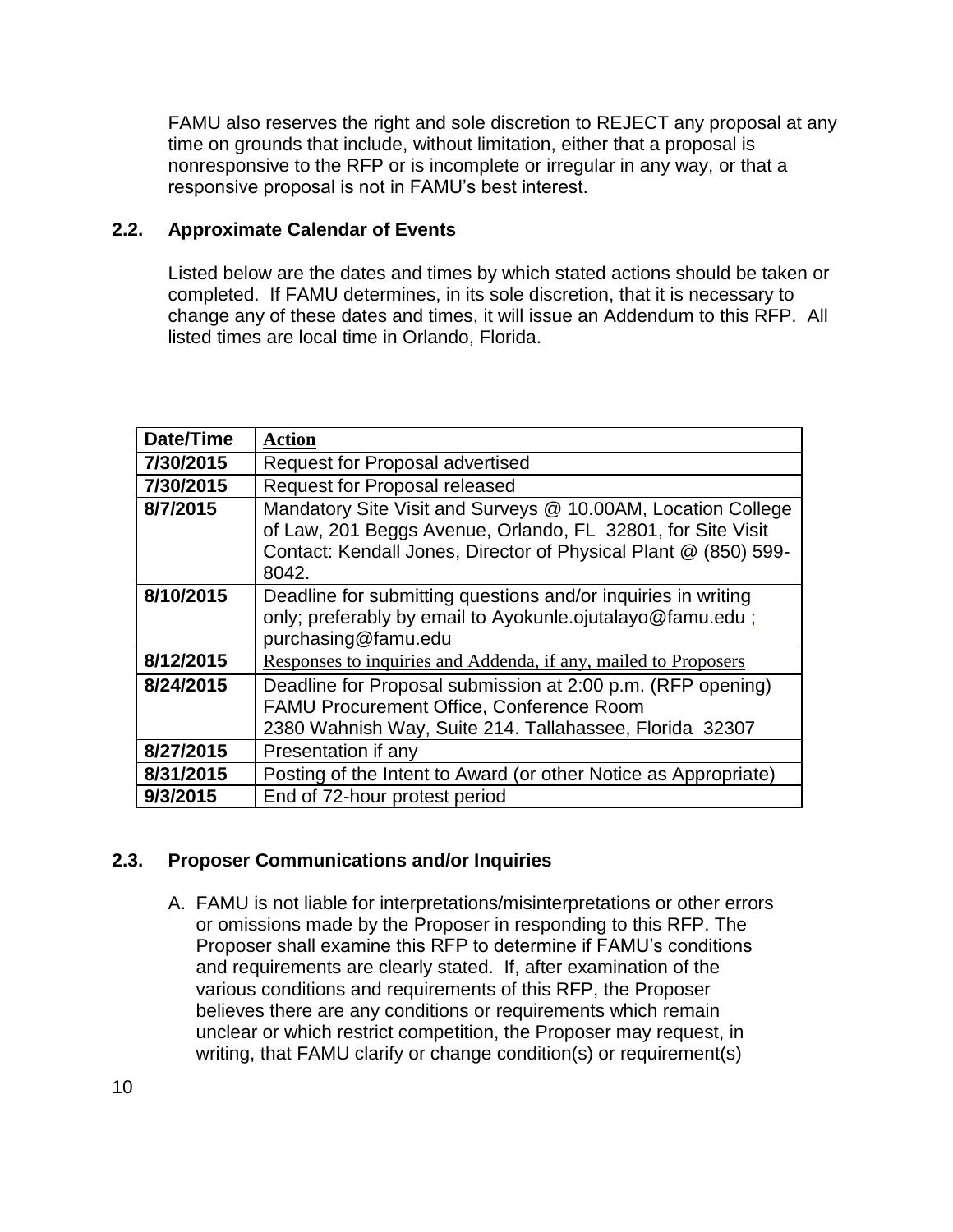FAMU also reserves the right and sole discretion to REJECT any proposal at any time on grounds that include, without limitation, either that a proposal is nonresponsive to the RFP or is incomplete or irregular in any way, or that a responsive proposal is not in FAMU's best interest.

### **2.2. Approximate Calendar of Events**

Listed below are the dates and times by which stated actions should be taken or completed. If FAMU determines, in its sole discretion, that it is necessary to change any of these dates and times, it will issue an Addendum to this RFP. All listed times are local time in Orlando, Florida.

| Date/Time | <b>Action</b>                                                                                                                                                                                           |
|-----------|---------------------------------------------------------------------------------------------------------------------------------------------------------------------------------------------------------|
| 7/30/2015 | <b>Request for Proposal advertised</b>                                                                                                                                                                  |
| 7/30/2015 | Request for Proposal released                                                                                                                                                                           |
| 8/7/2015  | Mandatory Site Visit and Surveys @ 10.00AM, Location College<br>of Law, 201 Beggs Avenue, Orlando, FL 32801, for Site Visit<br>Contact: Kendall Jones, Director of Physical Plant @ (850) 599-<br>8042. |
| 8/10/2015 | Deadline for submitting questions and/or inquiries in writing<br>only; preferably by email to Ayokunle.ojutalayo@famu.edu;<br>purchasing@famu.edu                                                       |
| 8/12/2015 | Responses to inquiries and Addenda, if any, mailed to Proposers                                                                                                                                         |
| 8/24/2015 | Deadline for Proposal submission at 2:00 p.m. (RFP opening)<br><b>FAMU Procurement Office, Conference Room</b><br>2380 Wahnish Way, Suite 214. Tallahassee, Florida 32307                               |
| 8/27/2015 | Presentation if any                                                                                                                                                                                     |
| 8/31/2015 | Posting of the Intent to Award (or other Notice as Appropriate)                                                                                                                                         |
| 9/3/2015  | End of 72-hour protest period                                                                                                                                                                           |

## **2.3. Proposer Communications and/or Inquiries**

A. FAMU is not liable for interpretations/misinterpretations or other errors or omissions made by the Proposer in responding to this RFP. The Proposer shall examine this RFP to determine if FAMU's conditions and requirements are clearly stated. If, after examination of the various conditions and requirements of this RFP, the Proposer believes there are any conditions or requirements which remain unclear or which restrict competition, the Proposer may request, in writing, that FAMU clarify or change condition(s) or requirement(s)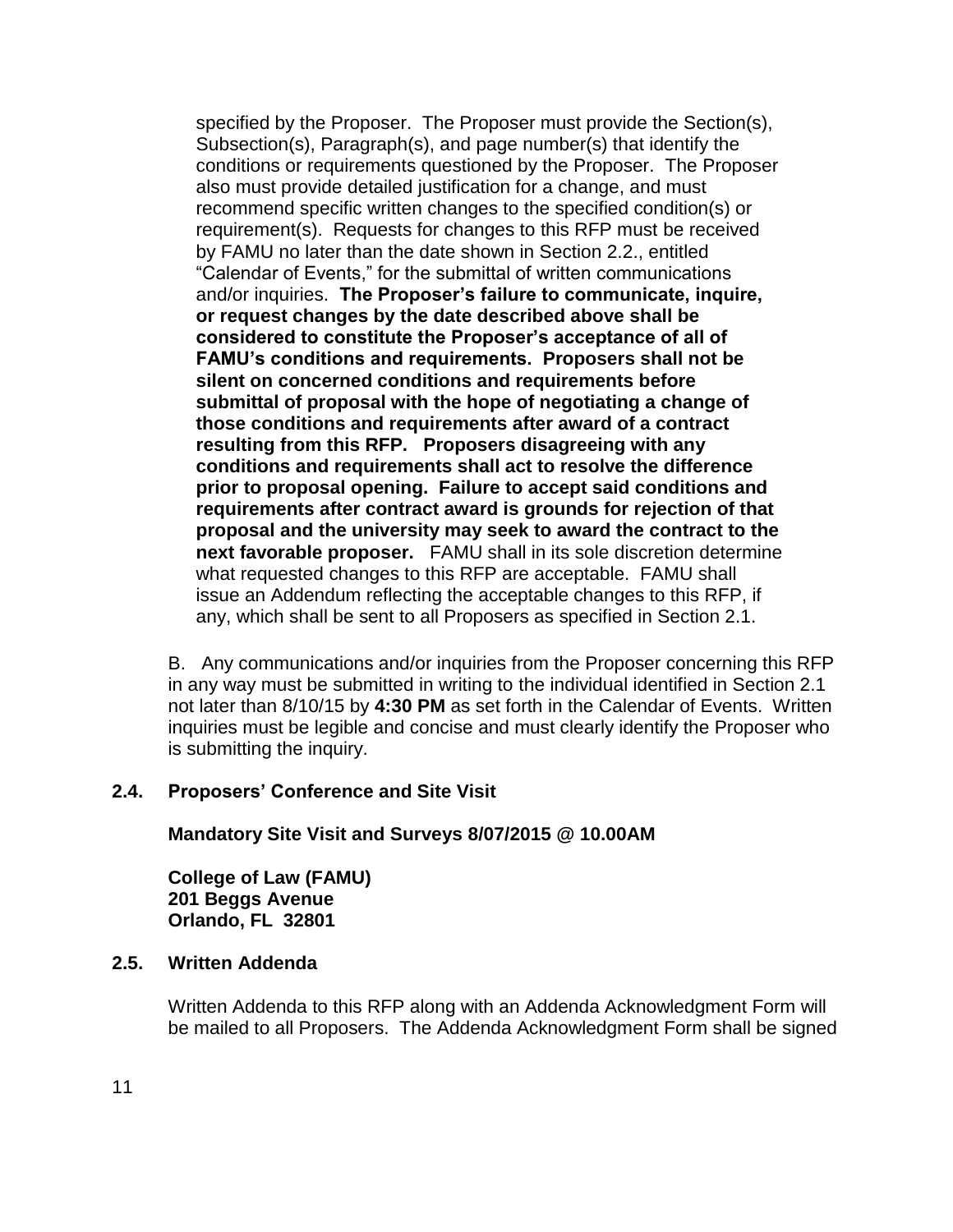specified by the Proposer. The Proposer must provide the Section(s), Subsection(s), Paragraph(s), and page number(s) that identify the conditions or requirements questioned by the Proposer. The Proposer also must provide detailed justification for a change, and must recommend specific written changes to the specified condition(s) or requirement(s). Requests for changes to this RFP must be received by FAMU no later than the date shown in Section 2.2., entitled "Calendar of Events," for the submittal of written communications and/or inquiries. **The Proposer's failure to communicate, inquire, or request changes by the date described above shall be considered to constitute the Proposer's acceptance of all of FAMU's conditions and requirements. Proposers shall not be silent on concerned conditions and requirements before submittal of proposal with the hope of negotiating a change of those conditions and requirements after award of a contract resulting from this RFP. Proposers disagreeing with any conditions and requirements shall act to resolve the difference prior to proposal opening. Failure to accept said conditions and requirements after contract award is grounds for rejection of that proposal and the university may seek to award the contract to the next favorable proposer.** FAMU shall in its sole discretion determine what requested changes to this RFP are acceptable. FAMU shall issue an Addendum reflecting the acceptable changes to this RFP, if any, which shall be sent to all Proposers as specified in Section 2.1.

B. Any communications and/or inquiries from the Proposer concerning this RFP in any way must be submitted in writing to the individual identified in Section 2.1 not later than 8/10/15 by **4:30 PM** as set forth in the Calendar of Events. Written inquiries must be legible and concise and must clearly identify the Proposer who is submitting the inquiry.

### **2.4. Proposers' Conference and Site Visit**

**Mandatory Site Visit and Surveys 8/07/2015 @ 10.00AM**

**College of Law (FAMU) 201 Beggs Avenue Orlando, FL 32801**

#### **2.5. Written Addenda**

Written Addenda to this RFP along with an Addenda Acknowledgment Form will be mailed to all Proposers. The Addenda Acknowledgment Form shall be signed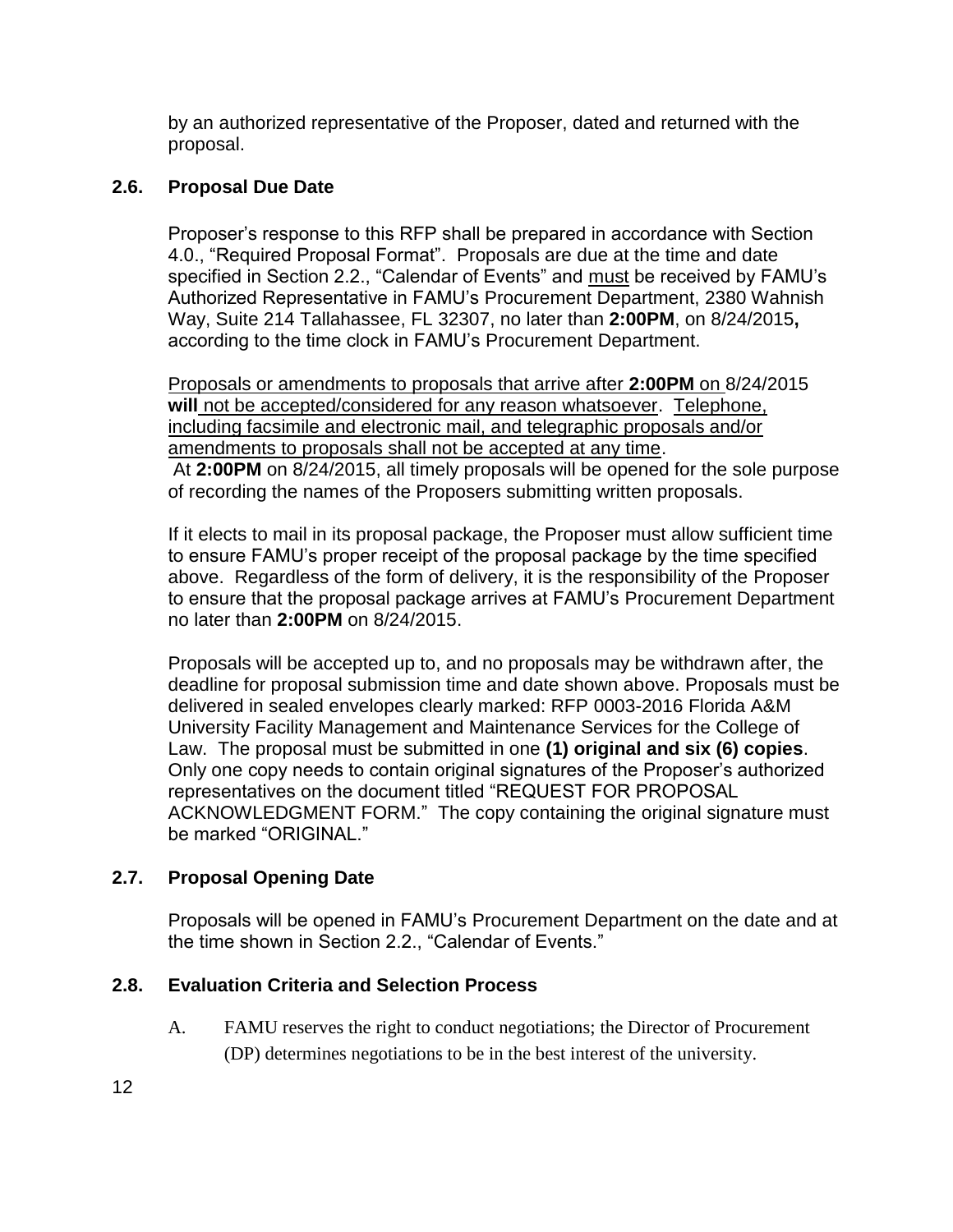by an authorized representative of the Proposer, dated and returned with the proposal.

## **2.6. Proposal Due Date**

Proposer's response to this RFP shall be prepared in accordance with Section 4.0., "Required Proposal Format". Proposals are due at the time and date specified in Section 2.2., "Calendar of Events" and must be received by FAMU's Authorized Representative in FAMU's Procurement Department, 2380 Wahnish Way, Suite 214 Tallahassee, FL 32307, no later than **2:00PM**, on 8/24/2015**,**  according to the time clock in FAMU's Procurement Department.

Proposals or amendments to proposals that arrive after **2:00PM** on 8/24/2015 **will** not be accepted/considered for any reason whatsoever. Telephone, including facsimile and electronic mail, and telegraphic proposals and/or amendments to proposals shall not be accepted at any time. At **2:00PM** on 8/24/2015, all timely proposals will be opened for the sole purpose of recording the names of the Proposers submitting written proposals.

If it elects to mail in its proposal package, the Proposer must allow sufficient time to ensure FAMU's proper receipt of the proposal package by the time specified above. Regardless of the form of delivery, it is the responsibility of the Proposer to ensure that the proposal package arrives at FAMU's Procurement Department no later than **2:00PM** on 8/24/2015.

Proposals will be accepted up to, and no proposals may be withdrawn after, the deadline for proposal submission time and date shown above. Proposals must be delivered in sealed envelopes clearly marked: RFP 0003-2016 Florida A&M University Facility Management and Maintenance Services for the College of Law. The proposal must be submitted in one **(1) original and six (6) copies**. Only one copy needs to contain original signatures of the Proposer's authorized representatives on the document titled "REQUEST FOR PROPOSAL ACKNOWLEDGMENT FORM." The copy containing the original signature must be marked "ORIGINAL."

## **2.7. Proposal Opening Date**

Proposals will be opened in FAMU's Procurement Department on the date and at the time shown in Section 2.2., "Calendar of Events."

## **2.8. Evaluation Criteria and Selection Process**

A. FAMU reserves the right to conduct negotiations; the Director of Procurement (DP) determines negotiations to be in the best interest of the university.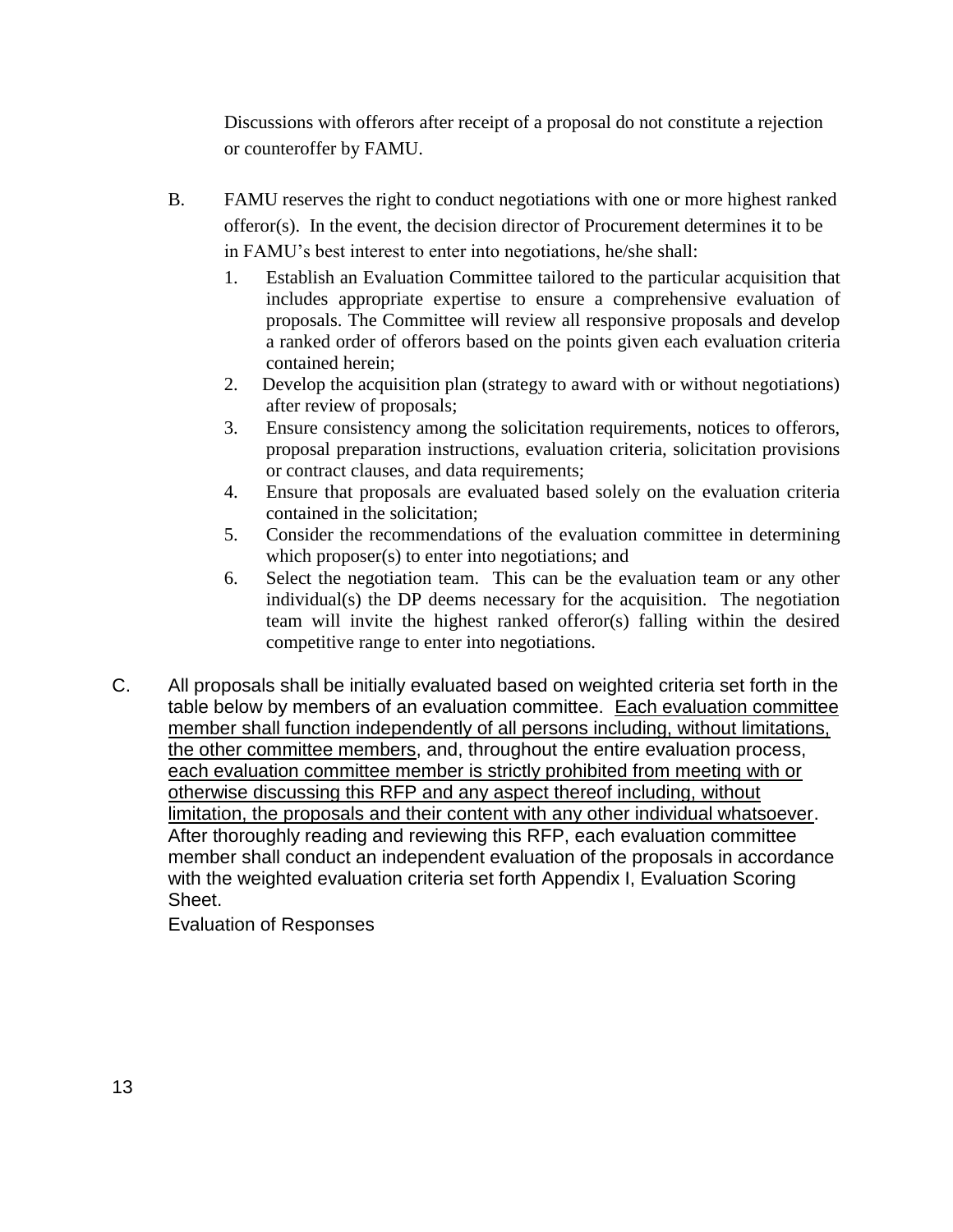Discussions with offerors after receipt of a proposal do not constitute a rejection or counteroffer by FAMU.

- B. FAMU reserves the right to conduct negotiations with one or more highest ranked offeror(s). In the event, the decision director of Procurement determines it to be in FAMU's best interest to enter into negotiations, he/she shall:
	- 1. Establish an Evaluation Committee tailored to the particular acquisition that includes appropriate expertise to ensure a comprehensive evaluation of proposals. The Committee will review all responsive proposals and develop a ranked order of offerors based on the points given each evaluation criteria contained herein;
	- 2. Develop the acquisition plan (strategy to award with or without negotiations) after review of proposals;
	- 3. Ensure consistency among the solicitation requirements, notices to offerors, proposal preparation instructions, evaluation criteria, solicitation provisions or contract clauses, and data requirements;
	- 4. Ensure that proposals are evaluated based solely on the evaluation criteria contained in the solicitation;
	- 5. Consider the recommendations of the evaluation committee in determining which proposer(s) to enter into negotiations; and
	- 6. Select the negotiation team. This can be the evaluation team or any other individual(s) the DP deems necessary for the acquisition. The negotiation team will invite the highest ranked offeror(s) falling within the desired competitive range to enter into negotiations.
- C. All proposals shall be initially evaluated based on weighted criteria set forth in the table below by members of an evaluation committee. Each evaluation committee member shall function independently of all persons including, without limitations, the other committee members, and, throughout the entire evaluation process, each evaluation committee member is strictly prohibited from meeting with or otherwise discussing this RFP and any aspect thereof including, without limitation, the proposals and their content with any other individual whatsoever. After thoroughly reading and reviewing this RFP, each evaluation committee member shall conduct an independent evaluation of the proposals in accordance with the weighted evaluation criteria set forth Appendix I, Evaluation Scoring Sheet.

Evaluation of Responses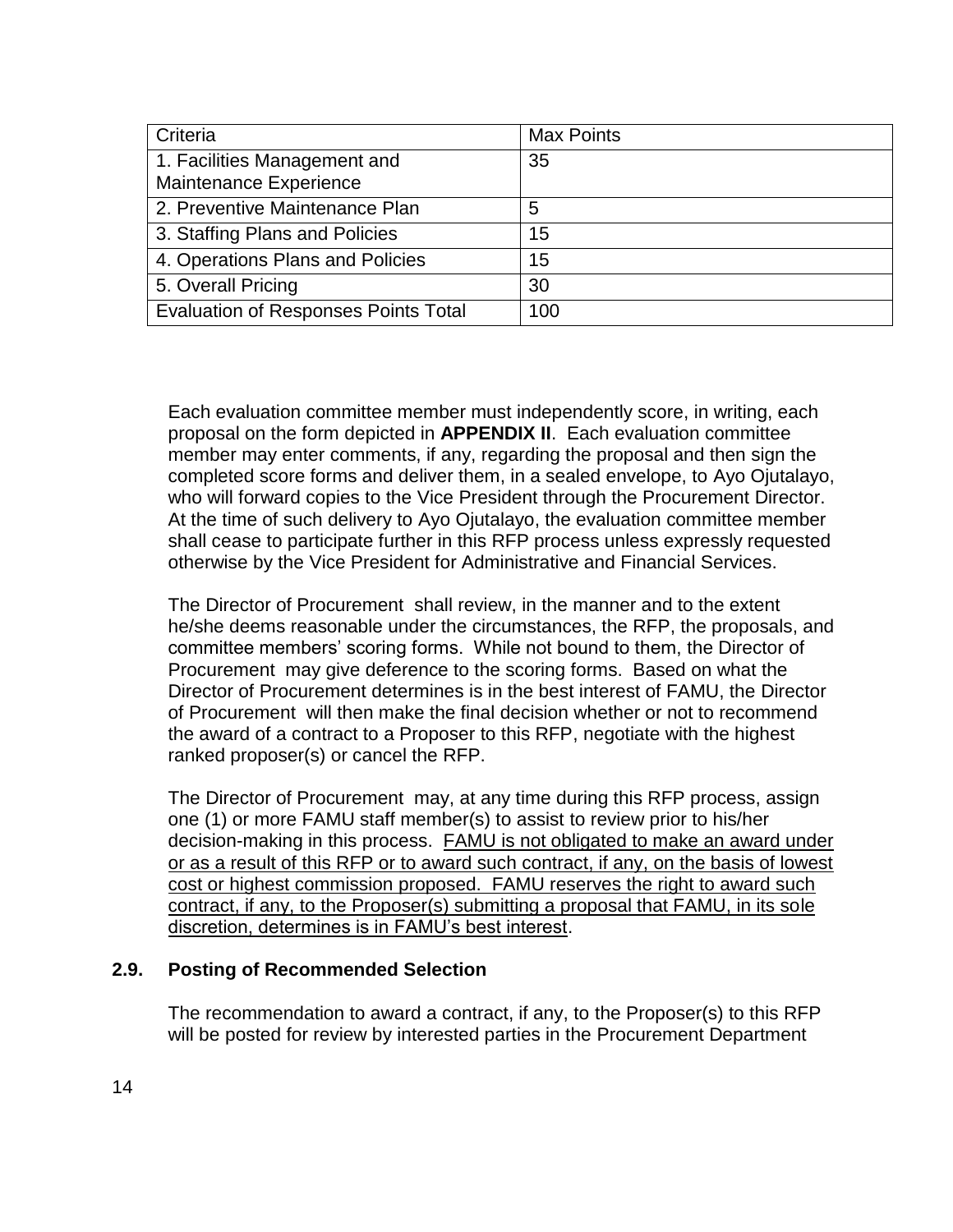| Criteria                                               | <b>Max Points</b> |
|--------------------------------------------------------|-------------------|
| 1. Facilities Management and<br>Maintenance Experience | 35                |
| 2. Preventive Maintenance Plan                         | 5                 |
| 3. Staffing Plans and Policies                         | 15                |
| 4. Operations Plans and Policies                       | 15                |
| 5. Overall Pricing                                     | 30                |
| <b>Evaluation of Responses Points Total</b>            | 100               |

Each evaluation committee member must independently score, in writing, each proposal on the form depicted in **APPENDIX II**. Each evaluation committee member may enter comments, if any, regarding the proposal and then sign the completed score forms and deliver them, in a sealed envelope, to Ayo Ojutalayo, who will forward copies to the Vice President through the Procurement Director. At the time of such delivery to Ayo Ojutalayo, the evaluation committee member shall cease to participate further in this RFP process unless expressly requested otherwise by the Vice President for Administrative and Financial Services.

The Director of Procurement shall review, in the manner and to the extent he/she deems reasonable under the circumstances, the RFP, the proposals, and committee members' scoring forms. While not bound to them, the Director of Procurement may give deference to the scoring forms. Based on what the Director of Procurement determines is in the best interest of FAMU, the Director of Procurement will then make the final decision whether or not to recommend the award of a contract to a Proposer to this RFP, negotiate with the highest ranked proposer(s) or cancel the RFP.

The Director of Procurement may, at any time during this RFP process, assign one (1) or more FAMU staff member(s) to assist to review prior to his/her decision-making in this process. FAMU is not obligated to make an award under or as a result of this RFP or to award such contract, if any, on the basis of lowest cost or highest commission proposed. FAMU reserves the right to award such contract, if any, to the Proposer(s) submitting a proposal that FAMU, in its sole discretion, determines is in FAMU's best interest.

### **2.9. Posting of Recommended Selection**

The recommendation to award a contract, if any, to the Proposer(s) to this RFP will be posted for review by interested parties in the Procurement Department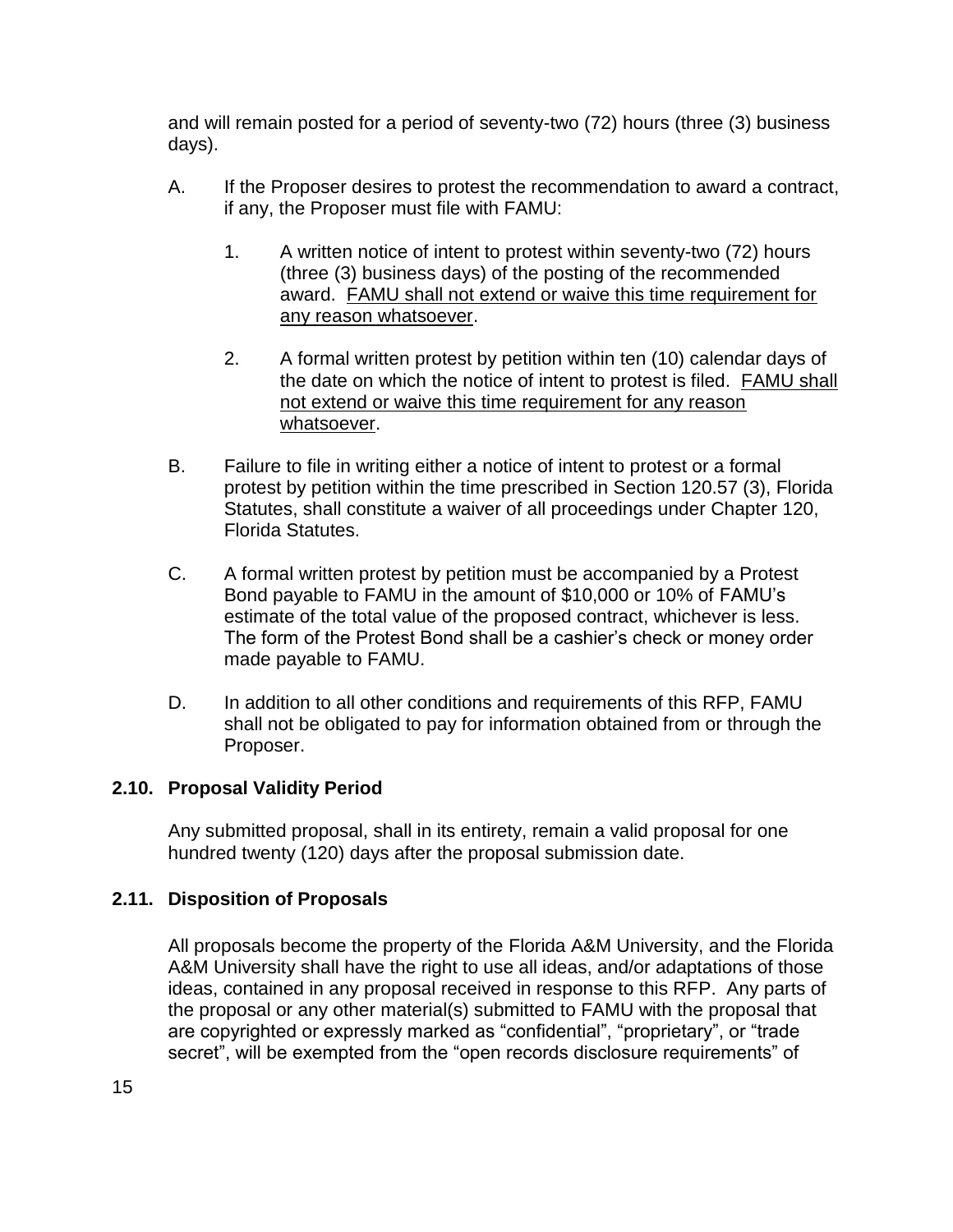and will remain posted for a period of seventy-two (72) hours (three (3) business days).

- A. If the Proposer desires to protest the recommendation to award a contract, if any, the Proposer must file with FAMU:
	- 1. A written notice of intent to protest within seventy-two (72) hours (three (3) business days) of the posting of the recommended award. FAMU shall not extend or waive this time requirement for any reason whatsoever.
	- 2. A formal written protest by petition within ten (10) calendar days of the date on which the notice of intent to protest is filed. FAMU shall not extend or waive this time requirement for any reason whatsoever.
- B. Failure to file in writing either a notice of intent to protest or a formal protest by petition within the time prescribed in Section 120.57 (3), Florida Statutes, shall constitute a waiver of all proceedings under Chapter 120, Florida Statutes.
- C. A formal written protest by petition must be accompanied by a Protest Bond payable to FAMU in the amount of \$10,000 or 10% of FAMU's estimate of the total value of the proposed contract, whichever is less. The form of the Protest Bond shall be a cashier's check or money order made payable to FAMU.
- D. In addition to all other conditions and requirements of this RFP, FAMU shall not be obligated to pay for information obtained from or through the Proposer.

## **2.10. Proposal Validity Period**

Any submitted proposal, shall in its entirety, remain a valid proposal for one hundred twenty (120) days after the proposal submission date.

## **2.11. Disposition of Proposals**

All proposals become the property of the Florida A&M University, and the Florida A&M University shall have the right to use all ideas, and/or adaptations of those ideas, contained in any proposal received in response to this RFP. Any parts of the proposal or any other material(s) submitted to FAMU with the proposal that are copyrighted or expressly marked as "confidential", "proprietary", or "trade secret", will be exempted from the "open records disclosure requirements" of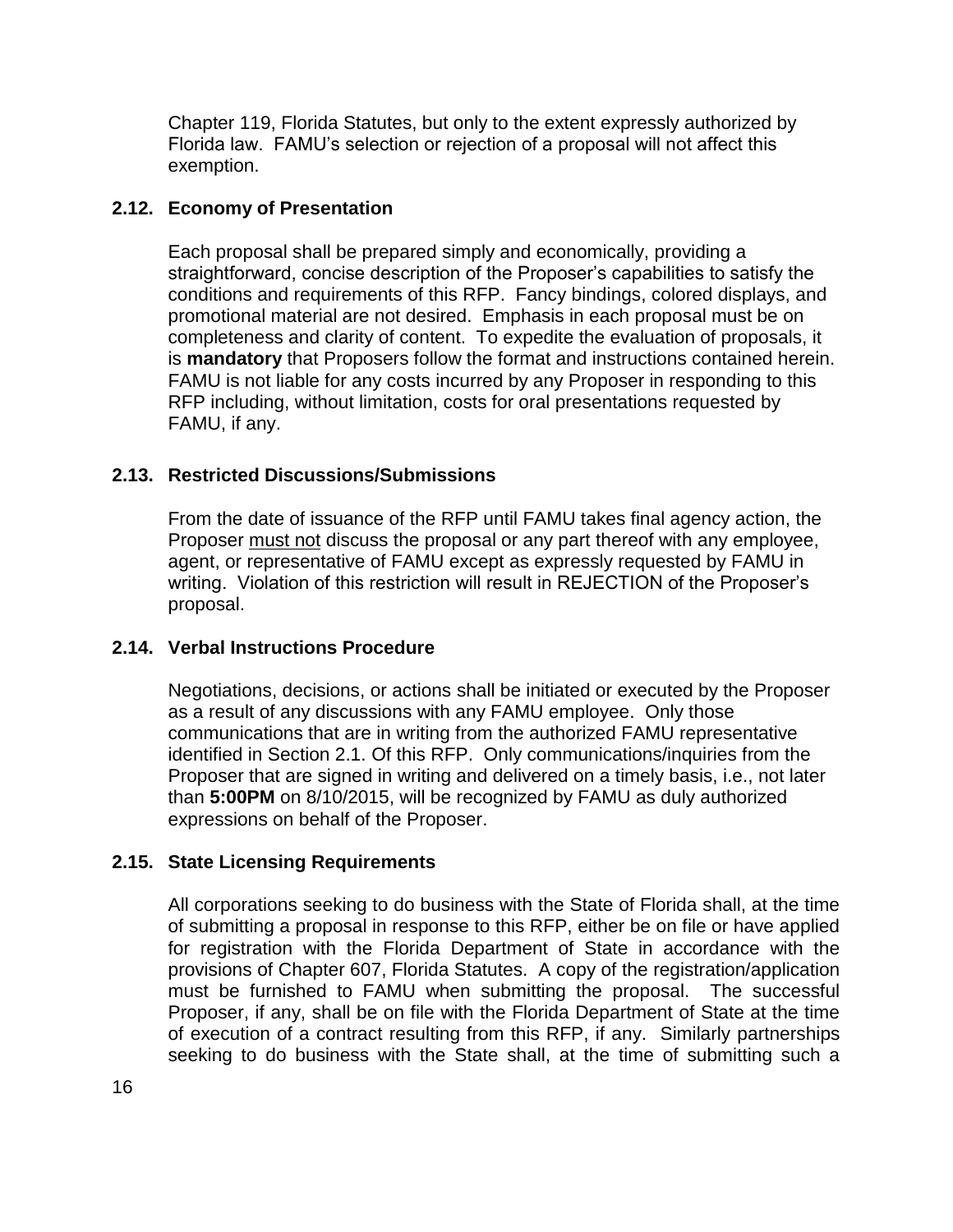Chapter 119, Florida Statutes, but only to the extent expressly authorized by Florida law. FAMU's selection or rejection of a proposal will not affect this exemption.

### **2.12. Economy of Presentation**

Each proposal shall be prepared simply and economically, providing a straightforward, concise description of the Proposer's capabilities to satisfy the conditions and requirements of this RFP. Fancy bindings, colored displays, and promotional material are not desired. Emphasis in each proposal must be on completeness and clarity of content. To expedite the evaluation of proposals, it is **mandatory** that Proposers follow the format and instructions contained herein. FAMU is not liable for any costs incurred by any Proposer in responding to this RFP including, without limitation, costs for oral presentations requested by FAMU, if any.

### **2.13. Restricted Discussions/Submissions**

From the date of issuance of the RFP until FAMU takes final agency action, the Proposer must not discuss the proposal or any part thereof with any employee, agent, or representative of FAMU except as expressly requested by FAMU in writing. Violation of this restriction will result in REJECTION of the Proposer's proposal.

### **2.14. Verbal Instructions Procedure**

Negotiations, decisions, or actions shall be initiated or executed by the Proposer as a result of any discussions with any FAMU employee. Only those communications that are in writing from the authorized FAMU representative identified in Section 2.1. Of this RFP. Only communications/inquiries from the Proposer that are signed in writing and delivered on a timely basis, i.e., not later than **5:00PM** on 8/10/2015, will be recognized by FAMU as duly authorized expressions on behalf of the Proposer.

### **2.15. State Licensing Requirements**

All corporations seeking to do business with the State of Florida shall, at the time of submitting a proposal in response to this RFP, either be on file or have applied for registration with the Florida Department of State in accordance with the provisions of Chapter 607, Florida Statutes. A copy of the registration/application must be furnished to FAMU when submitting the proposal. The successful Proposer, if any, shall be on file with the Florida Department of State at the time of execution of a contract resulting from this RFP, if any. Similarly partnerships seeking to do business with the State shall, at the time of submitting such a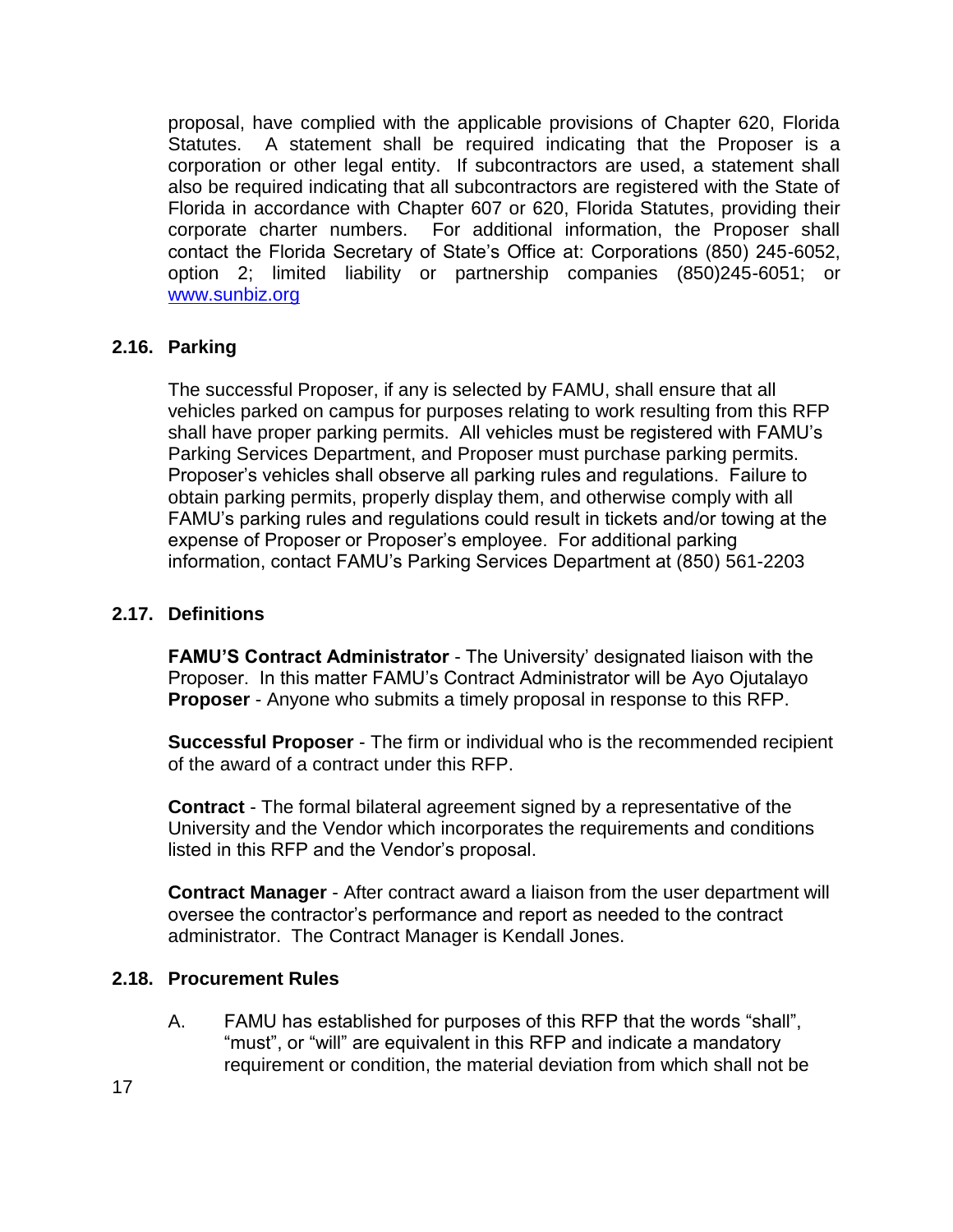proposal, have complied with the applicable provisions of Chapter 620, Florida Statutes. A statement shall be required indicating that the Proposer is a corporation or other legal entity. If subcontractors are used, a statement shall also be required indicating that all subcontractors are registered with the State of Florida in accordance with Chapter 607 or 620, Florida Statutes, providing their corporate charter numbers. For additional information, the Proposer shall contact the Florida Secretary of State's Office at: Corporations (850) 245-6052, option 2; limited liability or partnership companies (850)245-6051; or [www.sunbiz.org](http://www.sunbiz.org/)

### **2.16. Parking**

The successful Proposer, if any is selected by FAMU, shall ensure that all vehicles parked on campus for purposes relating to work resulting from this RFP shall have proper parking permits. All vehicles must be registered with FAMU's Parking Services Department, and Proposer must purchase parking permits. Proposer's vehicles shall observe all parking rules and regulations. Failure to obtain parking permits, properly display them, and otherwise comply with all FAMU's parking rules and regulations could result in tickets and/or towing at the expense of Proposer or Proposer's employee. For additional parking information, contact FAMU's Parking Services Department at (850) 561-2203

### **2.17. Definitions**

**FAMU'S Contract Administrator** - The University' designated liaison with the Proposer. In this matter FAMU's Contract Administrator will be Ayo Ojutalayo **Proposer** - Anyone who submits a timely proposal in response to this RFP.

**Successful Proposer** - The firm or individual who is the recommended recipient of the award of a contract under this RFP.

**Contract** - The formal bilateral agreement signed by a representative of the University and the Vendor which incorporates the requirements and conditions listed in this RFP and the Vendor's proposal.

**Contract Manager** - After contract award a liaison from the user department will oversee the contractor's performance and report as needed to the contract administrator. The Contract Manager is Kendall Jones.

### **2.18. Procurement Rules**

A. FAMU has established for purposes of this RFP that the words "shall", "must", or "will" are equivalent in this RFP and indicate a mandatory requirement or condition, the material deviation from which shall not be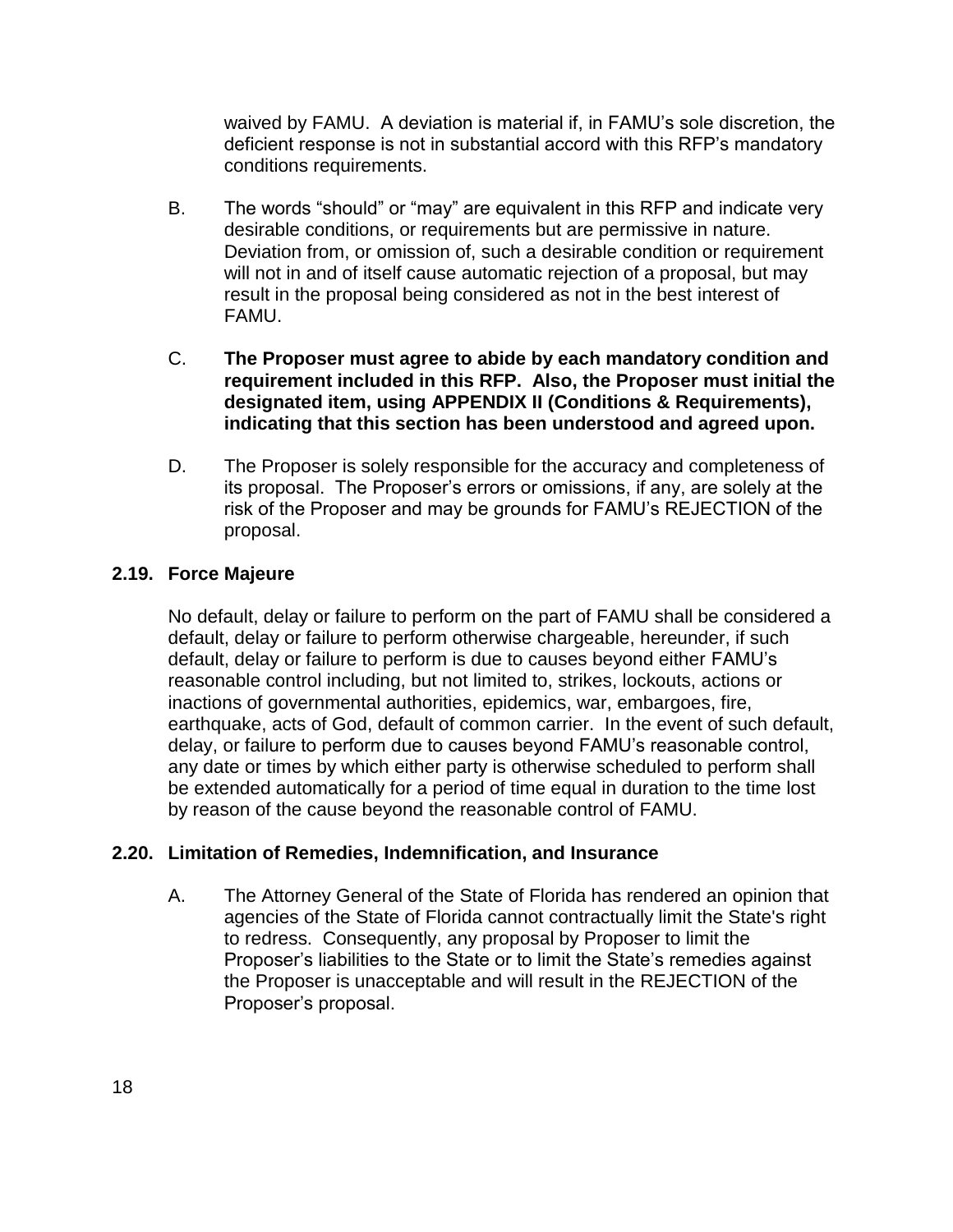waived by FAMU. A deviation is material if, in FAMU's sole discretion, the deficient response is not in substantial accord with this RFP's mandatory conditions requirements.

- B. The words "should" or "may" are equivalent in this RFP and indicate very desirable conditions, or requirements but are permissive in nature. Deviation from, or omission of, such a desirable condition or requirement will not in and of itself cause automatic rejection of a proposal, but may result in the proposal being considered as not in the best interest of FAMU.
- C. **The Proposer must agree to abide by each mandatory condition and requirement included in this RFP. Also, the Proposer must initial the designated item, using APPENDIX II (Conditions & Requirements), indicating that this section has been understood and agreed upon.**
- D. The Proposer is solely responsible for the accuracy and completeness of its proposal. The Proposer's errors or omissions, if any, are solely at the risk of the Proposer and may be grounds for FAMU's REJECTION of the proposal.

## **2.19. Force Majeure**

No default, delay or failure to perform on the part of FAMU shall be considered a default, delay or failure to perform otherwise chargeable, hereunder, if such default, delay or failure to perform is due to causes beyond either FAMU's reasonable control including, but not limited to, strikes, lockouts, actions or inactions of governmental authorities, epidemics, war, embargoes, fire, earthquake, acts of God, default of common carrier. In the event of such default, delay, or failure to perform due to causes beyond FAMU's reasonable control, any date or times by which either party is otherwise scheduled to perform shall be extended automatically for a period of time equal in duration to the time lost by reason of the cause beyond the reasonable control of FAMU.

## **2.20. Limitation of Remedies, Indemnification, and Insurance**

A. The Attorney General of the State of Florida has rendered an opinion that agencies of the State of Florida cannot contractually limit the State's right to redress. Consequently, any proposal by Proposer to limit the Proposer's liabilities to the State or to limit the State's remedies against the Proposer is unacceptable and will result in the REJECTION of the Proposer's proposal.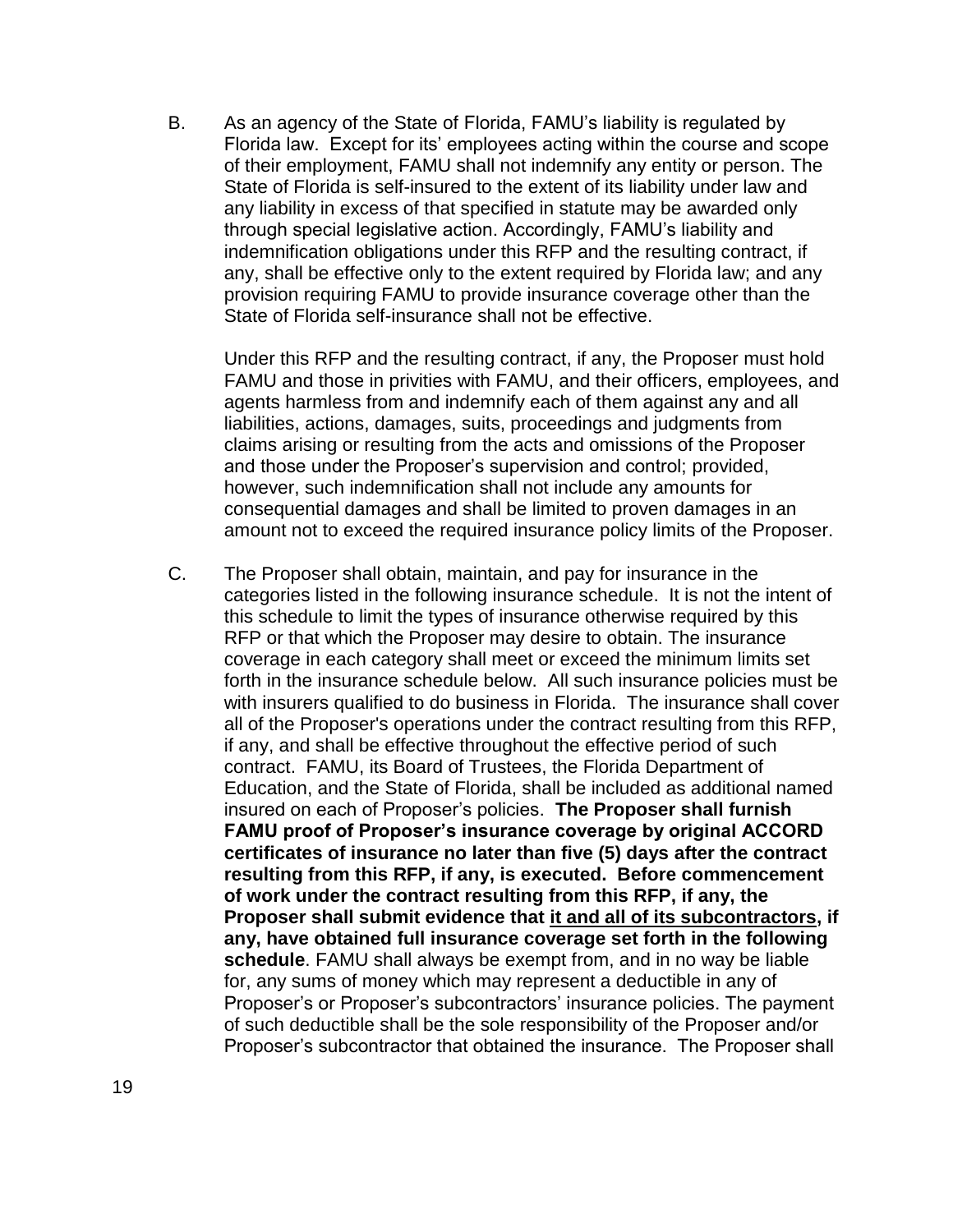B. As an agency of the State of Florida, FAMU's liability is regulated by Florida law. Except for its' employees acting within the course and scope of their employment, FAMU shall not indemnify any entity or person. The State of Florida is self-insured to the extent of its liability under law and any liability in excess of that specified in statute may be awarded only through special legislative action. Accordingly, FAMU's liability and indemnification obligations under this RFP and the resulting contract, if any, shall be effective only to the extent required by Florida law; and any provision requiring FAMU to provide insurance coverage other than the State of Florida self-insurance shall not be effective.

Under this RFP and the resulting contract, if any, the Proposer must hold FAMU and those in privities with FAMU, and their officers, employees, and agents harmless from and indemnify each of them against any and all liabilities, actions, damages, suits, proceedings and judgments from claims arising or resulting from the acts and omissions of the Proposer and those under the Proposer's supervision and control; provided, however, such indemnification shall not include any amounts for consequential damages and shall be limited to proven damages in an amount not to exceed the required insurance policy limits of the Proposer.

C. The Proposer shall obtain, maintain, and pay for insurance in the categories listed in the following insurance schedule. It is not the intent of this schedule to limit the types of insurance otherwise required by this RFP or that which the Proposer may desire to obtain. The insurance coverage in each category shall meet or exceed the minimum limits set forth in the insurance schedule below. All such insurance policies must be with insurers qualified to do business in Florida. The insurance shall cover all of the Proposer's operations under the contract resulting from this RFP, if any, and shall be effective throughout the effective period of such contract. FAMU, its Board of Trustees, the Florida Department of Education, and the State of Florida, shall be included as additional named insured on each of Proposer's policies. **The Proposer shall furnish FAMU proof of Proposer's insurance coverage by original ACCORD certificates of insurance no later than five (5) days after the contract resulting from this RFP, if any, is executed. Before commencement of work under the contract resulting from this RFP, if any, the Proposer shall submit evidence that it and all of its subcontractors, if any, have obtained full insurance coverage set forth in the following schedule**. FAMU shall always be exempt from, and in no way be liable for, any sums of money which may represent a deductible in any of Proposer's or Proposer's subcontractors' insurance policies. The payment of such deductible shall be the sole responsibility of the Proposer and/or Proposer's subcontractor that obtained the insurance. The Proposer shall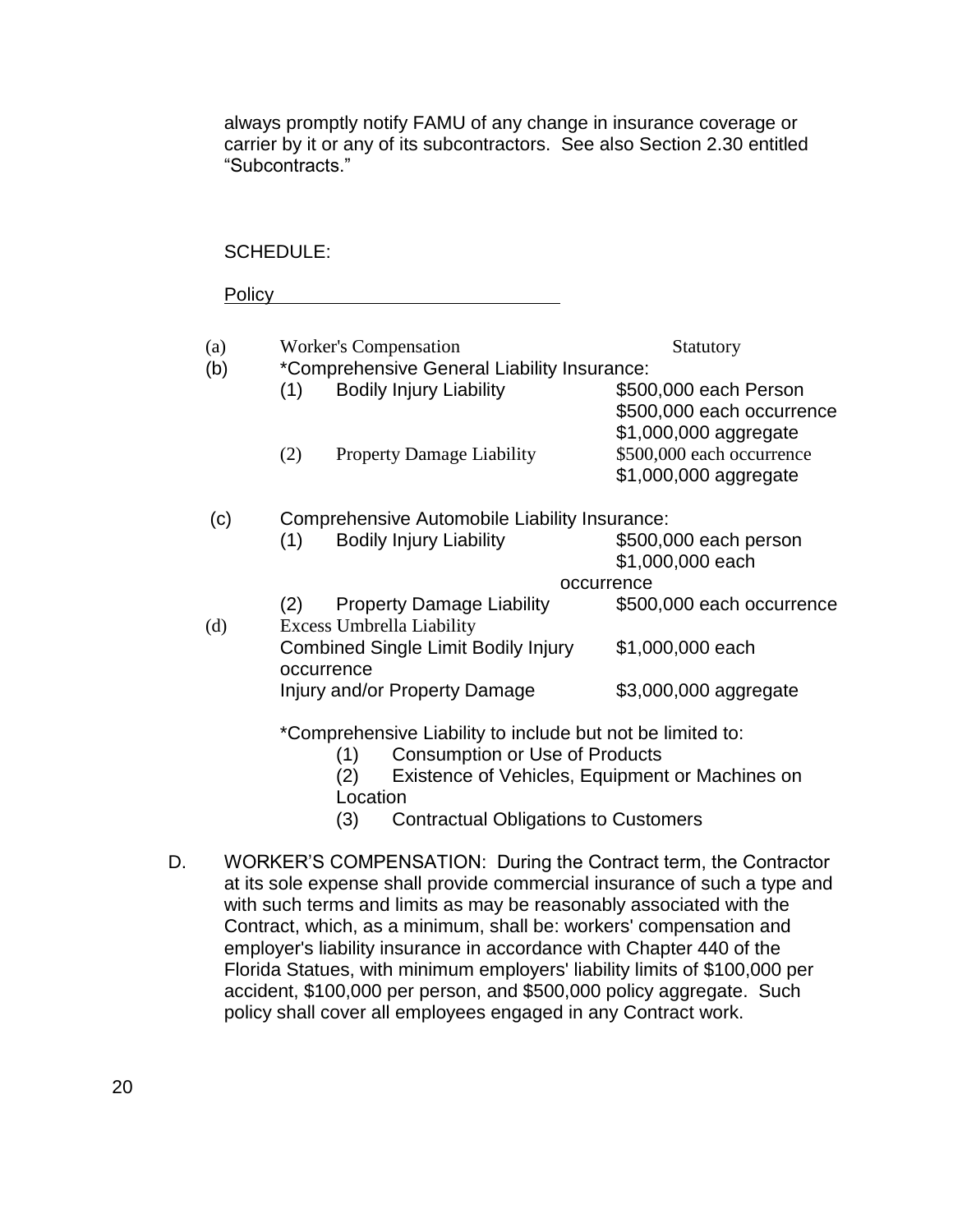always promptly notify FAMU of any change in insurance coverage or carrier by it or any of its subcontractors. See also Section 2.30 entitled "Subcontracts."

#### SCHEDULE:

Policy

| (a)<br>(b) | <b>Worker's Compensation</b><br>*Comprehensive General Liability Insurance: | Statutory                                                                   |  |  |  |
|------------|-----------------------------------------------------------------------------|-----------------------------------------------------------------------------|--|--|--|
|            | <b>Bodily Injury Liability</b><br>(1)                                       | \$500,000 each Person<br>\$500,000 each occurrence                          |  |  |  |
|            | (2)<br><b>Property Damage Liability</b>                                     | \$1,000,000 aggregate<br>\$500,000 each occurrence<br>\$1,000,000 aggregate |  |  |  |
| (c)        | Comprehensive Automobile Liability Insurance:                               |                                                                             |  |  |  |
|            | <b>Bodily Injury Liability</b><br>(1)                                       | \$500,000 each person<br>\$1,000,000 each                                   |  |  |  |
|            |                                                                             | occurrence                                                                  |  |  |  |
|            | <b>Property Damage Liability</b><br>(2)                                     | \$500,000 each occurrence                                                   |  |  |  |
| (d)        | <b>Excess Umbrella Liability</b>                                            |                                                                             |  |  |  |
|            | <b>Combined Single Limit Bodily Injury</b><br>occurrence                    | \$1,000,000 each                                                            |  |  |  |

\*Comprehensive Liability to include but not be limited to:

Injury and/or Property Damage \$3,000,000 aggregate

- (1) Consumption or Use of Products
- (2) Existence of Vehicles, Equipment or Machines on Location
- (3) Contractual Obligations to Customers
- D. WORKER'S COMPENSATION: During the Contract term, the Contractor at its sole expense shall provide commercial insurance of such a type and with such terms and limits as may be reasonably associated with the Contract, which, as a minimum, shall be: workers' compensation and employer's liability insurance in accordance with Chapter 440 of the Florida Statues, with minimum employers' liability limits of \$100,000 per accident, \$100,000 per person, and \$500,000 policy aggregate. Such policy shall cover all employees engaged in any Contract work.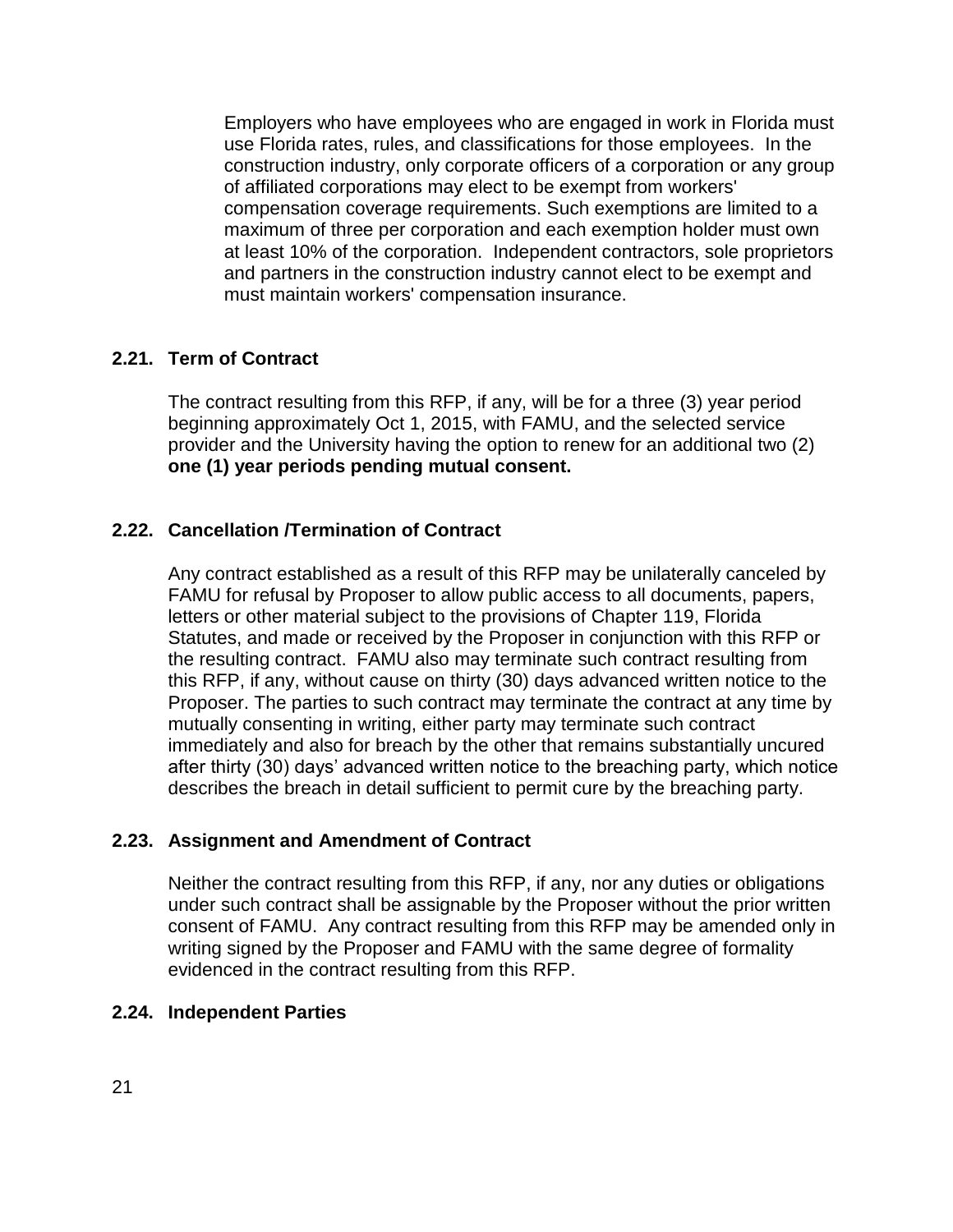Employers who have employees who are engaged in work in Florida must use Florida rates, rules, and classifications for those employees. In the construction industry, only corporate officers of a corporation or any group of affiliated corporations may elect to be exempt from workers' compensation coverage requirements. Such exemptions are limited to a maximum of three per corporation and each exemption holder must own at least 10% of the corporation. Independent contractors, sole proprietors and partners in the construction industry cannot elect to be exempt and must maintain workers' compensation insurance.

### **2.21. Term of Contract**

The contract resulting from this RFP, if any, will be for a three (3) year period beginning approximately Oct 1, 2015, with FAMU, and the selected service provider and the University having the option to renew for an additional two (2) **one (1) year periods pending mutual consent.**

### **2.22. Cancellation /Termination of Contract**

Any contract established as a result of this RFP may be unilaterally canceled by FAMU for refusal by Proposer to allow public access to all documents, papers, letters or other material subject to the provisions of Chapter 119, Florida Statutes, and made or received by the Proposer in conjunction with this RFP or the resulting contract. FAMU also may terminate such contract resulting from this RFP, if any, without cause on thirty (30) days advanced written notice to the Proposer. The parties to such contract may terminate the contract at any time by mutually consenting in writing, either party may terminate such contract immediately and also for breach by the other that remains substantially uncured after thirty (30) days' advanced written notice to the breaching party, which notice describes the breach in detail sufficient to permit cure by the breaching party.

### **2.23. Assignment and Amendment of Contract**

Neither the contract resulting from this RFP, if any, nor any duties or obligations under such contract shall be assignable by the Proposer without the prior written consent of FAMU.Any contract resulting from this RFP may be amended only in writing signed by the Proposer and FAMU with the same degree of formality evidenced in the contract resulting from this RFP.

### **2.24. Independent Parties**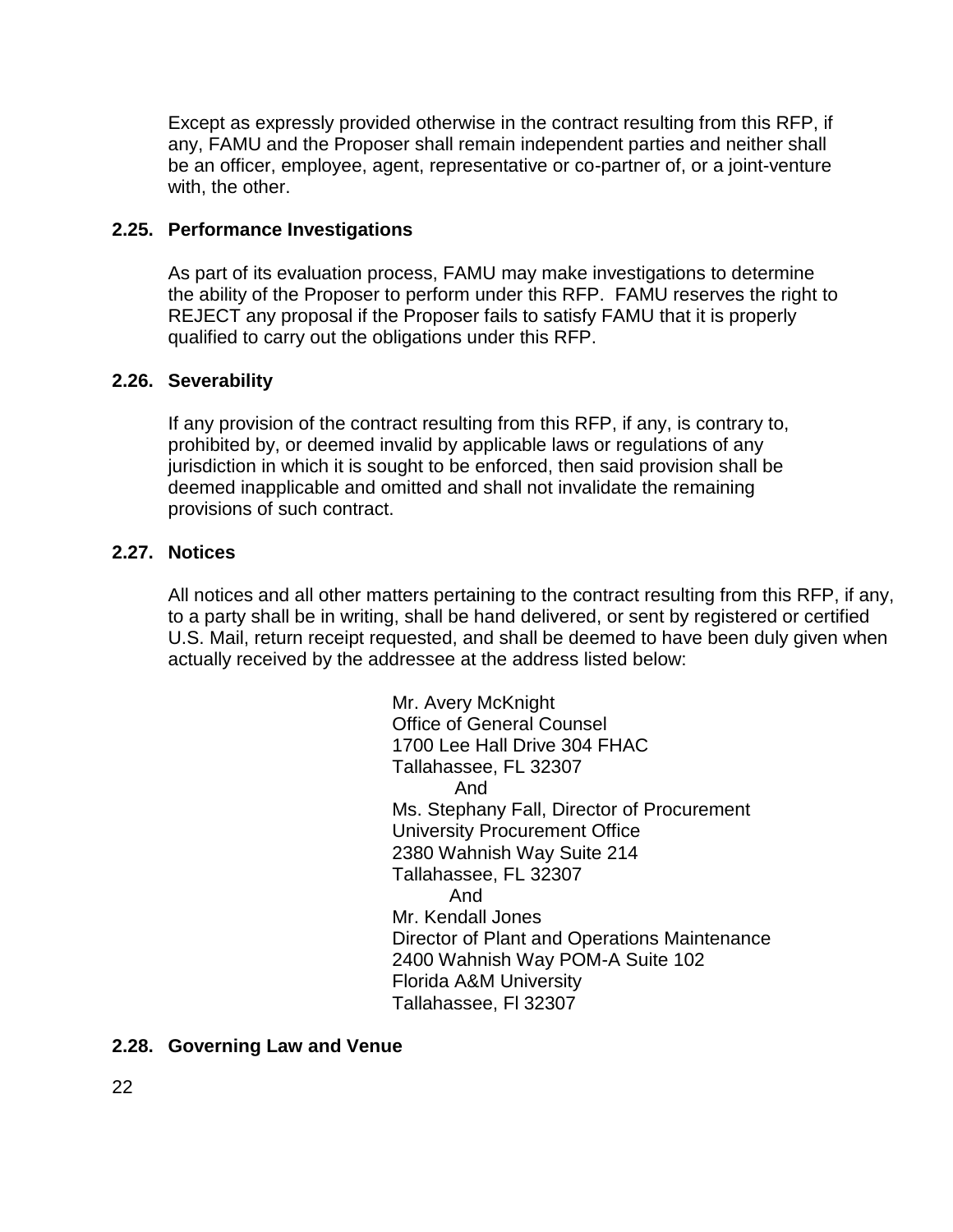Except as expressly provided otherwise in the contract resulting from this RFP, if any, FAMU and the Proposer shall remain independent parties and neither shall be an officer, employee, agent, representative or co-partner of, or a joint-venture with, the other.

#### **2.25. Performance Investigations**

As part of its evaluation process, FAMU may make investigations to determine the ability of the Proposer to perform under this RFP. FAMU reserves the right to REJECT any proposal if the Proposer fails to satisfy FAMU that it is properly qualified to carry out the obligations under this RFP.

#### **2.26. Severability**

If any provision of the contract resulting from this RFP, if any, is contrary to, prohibited by, or deemed invalid by applicable laws or regulations of any jurisdiction in which it is sought to be enforced, then said provision shall be deemed inapplicable and omitted and shall not invalidate the remaining provisions of such contract.

#### **2.27. Notices**

All notices and all other matters pertaining to the contract resulting from this RFP, if any, to a party shall be in writing, shall be hand delivered, or sent by registered or certified U.S. Mail, return receipt requested, and shall be deemed to have been duly given when actually received by the addressee at the address listed below:

> Mr. Avery McKnight Office of General Counsel 1700 Lee Hall Drive 304 FHAC Tallahassee, FL 32307 And Ms. Stephany Fall, Director of Procurement University Procurement Office 2380 Wahnish Way Suite 214 Tallahassee, FL 32307 And Mr. Kendall Jones Director of Plant and Operations Maintenance 2400 Wahnish Way POM-A Suite 102 Florida A&M University Tallahassee, Fl 32307

### **2.28. Governing Law and Venue**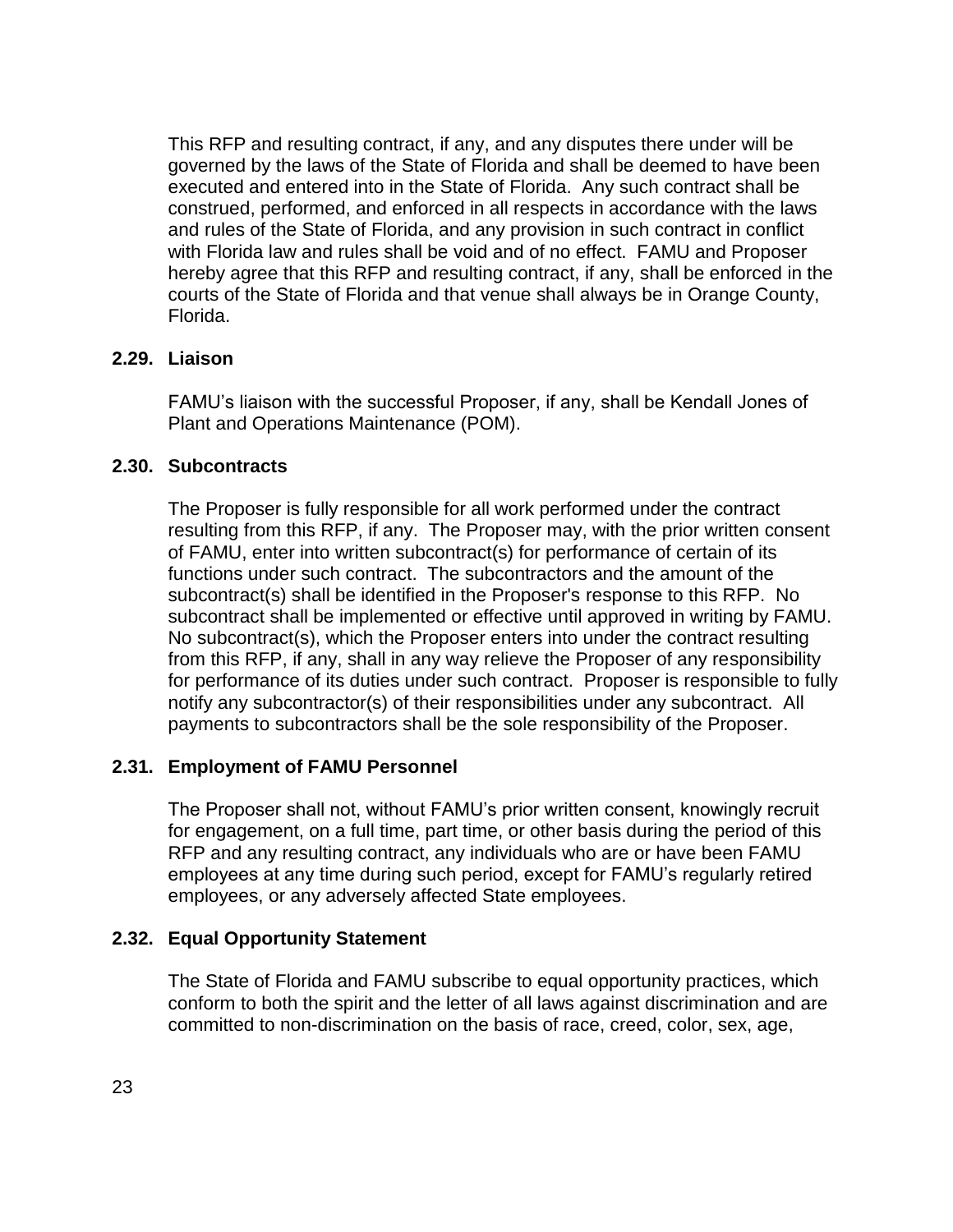This RFP and resulting contract, if any, and any disputes there under will be governed by the laws of the State of Florida and shall be deemed to have been executed and entered into in the State of Florida. Any such contract shall be construed, performed, and enforced in all respects in accordance with the laws and rules of the State of Florida, and any provision in such contract in conflict with Florida law and rules shall be void and of no effect. FAMU and Proposer hereby agree that this RFP and resulting contract, if any, shall be enforced in the courts of the State of Florida and that venue shall always be in Orange County, Florida.

### **2.29. Liaison**

FAMU's liaison with the successful Proposer, if any, shall be Kendall Jones of Plant and Operations Maintenance (POM).

### **2.30. Subcontracts**

The Proposer is fully responsible for all work performed under the contract resulting from this RFP, if any. The Proposer may, with the prior written consent of FAMU, enter into written subcontract(s) for performance of certain of its functions under such contract. The subcontractors and the amount of the subcontract(s) shall be identified in the Proposer's response to this RFP. No subcontract shall be implemented or effective until approved in writing by FAMU. No subcontract(s), which the Proposer enters into under the contract resulting from this RFP, if any, shall in any way relieve the Proposer of any responsibility for performance of its duties under such contract. Proposer is responsible to fully notify any subcontractor(s) of their responsibilities under any subcontract. All payments to subcontractors shall be the sole responsibility of the Proposer.

## **2.31. Employment of FAMU Personnel**

The Proposer shall not, without FAMU's prior written consent, knowingly recruit for engagement, on a full time, part time, or other basis during the period of this RFP and any resulting contract, any individuals who are or have been FAMU employees at any time during such period, except for FAMU's regularly retired employees, or any adversely affected State employees.

## **2.32. Equal Opportunity Statement**

The State of Florida and FAMU subscribe to equal opportunity practices, which conform to both the spirit and the letter of all laws against discrimination and are committed to non-discrimination on the basis of race, creed, color, sex, age,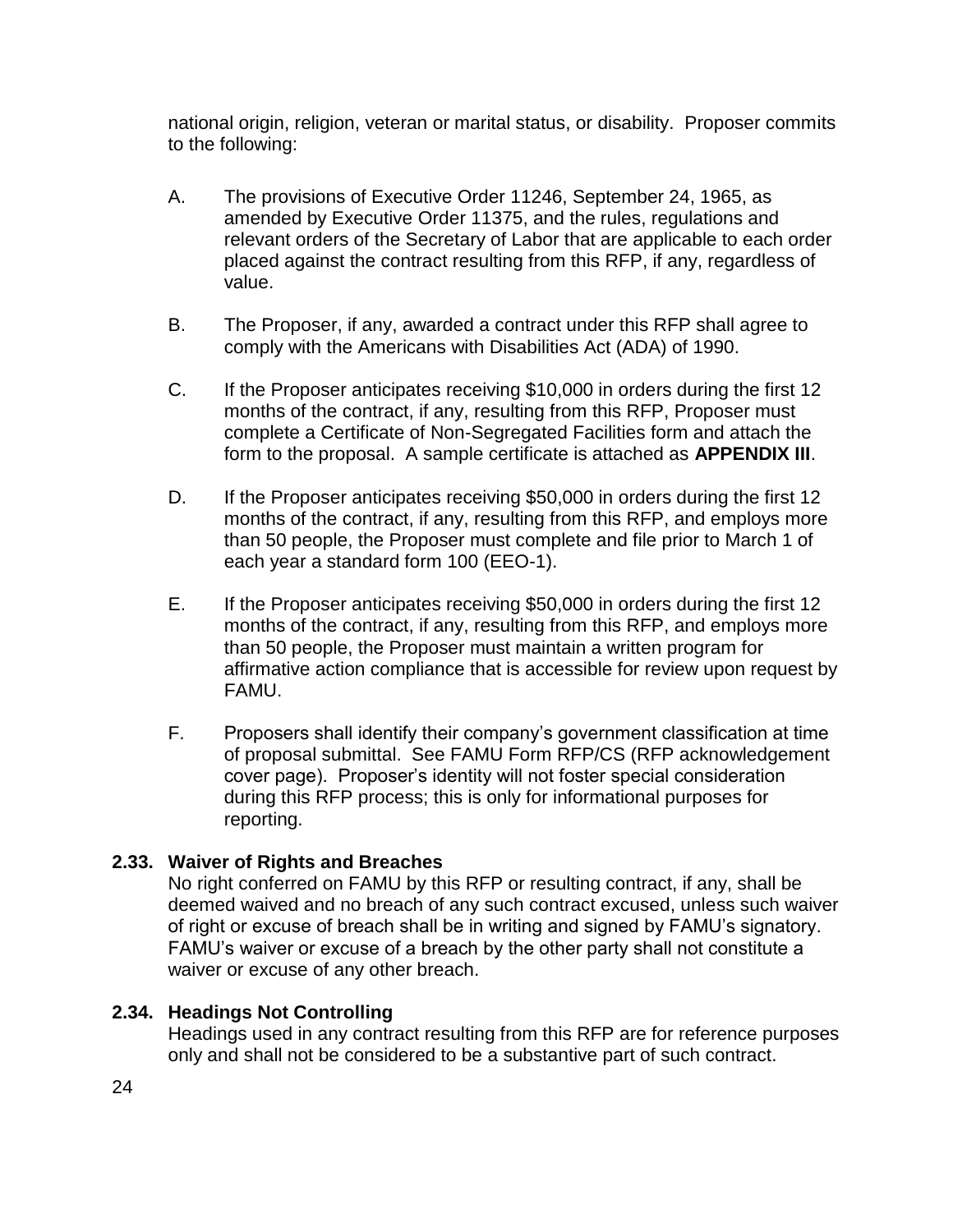national origin, religion, veteran or marital status, or disability. Proposer commits to the following:

- A. The provisions of Executive Order 11246, September 24, 1965, as amended by Executive Order 11375, and the rules, regulations and relevant orders of the Secretary of Labor that are applicable to each order placed against the contract resulting from this RFP, if any, regardless of value.
- B. The Proposer, if any, awarded a contract under this RFP shall agree to comply with the Americans with Disabilities Act (ADA) of 1990.
- C. If the Proposer anticipates receiving \$10,000 in orders during the first 12 months of the contract, if any, resulting from this RFP, Proposer must complete a Certificate of Non-Segregated Facilities form and attach the form to the proposal. A sample certificate is attached as **APPENDIX III**.
- D. If the Proposer anticipates receiving \$50,000 in orders during the first 12 months of the contract, if any, resulting from this RFP, and employs more than 50 people, the Proposer must complete and file prior to March 1 of each year a standard form 100 (EEO-1).
- E. If the Proposer anticipates receiving \$50,000 in orders during the first 12 months of the contract, if any, resulting from this RFP, and employs more than 50 people, the Proposer must maintain a written program for affirmative action compliance that is accessible for review upon request by FAMU.
- F. Proposers shall identify their company's government classification at time of proposal submittal. See FAMU Form RFP/CS (RFP acknowledgement cover page). Proposer's identity will not foster special consideration during this RFP process; this is only for informational purposes for reporting.

## **2.33. Waiver of Rights and Breaches**

No right conferred on FAMU by this RFP or resulting contract, if any, shall be deemed waived and no breach of any such contract excused, unless such waiver of right or excuse of breach shall be in writing and signed by FAMU's signatory. FAMU's waiver or excuse of a breach by the other party shall not constitute a waiver or excuse of any other breach.

## **2.34. Headings Not Controlling**

Headings used in any contract resulting from this RFP are for reference purposes only and shall not be considered to be a substantive part of such contract.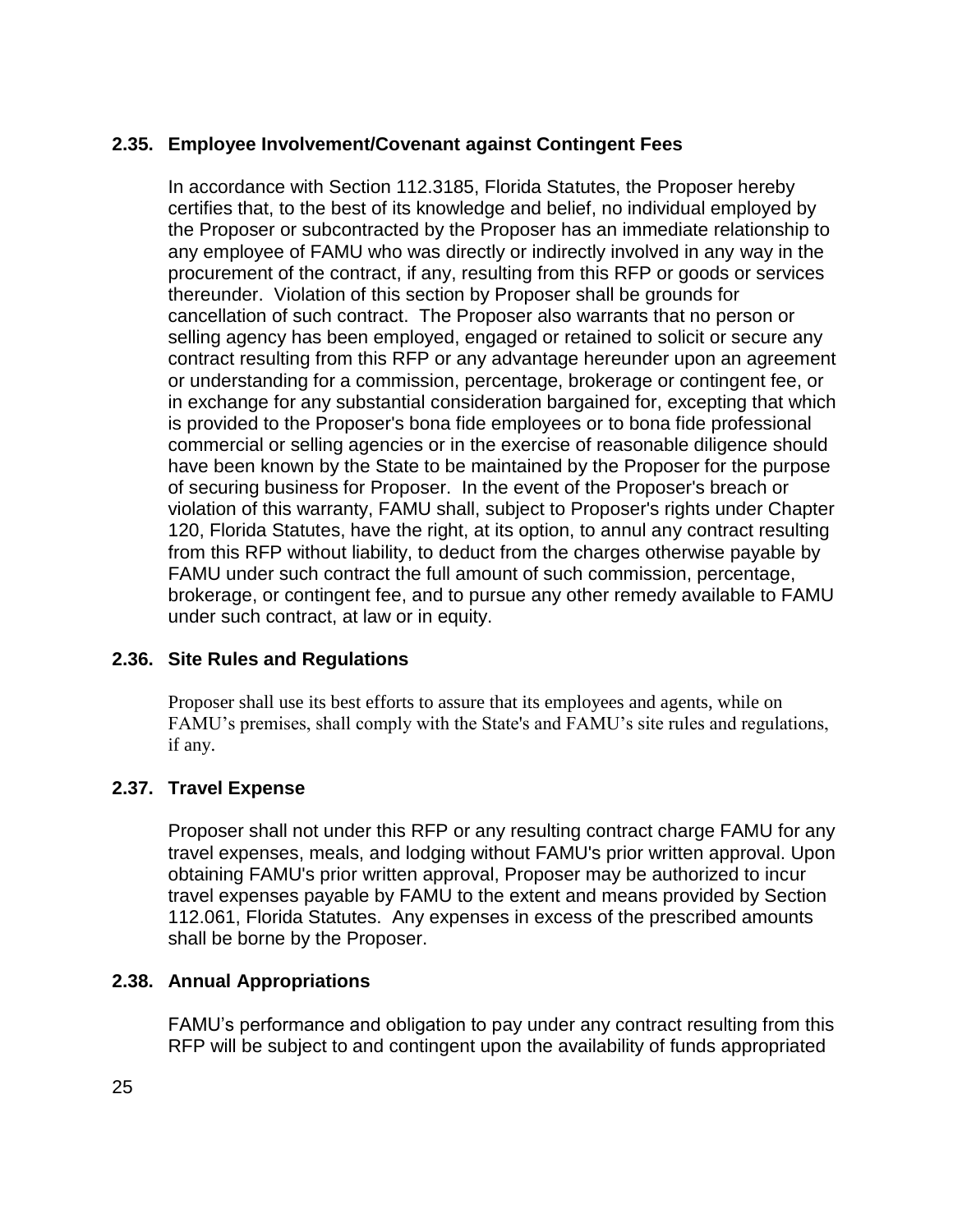## **2.35. Employee Involvement/Covenant against Contingent Fees**

In accordance with Section 112.3185, Florida Statutes, the Proposer hereby certifies that, to the best of its knowledge and belief, no individual employed by the Proposer or subcontracted by the Proposer has an immediate relationship to any employee of FAMU who was directly or indirectly involved in any way in the procurement of the contract, if any, resulting from this RFP or goods or services thereunder. Violation of this section by Proposer shall be grounds for cancellation of such contract. The Proposer also warrants that no person or selling agency has been employed, engaged or retained to solicit or secure any contract resulting from this RFP or any advantage hereunder upon an agreement or understanding for a commission, percentage, brokerage or contingent fee, or in exchange for any substantial consideration bargained for, excepting that which is provided to the Proposer's bona fide employees or to bona fide professional commercial or selling agencies or in the exercise of reasonable diligence should have been known by the State to be maintained by the Proposer for the purpose of securing business for Proposer. In the event of the Proposer's breach or violation of this warranty, FAMU shall, subject to Proposer's rights under Chapter 120, Florida Statutes, have the right, at its option, to annul any contract resulting from this RFP without liability, to deduct from the charges otherwise payable by FAMU under such contract the full amount of such commission, percentage, brokerage, or contingent fee, and to pursue any other remedy available to FAMU under such contract, at law or in equity.

### **2.36. Site Rules and Regulations**

Proposer shall use its best efforts to assure that its employees and agents, while on FAMU's premises, shall comply with the State's and FAMU's site rules and regulations, if any.

### **2.37. Travel Expense**

Proposer shall not under this RFP or any resulting contract charge FAMU for any travel expenses, meals, and lodging without FAMU's prior written approval. Upon obtaining FAMU's prior written approval, Proposer may be authorized to incur travel expenses payable by FAMU to the extent and means provided by Section 112.061, Florida Statutes. Any expenses in excess of the prescribed amounts shall be borne by the Proposer.

### **2.38. Annual Appropriations**

FAMU's performance and obligation to pay under any contract resulting from this RFP will be subject to and contingent upon the availability of funds appropriated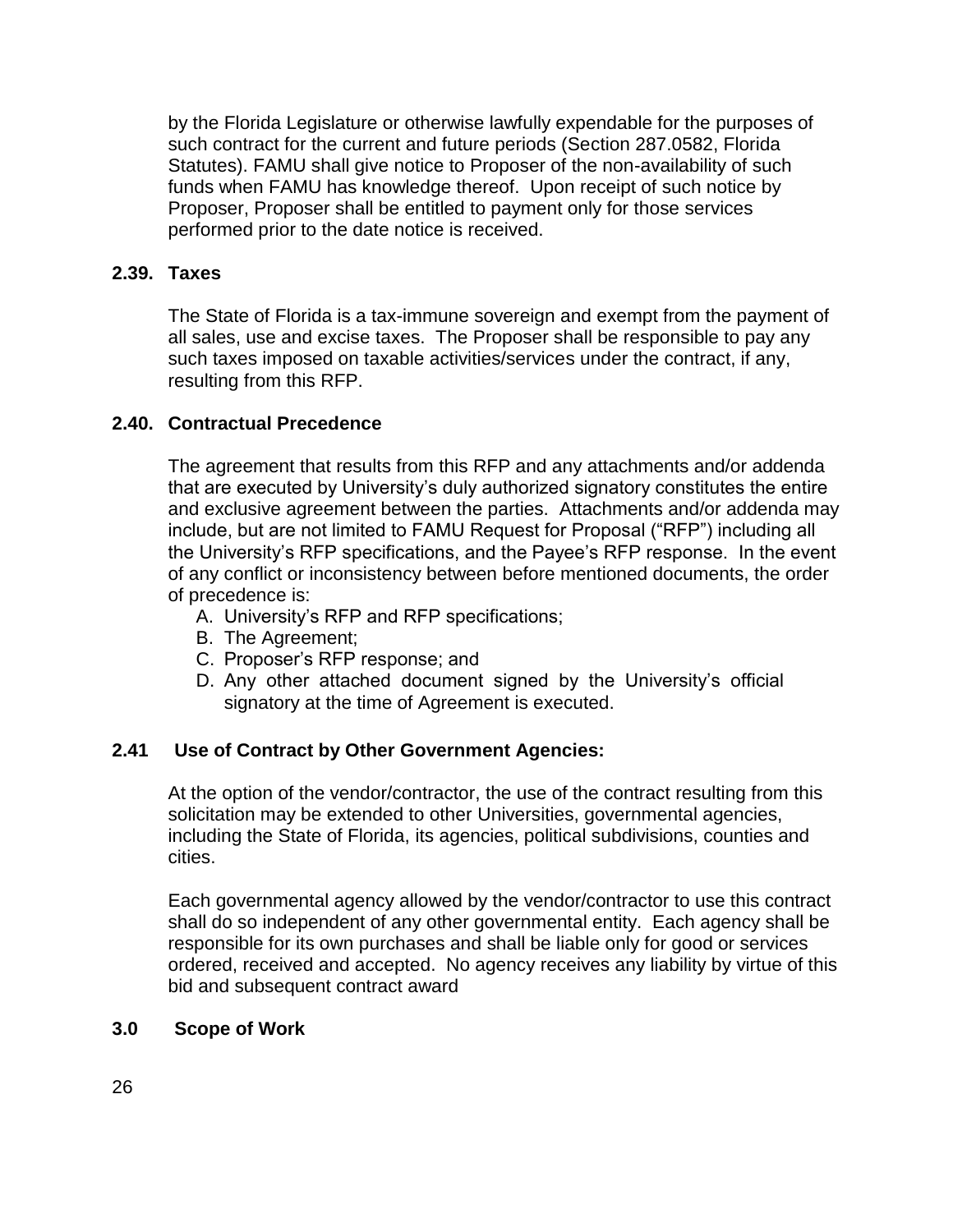by the Florida Legislature or otherwise lawfully expendable for the purposes of such contract for the current and future periods (Section 287.0582, Florida Statutes). FAMU shall give notice to Proposer of the non-availability of such funds when FAMU has knowledge thereof. Upon receipt of such notice by Proposer, Proposer shall be entitled to payment only for those services performed prior to the date notice is received.

### **2.39. Taxes**

The State of Florida is a tax-immune sovereign and exempt from the payment of all sales, use and excise taxes. The Proposer shall be responsible to pay any such taxes imposed on taxable activities/services under the contract, if any, resulting from this RFP.

### **2.40. Contractual Precedence**

The agreement that results from this RFP and any attachments and/or addenda that are executed by University's duly authorized signatory constitutes the entire and exclusive agreement between the parties. Attachments and/or addenda may include, but are not limited to FAMU Request for Proposal ("RFP") including all the University's RFP specifications, and the Payee's RFP response. In the event of any conflict or inconsistency between before mentioned documents, the order of precedence is:

- A. University's RFP and RFP specifications;
- B. The Agreement;
- C. Proposer's RFP response; and
- D. Any other attached document signed by the University's official signatory at the time of Agreement is executed.

### **2.41 Use of Contract by Other Government Agencies:**

At the option of the vendor/contractor, the use of the contract resulting from this solicitation may be extended to other Universities, governmental agencies, including the State of Florida, its agencies, political subdivisions, counties and cities.

Each governmental agency allowed by the vendor/contractor to use this contract shall do so independent of any other governmental entity. Each agency shall be responsible for its own purchases and shall be liable only for good or services ordered, received and accepted. No agency receives any liability by virtue of this bid and subsequent contract award

### **3.0 Scope of Work**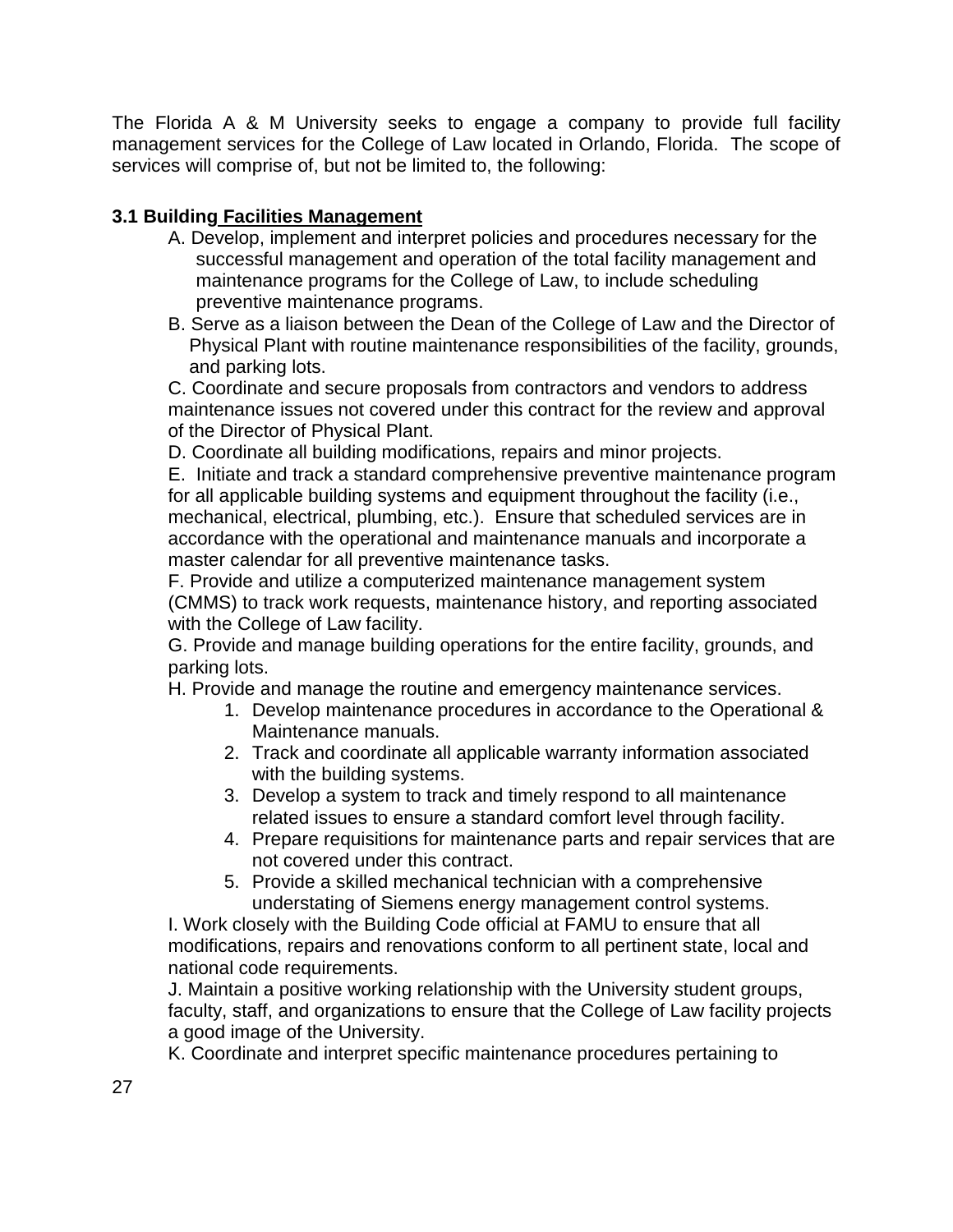The Florida A & M University seeks to engage a company to provide full facility management services for the College of Law located in Orlando, Florida. The scope of services will comprise of, but not be limited to, the following:

## **3.1 Building Facilities Management**

- A. Develop, implement and interpret policies and procedures necessary for the successful management and operation of the total facility management and maintenance programs for the College of Law, to include scheduling preventive maintenance programs.
- B. Serve as a liaison between the Dean of the College of Law and the Director of Physical Plant with routine maintenance responsibilities of the facility, grounds, and parking lots.

C. Coordinate and secure proposals from contractors and vendors to address maintenance issues not covered under this contract for the review and approval of the Director of Physical Plant.

D. Coordinate all building modifications, repairs and minor projects.

E. Initiate and track a standard comprehensive preventive maintenance program for all applicable building systems and equipment throughout the facility (i.e., mechanical, electrical, plumbing, etc.). Ensure that scheduled services are in accordance with the operational and maintenance manuals and incorporate a master calendar for all preventive maintenance tasks.

F. Provide and utilize a computerized maintenance management system (CMMS) to track work requests, maintenance history, and reporting associated with the College of Law facility.

G. Provide and manage building operations for the entire facility, grounds, and parking lots.

H. Provide and manage the routine and emergency maintenance services.

- 1. Develop maintenance procedures in accordance to the Operational & Maintenance manuals.
- 2. Track and coordinate all applicable warranty information associated with the building systems.
- 3. Develop a system to track and timely respond to all maintenance related issues to ensure a standard comfort level through facility.
- 4. Prepare requisitions for maintenance parts and repair services that are not covered under this contract.
- 5. Provide a skilled mechanical technician with a comprehensive understating of Siemens energy management control systems.

I. Work closely with the Building Code official at FAMU to ensure that all modifications, repairs and renovations conform to all pertinent state, local and national code requirements.

J. Maintain a positive working relationship with the University student groups, faculty, staff, and organizations to ensure that the College of Law facility projects a good image of the University.

K. Coordinate and interpret specific maintenance procedures pertaining to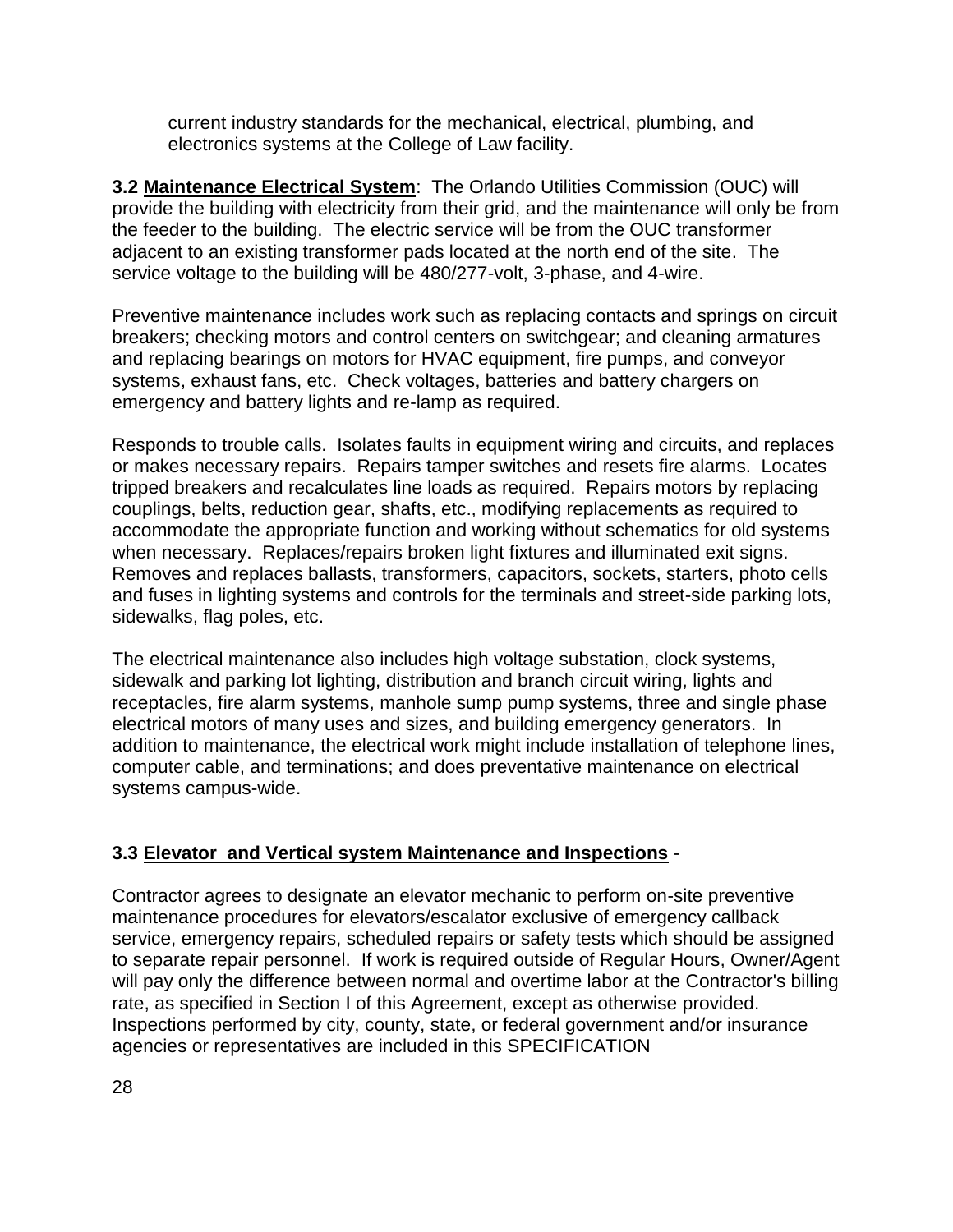current industry standards for the mechanical, electrical, plumbing, and electronics systems at the College of Law facility.

**3.2 Maintenance Electrical System**: The Orlando Utilities Commission (OUC) will provide the building with electricity from their grid, and the maintenance will only be from the feeder to the building. The electric service will be from the OUC transformer adjacent to an existing transformer pads located at the north end of the site. The service voltage to the building will be 480/277-volt, 3-phase, and 4-wire.

Preventive maintenance includes work such as replacing contacts and springs on circuit breakers; checking motors and control centers on switchgear; and cleaning armatures and replacing bearings on motors for HVAC equipment, fire pumps, and conveyor systems, exhaust fans, etc. Check voltages, batteries and battery chargers on emergency and battery lights and re-lamp as required.

Responds to trouble calls. Isolates faults in equipment wiring and circuits, and replaces or makes necessary repairs. Repairs tamper switches and resets fire alarms. Locates tripped breakers and recalculates line loads as required. Repairs motors by replacing couplings, belts, reduction gear, shafts, etc., modifying replacements as required to accommodate the appropriate function and working without schematics for old systems when necessary. Replaces/repairs broken light fixtures and illuminated exit signs. Removes and replaces ballasts, transformers, capacitors, sockets, starters, photo cells and fuses in lighting systems and controls for the terminals and street-side parking lots, sidewalks, flag poles, etc.

The electrical maintenance also includes high voltage substation, clock systems, sidewalk and parking lot lighting, distribution and branch circuit wiring, lights and receptacles, fire alarm systems, manhole sump pump systems, three and single phase electrical motors of many uses and sizes, and building emergency generators. In addition to maintenance, the electrical work might include installation of telephone lines, computer cable, and terminations; and does preventative maintenance on electrical systems campus-wide.

## **3.3 Elevator and Vertical system Maintenance and Inspections** -

Contractor agrees to designate an elevator mechanic to perform on-site preventive maintenance procedures for elevators/escalator exclusive of emergency callback service, emergency repairs, scheduled repairs or safety tests which should be assigned to separate repair personnel. If work is required outside of Regular Hours, Owner/Agent will pay only the difference between normal and overtime labor at the Contractor's billing rate, as specified in Section I of this Agreement, except as otherwise provided. Inspections performed by city, county, state, or federal government and/or insurance agencies or representatives are included in this SPECIFICATION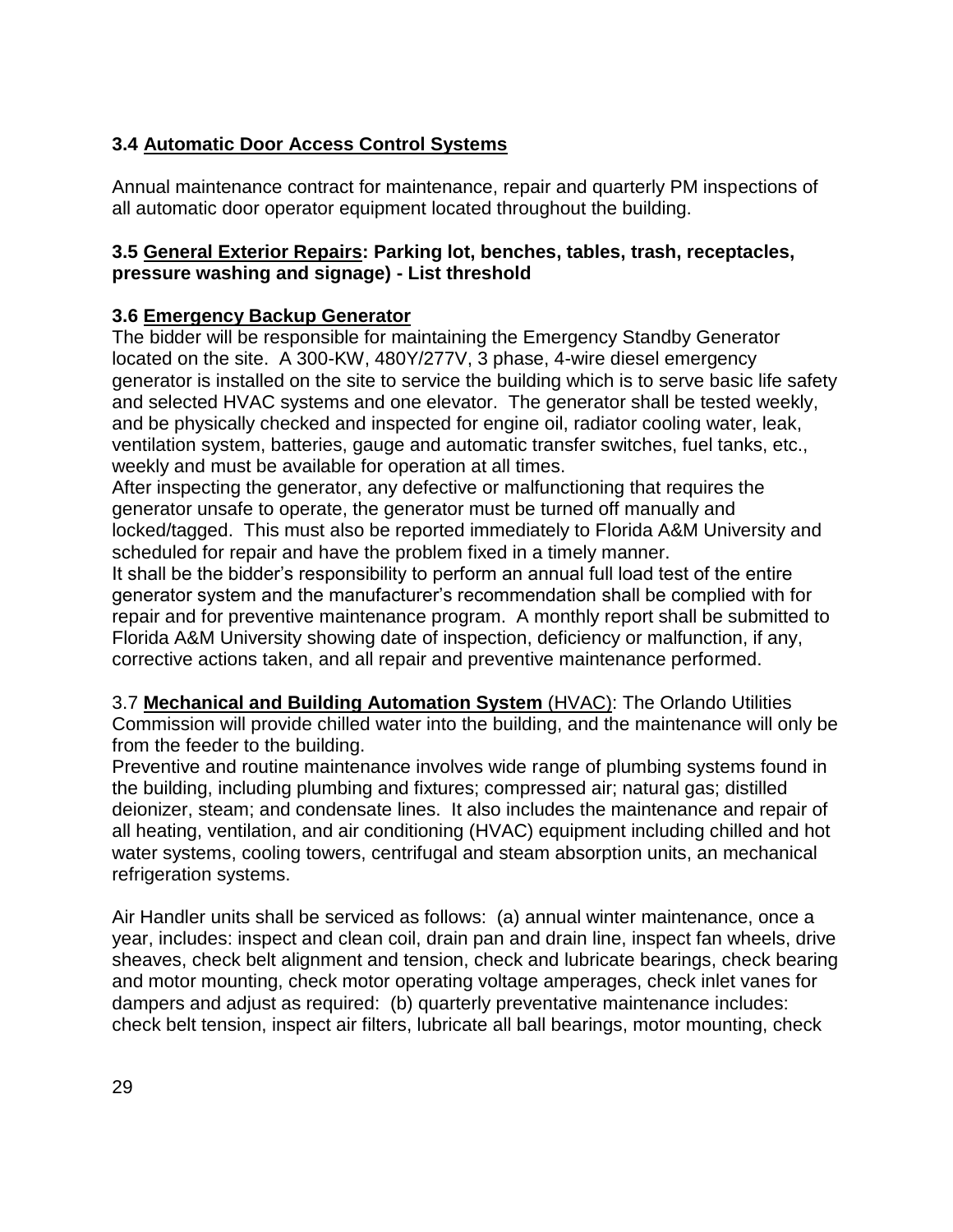## **3.4 Automatic Door Access Control Systems**

Annual maintenance contract for maintenance, repair and quarterly PM inspections of all automatic door operator equipment located throughout the building.

## **3.5 General Exterior Repairs: Parking lot, benches, tables, trash, receptacles, pressure washing and signage) - List threshold**

## **3.6 Emergency Backup Generator**

The bidder will be responsible for maintaining the Emergency Standby Generator located on the site. A 300-KW, 480Y/277V, 3 phase, 4-wire diesel emergency generator is installed on the site to service the building which is to serve basic life safety and selected HVAC systems and one elevator. The generator shall be tested weekly, and be physically checked and inspected for engine oil, radiator cooling water, leak, ventilation system, batteries, gauge and automatic transfer switches, fuel tanks, etc., weekly and must be available for operation at all times.

After inspecting the generator, any defective or malfunctioning that requires the generator unsafe to operate, the generator must be turned off manually and locked/tagged. This must also be reported immediately to Florida A&M University and scheduled for repair and have the problem fixed in a timely manner.

It shall be the bidder's responsibility to perform an annual full load test of the entire generator system and the manufacturer's recommendation shall be complied with for repair and for preventive maintenance program. A monthly report shall be submitted to Florida A&M University showing date of inspection, deficiency or malfunction, if any, corrective actions taken, and all repair and preventive maintenance performed.

3.7 **Mechanical and Building Automation System** (HVAC): The Orlando Utilities Commission will provide chilled water into the building, and the maintenance will only be from the feeder to the building.

Preventive and routine maintenance involves wide range of plumbing systems found in the building, including plumbing and fixtures; compressed air; natural gas; distilled deionizer, steam; and condensate lines. It also includes the maintenance and repair of all heating, ventilation, and air conditioning (HVAC) equipment including chilled and hot water systems, cooling towers, centrifugal and steam absorption units, an mechanical refrigeration systems.

Air Handler units shall be serviced as follows: (a) annual winter maintenance, once a year, includes: inspect and clean coil, drain pan and drain line, inspect fan wheels, drive sheaves, check belt alignment and tension, check and lubricate bearings, check bearing and motor mounting, check motor operating voltage amperages, check inlet vanes for dampers and adjust as required: (b) quarterly preventative maintenance includes: check belt tension, inspect air filters, lubricate all ball bearings, motor mounting, check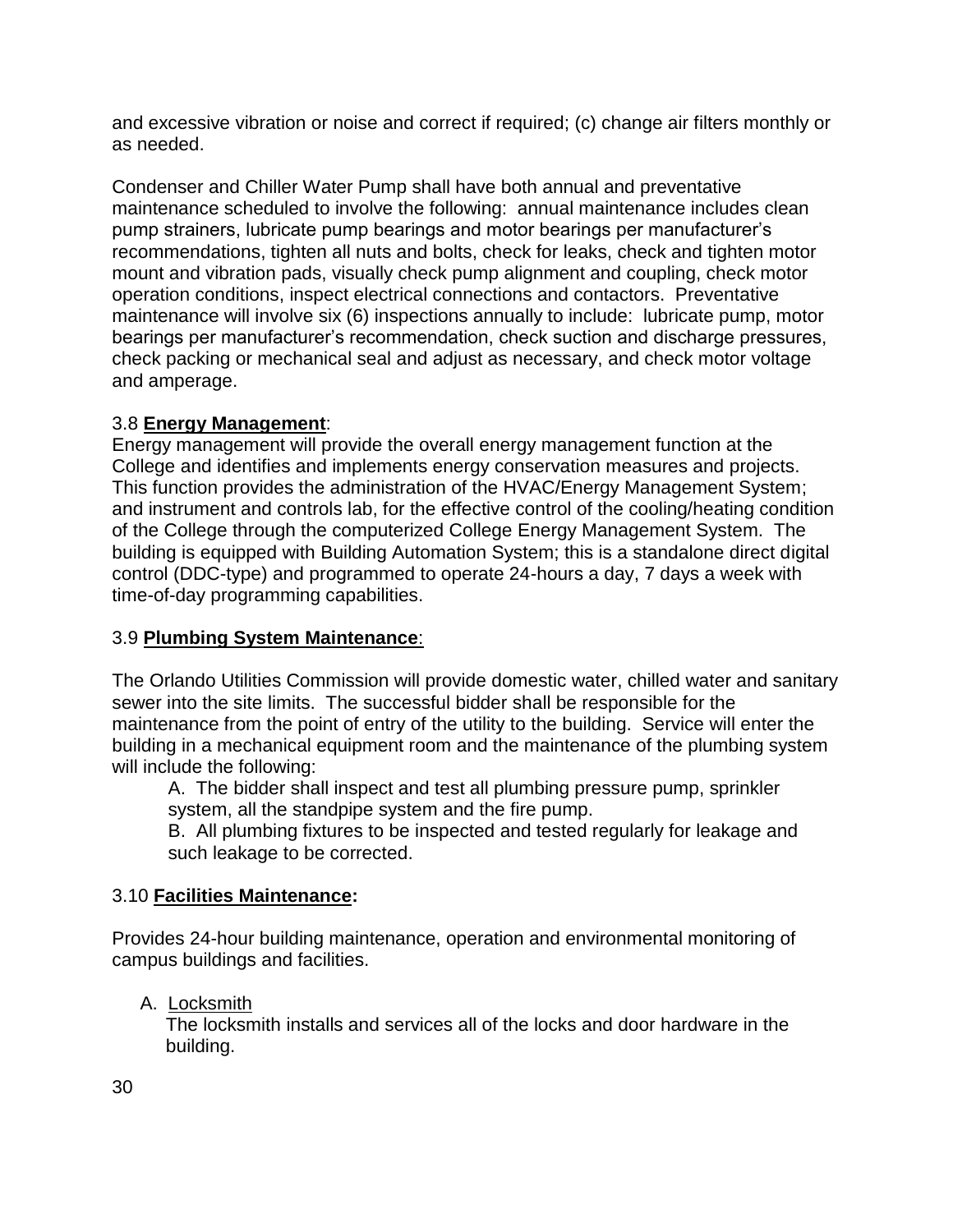and excessive vibration or noise and correct if required; (c) change air filters monthly or as needed.

Condenser and Chiller Water Pump shall have both annual and preventative maintenance scheduled to involve the following: annual maintenance includes clean pump strainers, lubricate pump bearings and motor bearings per manufacturer's recommendations, tighten all nuts and bolts, check for leaks, check and tighten motor mount and vibration pads, visually check pump alignment and coupling, check motor operation conditions, inspect electrical connections and contactors. Preventative maintenance will involve six (6) inspections annually to include: lubricate pump, motor bearings per manufacturer's recommendation, check suction and discharge pressures, check packing or mechanical seal and adjust as necessary, and check motor voltage and amperage.

## 3.8 **Energy Management**:

Energy management will provide the overall energy management function at the College and identifies and implements energy conservation measures and projects. This function provides the administration of the HVAC/Energy Management System; and instrument and controls lab, for the effective control of the cooling/heating condition of the College through the computerized College Energy Management System. The building is equipped with Building Automation System; this is a standalone direct digital control (DDC-type) and programmed to operate 24-hours a day, 7 days a week with time-of-day programming capabilities.

## 3.9 **Plumbing System Maintenance**:

The Orlando Utilities Commission will provide domestic water, chilled water and sanitary sewer into the site limits. The successful bidder shall be responsible for the maintenance from the point of entry of the utility to the building. Service will enter the building in a mechanical equipment room and the maintenance of the plumbing system will include the following:

A. The bidder shall inspect and test all plumbing pressure pump, sprinkler system, all the standpipe system and the fire pump.

B. All plumbing fixtures to be inspected and tested regularly for leakage and such leakage to be corrected.

## 3.10 **Facilities Maintenance:**

Provides 24-hour building maintenance, operation and environmental monitoring of campus buildings and facilities.

## A. Locksmith

The locksmith installs and services all of the locks and door hardware in the building.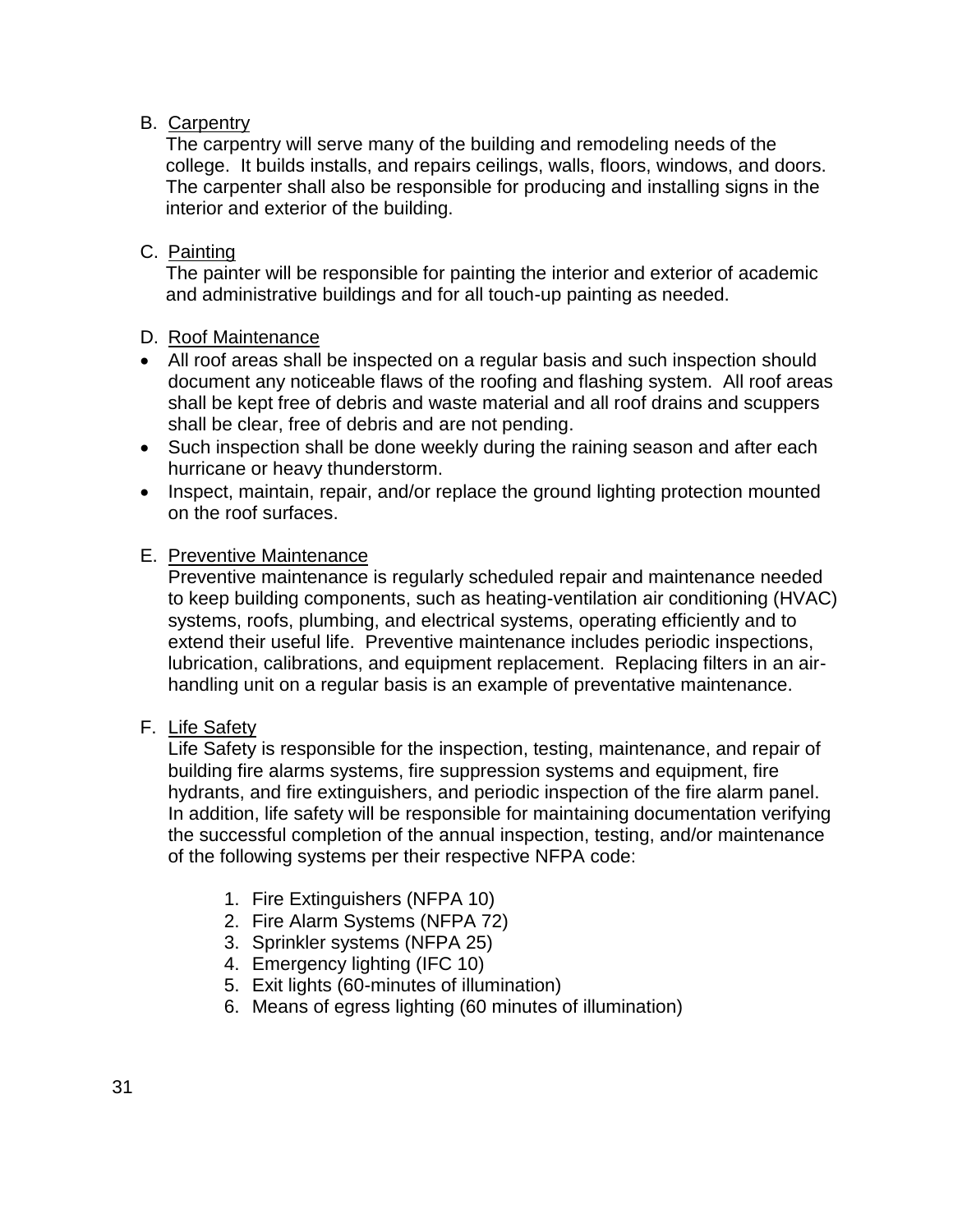## B. Carpentry

The carpentry will serve many of the building and remodeling needs of the college. It builds installs, and repairs ceilings, walls, floors, windows, and doors. The carpenter shall also be responsible for producing and installing signs in the interior and exterior of the building.

### C. Painting

The painter will be responsible for painting the interior and exterior of academic and administrative buildings and for all touch-up painting as needed.

### D. Roof Maintenance

- All roof areas shall be inspected on a regular basis and such inspection should document any noticeable flaws of the roofing and flashing system. All roof areas shall be kept free of debris and waste material and all roof drains and scuppers shall be clear, free of debris and are not pending.
- Such inspection shall be done weekly during the raining season and after each hurricane or heavy thunderstorm.
- Inspect, maintain, repair, and/or replace the ground lighting protection mounted on the roof surfaces.

### E. Preventive Maintenance

Preventive maintenance is regularly scheduled repair and maintenance needed to keep building components, such as heating-ventilation air conditioning (HVAC) systems, roofs, plumbing, and electrical systems, operating efficiently and to extend their useful life. Preventive maintenance includes periodic inspections, lubrication, calibrations, and equipment replacement. Replacing filters in an airhandling unit on a regular basis is an example of preventative maintenance.

### F. Life Safety

Life Safety is responsible for the inspection, testing, maintenance, and repair of building fire alarms systems, fire suppression systems and equipment, fire hydrants, and fire extinguishers, and periodic inspection of the fire alarm panel. In addition, life safety will be responsible for maintaining documentation verifying the successful completion of the annual inspection, testing, and/or maintenance of the following systems per their respective NFPA code:

- 1. Fire Extinguishers (NFPA 10)
- 2. Fire Alarm Systems (NFPA 72)
- 3. Sprinkler systems (NFPA 25)
- 4. Emergency lighting (IFC 10)
- 5. Exit lights (60-minutes of illumination)
- 6. Means of egress lighting (60 minutes of illumination)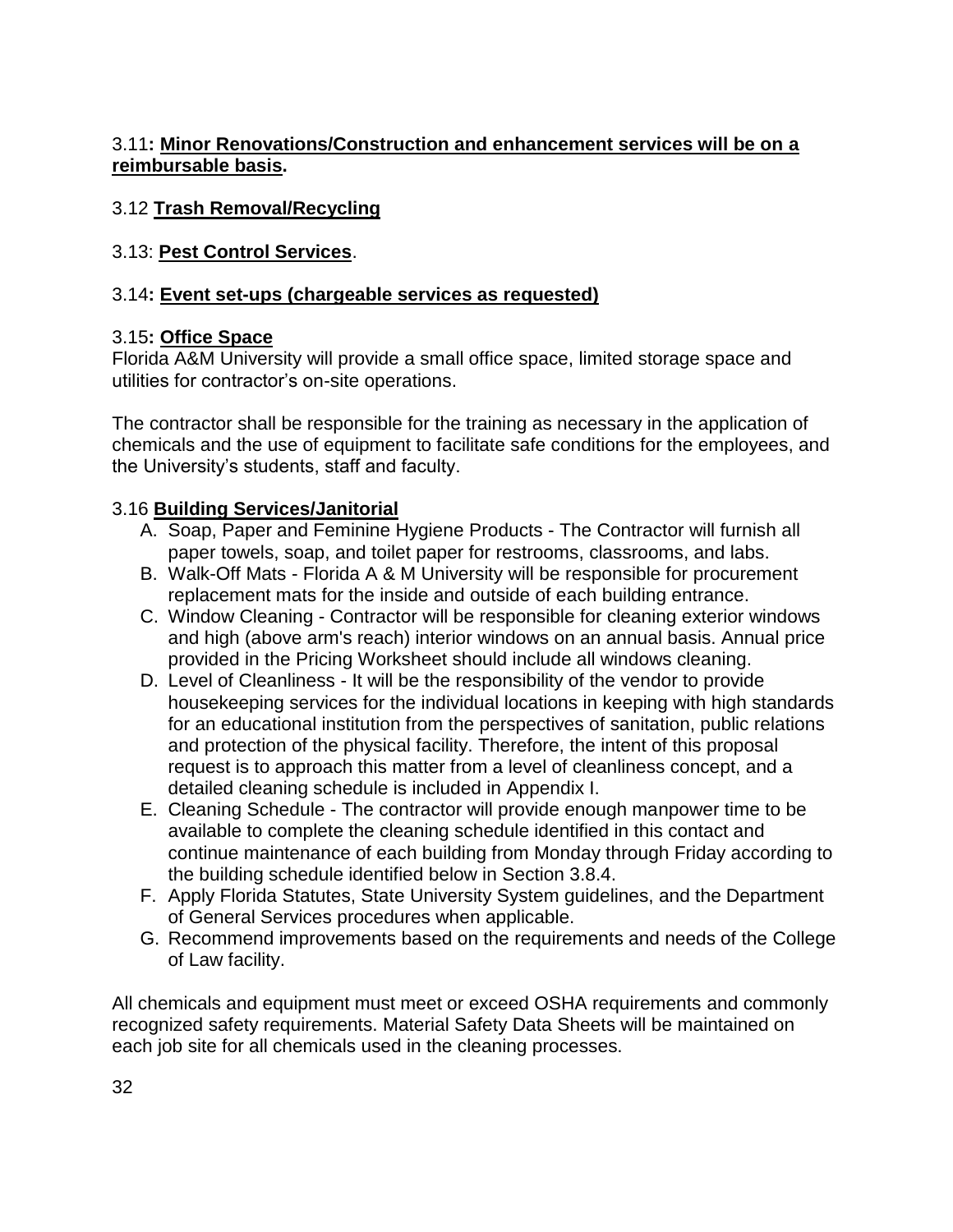## 3.11**: Minor Renovations/Construction and enhancement services will be on a reimbursable basis.**

## 3.12 **Trash Removal/Recycling**

## 3.13: **Pest Control Services**.

## 3.14**: Event set-ups (chargeable services as requested)**

## 3.15**: Office Space**

Florida A&M University will provide a small office space, limited storage space and utilities for contractor's on-site operations.

The contractor shall be responsible for the training as necessary in the application of chemicals and the use of equipment to facilitate safe conditions for the employees, and the University's students, staff and faculty.

## 3.16 **Building Services/Janitorial**

- A. Soap, Paper and Feminine Hygiene Products The Contractor will furnish all paper towels, soap, and toilet paper for restrooms, classrooms, and labs.
- B. Walk-Off Mats Florida A & M University will be responsible for procurement replacement mats for the inside and outside of each building entrance.
- C. Window Cleaning Contractor will be responsible for cleaning exterior windows and high (above arm's reach) interior windows on an annual basis. Annual price provided in the Pricing Worksheet should include all windows cleaning.
- D. Level of Cleanliness It will be the responsibility of the vendor to provide housekeeping services for the individual locations in keeping with high standards for an educational institution from the perspectives of sanitation, public relations and protection of the physical facility. Therefore, the intent of this proposal request is to approach this matter from a level of cleanliness concept, and a detailed cleaning schedule is included in Appendix I.
- E. Cleaning Schedule The contractor will provide enough manpower time to be available to complete the cleaning schedule identified in this contact and continue maintenance of each building from Monday through Friday according to the building schedule identified below in Section 3.8.4.
- F. Apply Florida Statutes, State University System guidelines, and the Department of General Services procedures when applicable.
- G. Recommend improvements based on the requirements and needs of the College of Law facility.

All chemicals and equipment must meet or exceed OSHA requirements and commonly recognized safety requirements. Material Safety Data Sheets will be maintained on each job site for all chemicals used in the cleaning processes.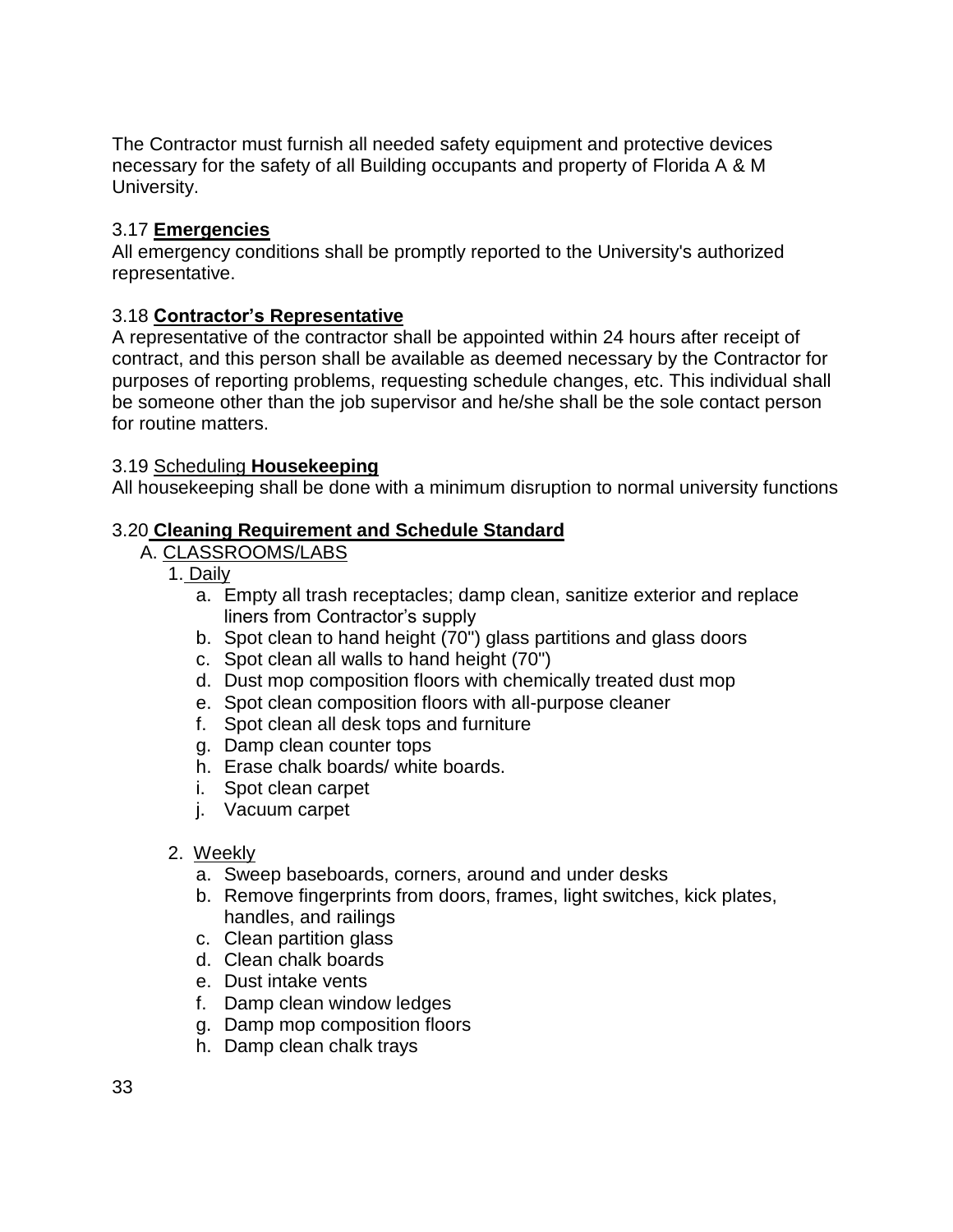The Contractor must furnish all needed safety equipment and protective devices necessary for the safety of all Building occupants and property of Florida A & M University.

## 3.17 **Emergencies**

All emergency conditions shall be promptly reported to the University's authorized representative.

## 3.18 **Contractor's Representative**

A representative of the contractor shall be appointed within 24 hours after receipt of contract, and this person shall be available as deemed necessary by the Contractor for purposes of reporting problems, requesting schedule changes, etc. This individual shall be someone other than the job supervisor and he/she shall be the sole contact person for routine matters.

### 3.19 Scheduling **Housekeeping**

All housekeeping shall be done with a minimum disruption to normal university functions

## 3.20 **Cleaning Requirement and Schedule Standard**

### A. CLASSROOMS/LABS

- 1. Daily
	- a. Empty all trash receptacles; damp clean, sanitize exterior and replace liners from Contractor's supply
	- b. Spot clean to hand height (70") glass partitions and glass doors
	- c. Spot clean all walls to hand height (70")
	- d. Dust mop composition floors with chemically treated dust mop
	- e. Spot clean composition floors with all-purpose cleaner
	- f. Spot clean all desk tops and furniture
	- g. Damp clean counter tops
	- h. Erase chalk boards/ white boards.
	- i. Spot clean carpet
	- j. Vacuum carpet
- 2. Weekly
	- a. Sweep baseboards, corners, around and under desks
	- b. Remove fingerprints from doors, frames, light switches, kick plates, handles, and railings
	- c. Clean partition glass
	- d. Clean chalk boards
	- e. Dust intake vents
	- f. Damp clean window ledges
	- g. Damp mop composition floors
	- h. Damp clean chalk trays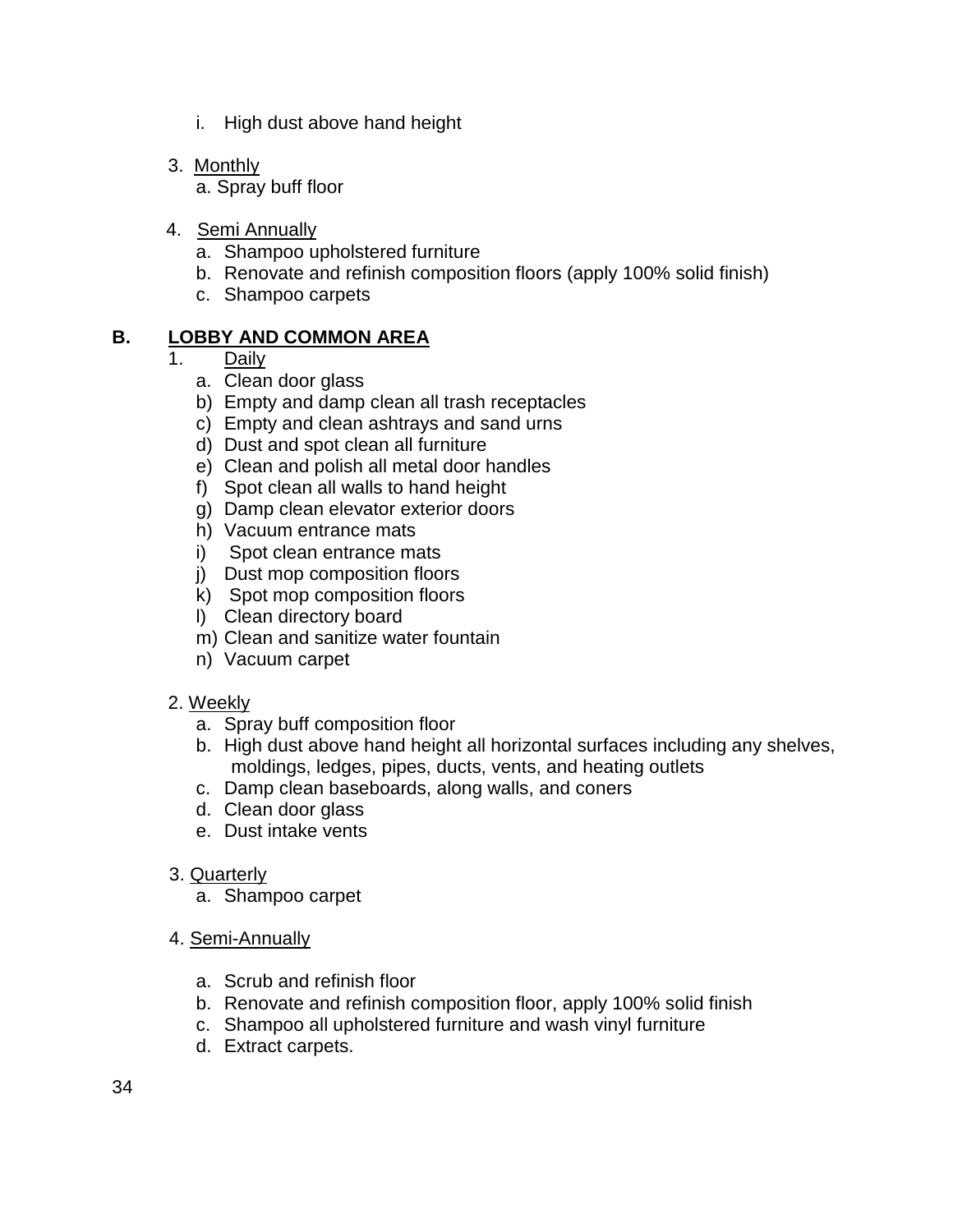- i. High dust above hand height
- 3. Monthly

a. Spray buff floor

- 4. Semi Annually
	- a. Shampoo upholstered furniture
	- b. Renovate and refinish composition floors (apply 100% solid finish)
	- c. Shampoo carpets

### **B. LOBBY AND COMMON AREA**

## 1. Daily

- a. Clean door glass
- b) Empty and damp clean all trash receptacles
- c) Empty and clean ashtrays and sand urns
- d) Dust and spot clean all furniture
- e) Clean and polish all metal door handles
- f) Spot clean all walls to hand height
- g) Damp clean elevator exterior doors
- h) Vacuum entrance mats
- i) Spot clean entrance mats
- j) Dust mop composition floors
- k) Spot mop composition floors
- l) Clean directory board
- m) Clean and sanitize water fountain
- n) Vacuum carpet

### 2. Weekly

- a. Spray buff composition floor
- b. High dust above hand height all horizontal surfaces including any shelves, moldings, ledges, pipes, ducts, vents, and heating outlets
- c. Damp clean baseboards, along walls, and coners
- d. Clean door glass
- e. Dust intake vents
- 3. Quarterly
	- a. Shampoo carpet
- 4. Semi-Annually
	- a. Scrub and refinish floor
	- b. Renovate and refinish composition floor, apply 100% solid finish
	- c. Shampoo all upholstered furniture and wash vinyl furniture
	- d. Extract carpets.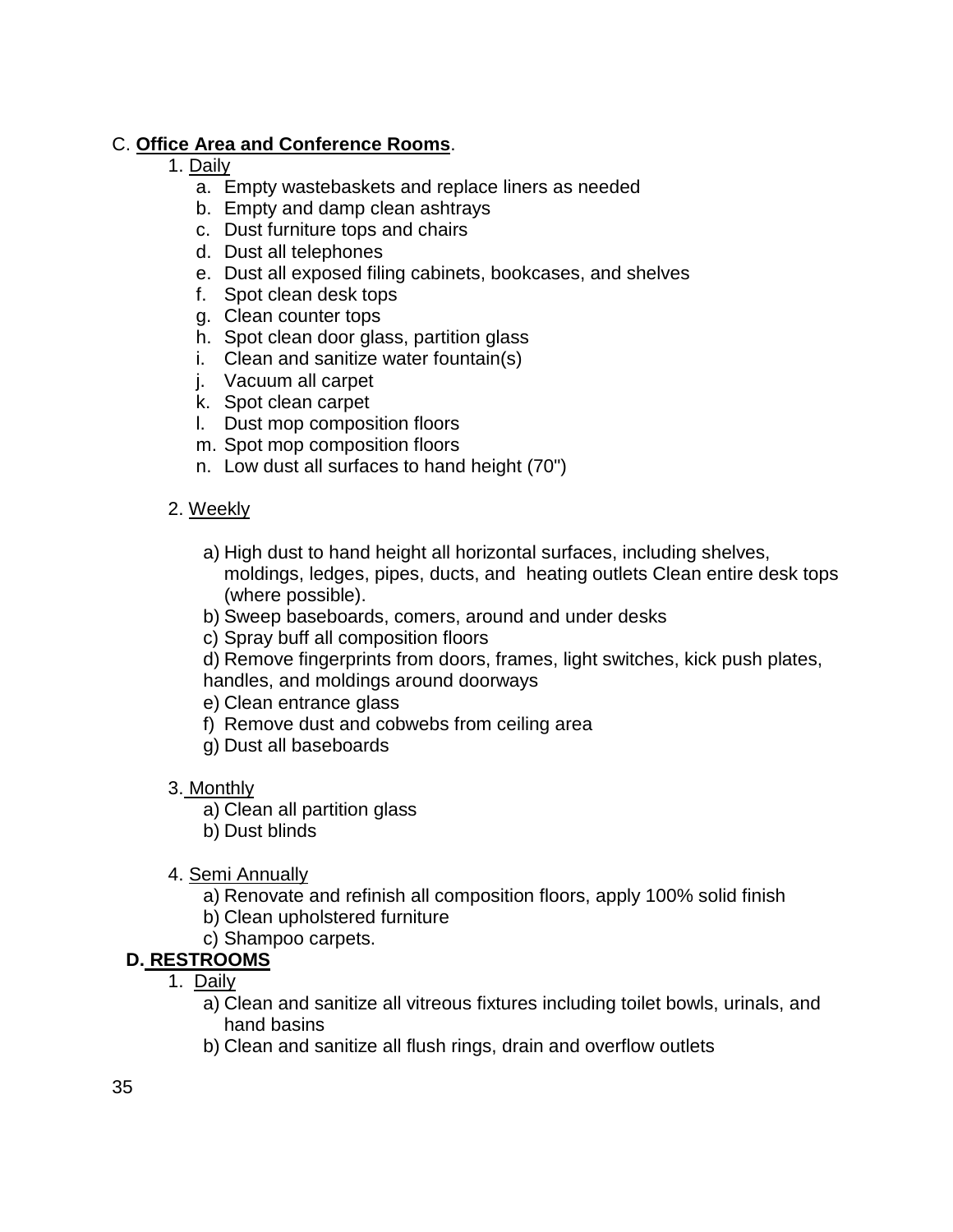## C. **Office Area and Conference Rooms**.

- 1. Daily
	- a. Empty wastebaskets and replace liners as needed
	- b. Empty and damp clean ashtrays
	- c. Dust furniture tops and chairs
	- d. Dust all telephones
	- e. Dust all exposed filing cabinets, bookcases, and shelves
	- f. Spot clean desk tops
	- g. Clean counter tops
	- h. Spot clean door glass, partition glass
	- i. Clean and sanitize water fountain(s)
	- j. Vacuum all carpet
	- k. Spot clean carpet
	- l. Dust mop composition floors
	- m. Spot mop composition floors
	- n. Low dust all surfaces to hand height (70")

## 2. Weekly

- a) High dust to hand height all horizontal surfaces, including shelves, moldings, ledges, pipes, ducts, and heating outlets Clean entire desk tops (where possible).
- b) Sweep baseboards, comers, around and under desks
- c) Spray buff all composition floors

d) Remove fingerprints from doors, frames, light switches, kick push plates, handles, and moldings around doorways

- e) Clean entrance glass
- f) Remove dust and cobwebs from ceiling area
- g) Dust all baseboards
- 3. Monthly
	- a) Clean all partition glass
	- b) Dust blinds
- 4. Semi Annually
	- a) Renovate and refinish all composition floors, apply 100% solid finish
	- b) Clean upholstered furniture
	- c) Shampoo carpets.

## **D. RESTROOMS**

- 1. Daily
	- a) Clean and sanitize all vitreous fixtures including toilet bowls, urinals, and hand basins
	- b) Clean and sanitize all flush rings, drain and overflow outlets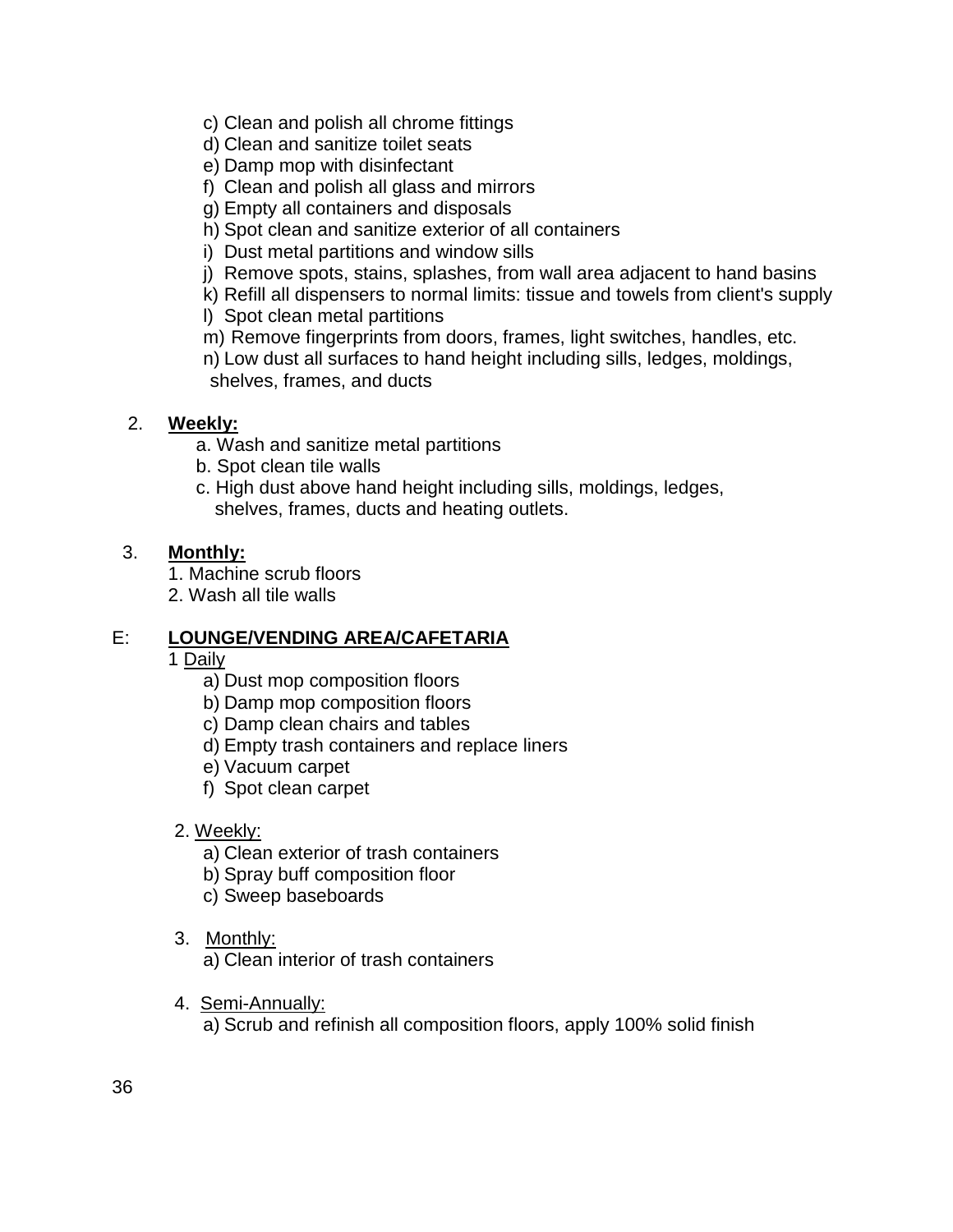- c) Clean and polish all chrome fittings
- d) Clean and sanitize toilet seats
- e) Damp mop with disinfectant
- f) Clean and polish all glass and mirrors
- g) Empty all containers and disposals
- h) Spot clean and sanitize exterior of all containers
- i) Dust metal partitions and window sills
- j) Remove spots, stains, splashes, from wall area adjacent to hand basins
- k) Refill all dispensers to normal limits: tissue and towels from client's supply
- l) Spot clean metal partitions
- m) Remove fingerprints from doors, frames, light switches, handles, etc.
- n) Low dust all surfaces to hand height including sills, ledges, moldings, shelves, frames, and ducts

## 2. **Weekly:**

- a. Wash and sanitize metal partitions
- b. Spot clean tile walls
- c. High dust above hand height including sills, moldings, ledges, shelves, frames, ducts and heating outlets.

### 3. **Monthly:**

- 1. Machine scrub floors
- 2. Wash all tile walls

### E: **LOUNGE/VENDING AREA/CAFETARIA**

- 1 Daily
	- a) Dust mop composition floors
	- b) Damp mop composition floors
	- c) Damp clean chairs and tables
	- d) Empty trash containers and replace liners
	- e) Vacuum carpet
	- f) Spot clean carpet

### 2. Weekly:

- a) Clean exterior of trash containers
- b) Spray buff composition floor
- c) Sweep baseboards
- 3. Monthly:

a) Clean interior of trash containers

4. Semi-Annually:

a) Scrub and refinish all composition floors, apply 100% solid finish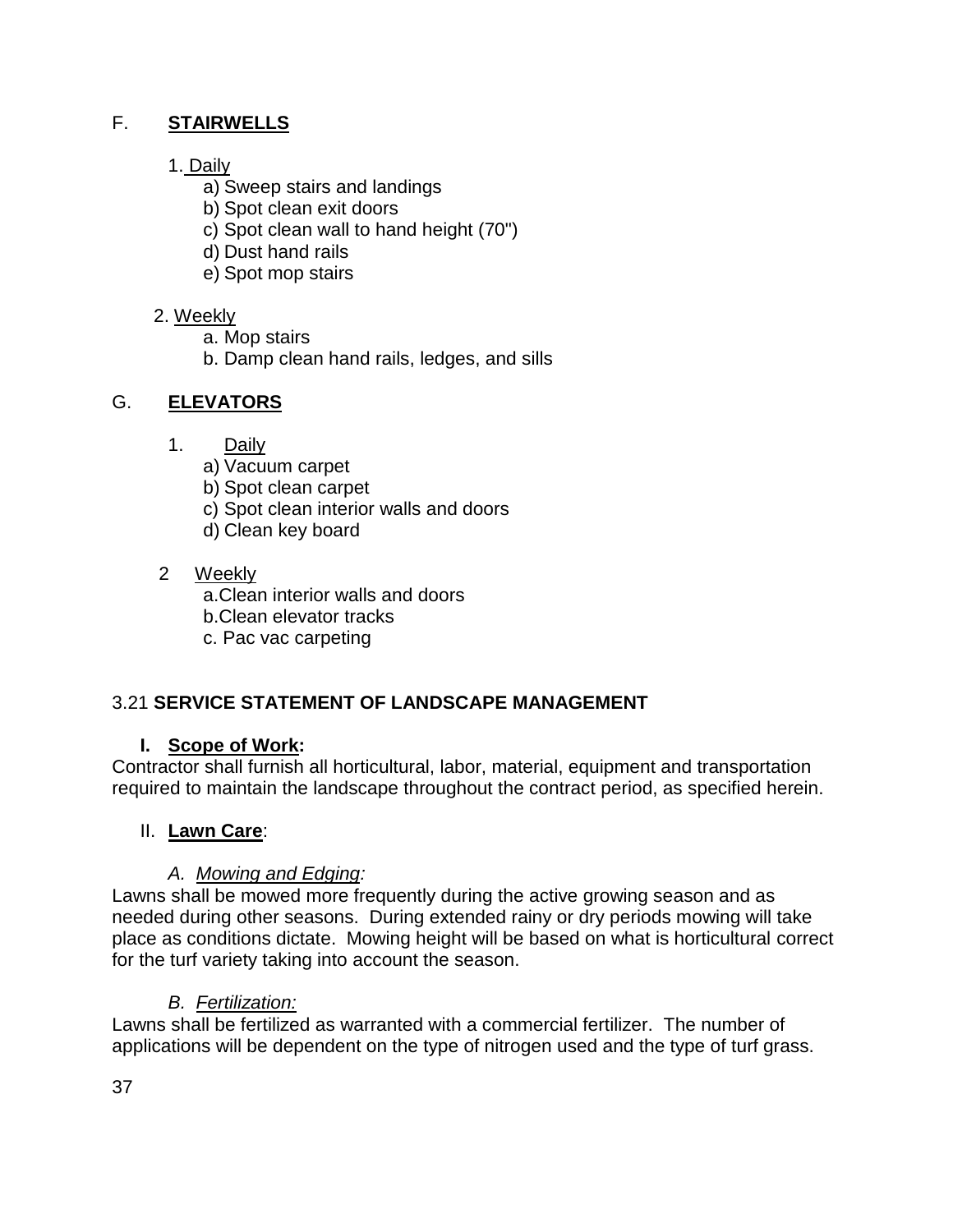## F. **STAIRWELLS**

## 1. Daily

- a) Sweep stairs and landings
- b) Spot clean exit doors
- c) Spot clean wall to hand height (70")
- d) Dust hand rails
- e) Spot mop stairs

## 2. Weekly

- a. Mop stairs
- b. Damp clean hand rails, ledges, and sills

## G. **ELEVATORS**

- 1. Daily
	- a) Vacuum carpet
	- b) Spot clean carpet
	- c) Spot clean interior walls and doors
	- d) Clean key board

## 2 Weekly

a.Clean interior walls and doors

- b.Clean elevator tracks
- c. Pac vac carpeting

## 3.21 **SERVICE STATEMENT OF LANDSCAPE MANAGEMENT**

## **I. Scope of Work:**

Contractor shall furnish all horticultural, labor, material, equipment and transportation required to maintain the landscape throughout the contract period, as specified herein.

## II. **Lawn Care**:

## *A. Mowing and Edging:*

Lawns shall be mowed more frequently during the active growing season and as needed during other seasons. During extended rainy or dry periods mowing will take place as conditions dictate. Mowing height will be based on what is horticultural correct for the turf variety taking into account the season.

## *B. Fertilization:*

Lawns shall be fertilized as warranted with a commercial fertilizer. The number of applications will be dependent on the type of nitrogen used and the type of turf grass.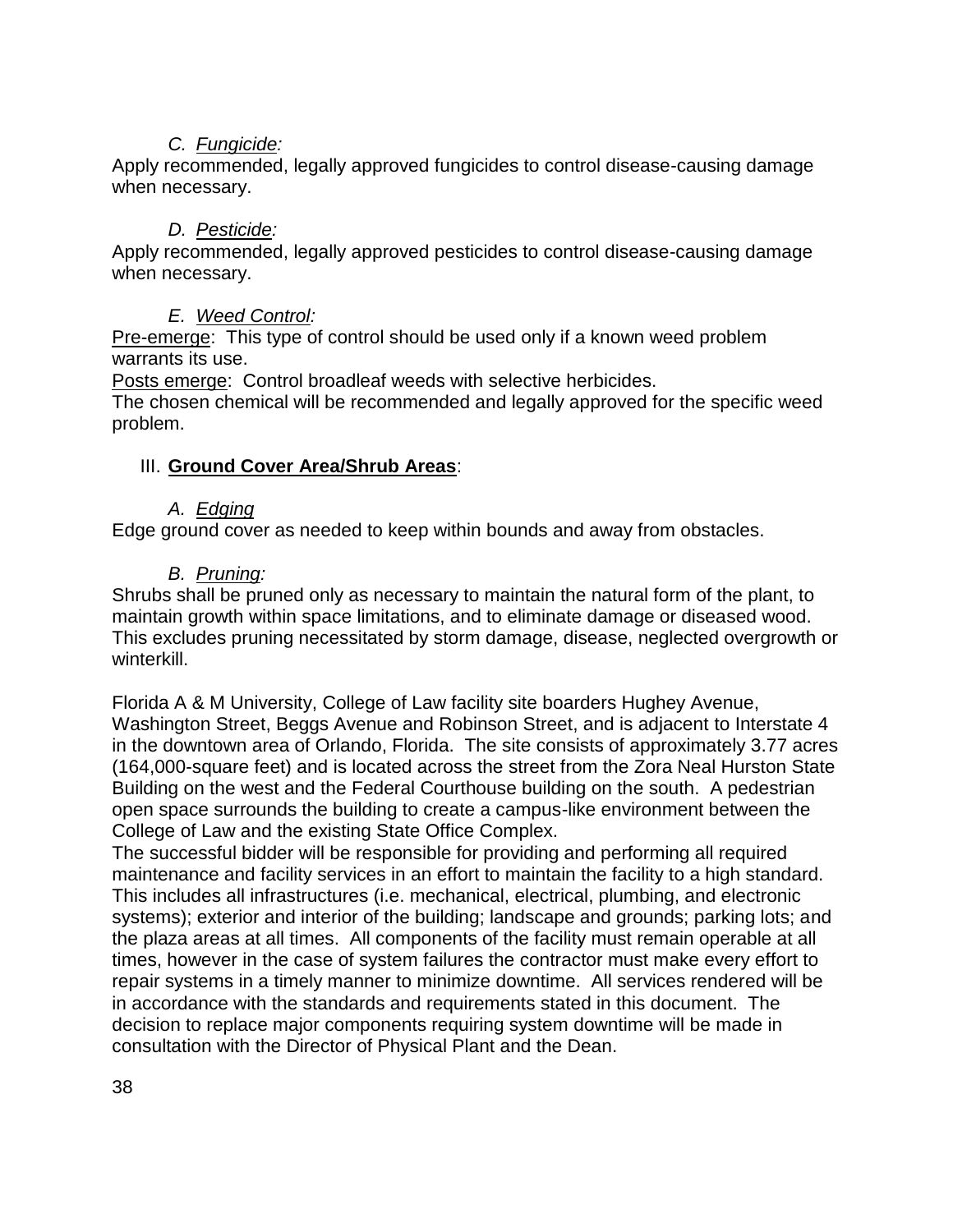## *C. Fungicide:*

Apply recommended, legally approved fungicides to control disease-causing damage when necessary.

### *D. Pesticide:*

Apply recommended, legally approved pesticides to control disease-causing damage when necessary.

## *E. Weed Control:*

Pre-emerge: This type of control should be used only if a known weed problem warrants its use.

Posts emerge: Control broadleaf weeds with selective herbicides.

The chosen chemical will be recommended and legally approved for the specific weed problem.

## III. **Ground Cover Area/Shrub Areas**:

### *A. Edging*

Edge ground cover as needed to keep within bounds and away from obstacles.

## *B. Pruning:*

Shrubs shall be pruned only as necessary to maintain the natural form of the plant, to maintain growth within space limitations, and to eliminate damage or diseased wood. This excludes pruning necessitated by storm damage, disease, neglected overgrowth or winterkill.

Florida A & M University, College of Law facility site boarders Hughey Avenue, Washington Street, Beggs Avenue and Robinson Street, and is adjacent to Interstate 4 in the downtown area of Orlando, Florida. The site consists of approximately 3.77 acres (164,000-square feet) and is located across the street from the Zora Neal Hurston State Building on the west and the Federal Courthouse building on the south. A pedestrian open space surrounds the building to create a campus-like environment between the College of Law and the existing State Office Complex.

The successful bidder will be responsible for providing and performing all required maintenance and facility services in an effort to maintain the facility to a high standard. This includes all infrastructures (i.e. mechanical, electrical, plumbing, and electronic systems); exterior and interior of the building; landscape and grounds; parking lots; and the plaza areas at all times. All components of the facility must remain operable at all times, however in the case of system failures the contractor must make every effort to repair systems in a timely manner to minimize downtime. All services rendered will be in accordance with the standards and requirements stated in this document. The decision to replace major components requiring system downtime will be made in consultation with the Director of Physical Plant and the Dean.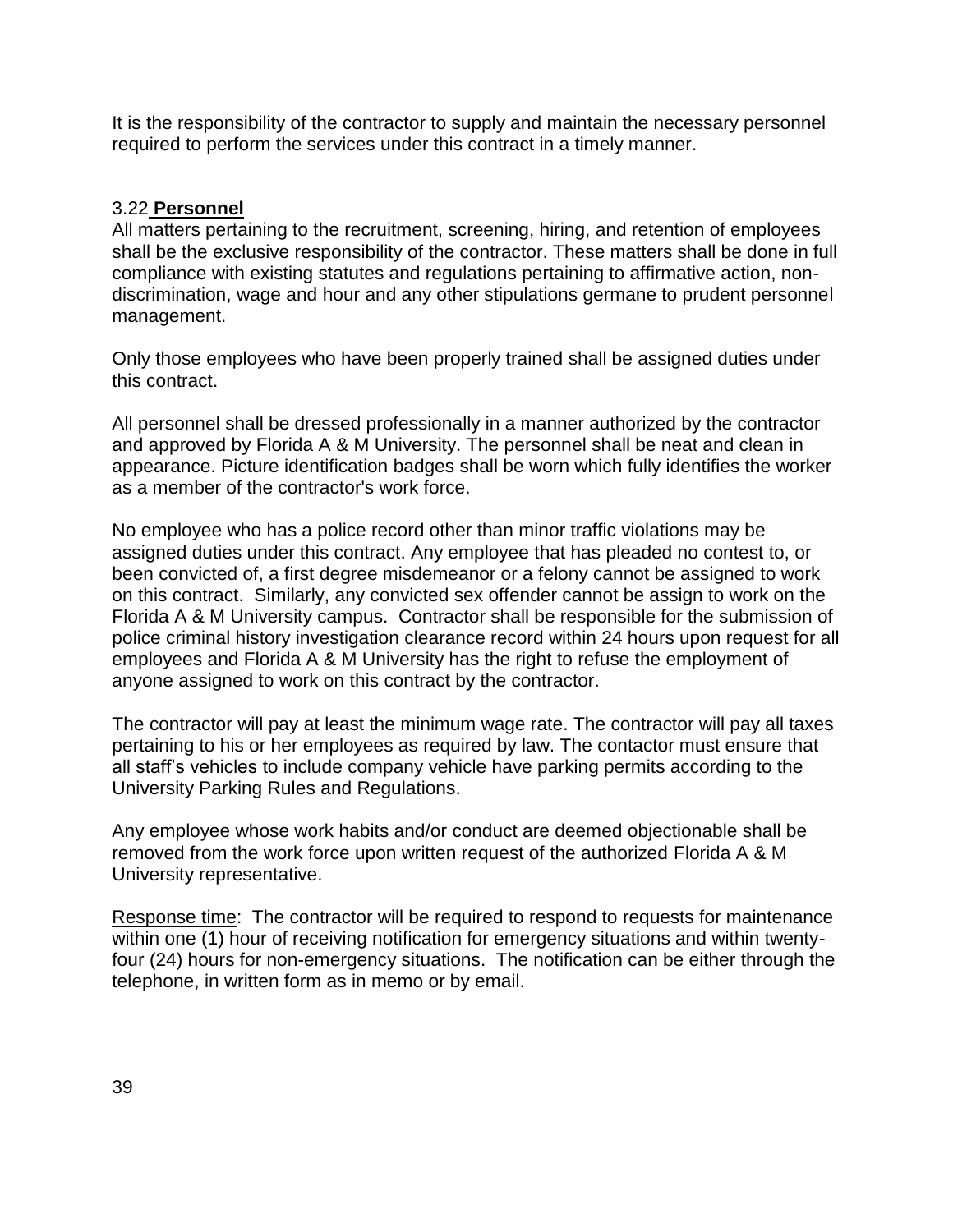It is the responsibility of the contractor to supply and maintain the necessary personnel required to perform the services under this contract in a timely manner.

### 3.22 **Personnel**

All matters pertaining to the recruitment, screening, hiring, and retention of employees shall be the exclusive responsibility of the contractor. These matters shall be done in full compliance with existing statutes and regulations pertaining to affirmative action, nondiscrimination, wage and hour and any other stipulations germane to prudent personnel management.

Only those employees who have been properly trained shall be assigned duties under this contract.

All personnel shall be dressed professionally in a manner authorized by the contractor and approved by Florida A & M University. The personnel shall be neat and clean in appearance. Picture identification badges shall be worn which fully identifies the worker as a member of the contractor's work force.

No employee who has a police record other than minor traffic violations may be assigned duties under this contract. Any employee that has pleaded no contest to, or been convicted of, a first degree misdemeanor or a felony cannot be assigned to work on this contract. Similarly, any convicted sex offender cannot be assign to work on the Florida A & M University campus. Contractor shall be responsible for the submission of police criminal history investigation clearance record within 24 hours upon request for all employees and Florida A & M University has the right to refuse the employment of anyone assigned to work on this contract by the contractor.

The contractor will pay at least the minimum wage rate. The contractor will pay all taxes pertaining to his or her employees as required by law. The contactor must ensure that all staff's vehicles to include company vehicle have parking permits according to the University Parking Rules and Regulations.

Any employee whose work habits and/or conduct are deemed objectionable shall be removed from the work force upon written request of the authorized Florida A & M University representative.

Response time: The contractor will be required to respond to requests for maintenance within one (1) hour of receiving notification for emergency situations and within twentyfour (24) hours for non-emergency situations. The notification can be either through the telephone, in written form as in memo or by email.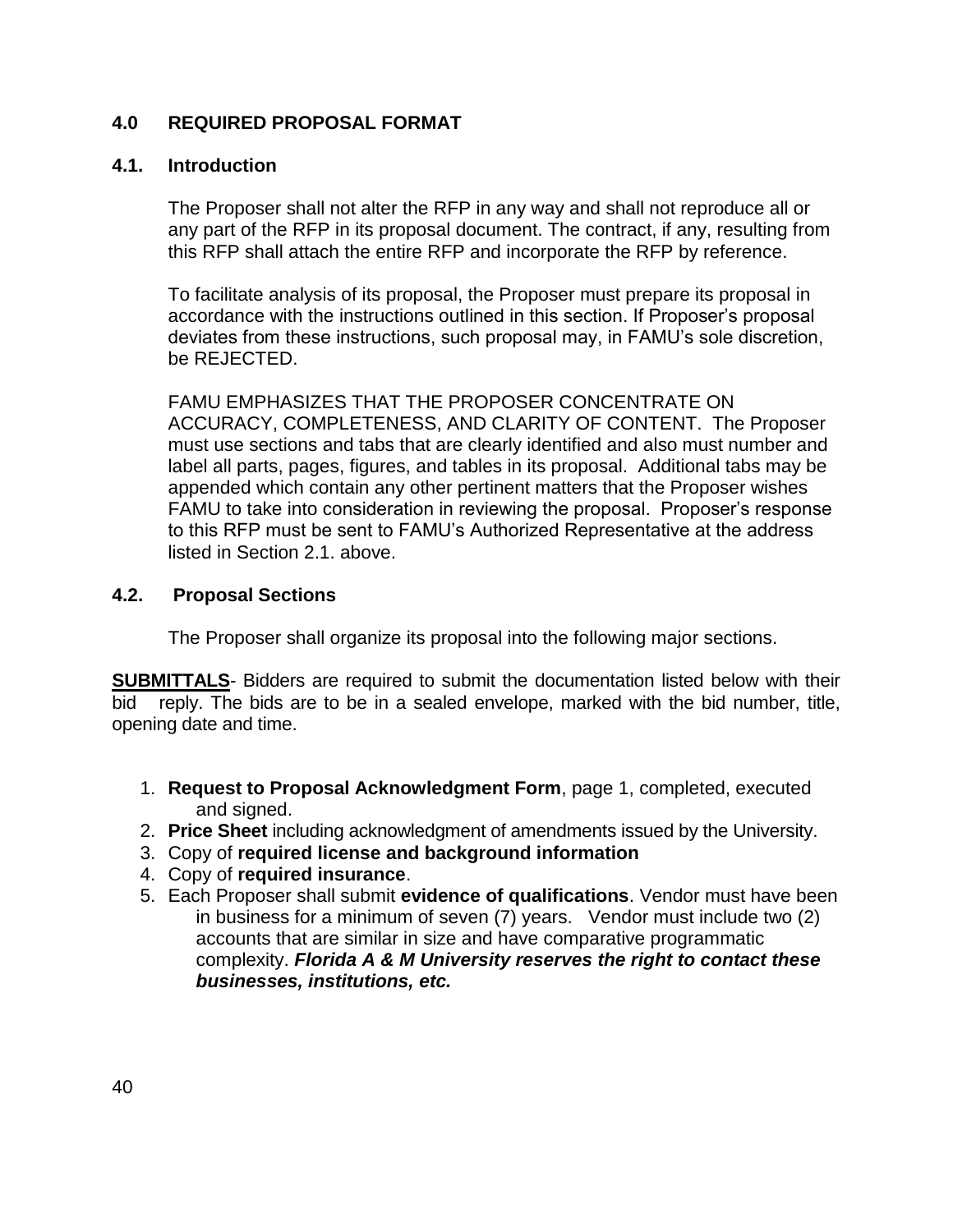### **4.0 REQUIRED PROPOSAL FORMAT**

### **4.1. Introduction**

The Proposer shall not alter the RFP in any way and shall not reproduce all or any part of the RFP in its proposal document. The contract, if any, resulting from this RFP shall attach the entire RFP and incorporate the RFP by reference.

To facilitate analysis of its proposal, the Proposer must prepare its proposal in accordance with the instructions outlined in this section. If Proposer's proposal deviates from these instructions, such proposal may, in FAMU's sole discretion, be REJECTED.

FAMU EMPHASIZES THAT THE PROPOSER CONCENTRATE ON ACCURACY, COMPLETENESS, AND CLARITY OF CONTENT. The Proposer must use sections and tabs that are clearly identified and also must number and label all parts, pages, figures, and tables in its proposal. Additional tabs may be appended which contain any other pertinent matters that the Proposer wishes FAMU to take into consideration in reviewing the proposal. Proposer's response to this RFP must be sent to FAMU's Authorized Representative at the address listed in Section 2.1. above.

#### **4.2. Proposal Sections**

The Proposer shall organize its proposal into the following major sections.

**SUBMITTALS**- Bidders are required to submit the documentation listed below with their bid reply. The bids are to be in a sealed envelope, marked with the bid number, title, opening date and time.

- 1. **Request to Proposal Acknowledgment Form**, page 1, completed, executed and signed.
- 2. **Price Sheet** including acknowledgment of amendments issued by the University.
- 3. Copy of **required license and background information**
- 4. Copy of **required insurance**.
- 5. Each Proposer shall submit **evidence of qualifications**. Vendor must have been in business for a minimum of seven (7) years. Vendor must include two (2) accounts that are similar in size and have comparative programmatic complexity. *Florida A & M University reserves the right to contact these businesses, institutions, etc.*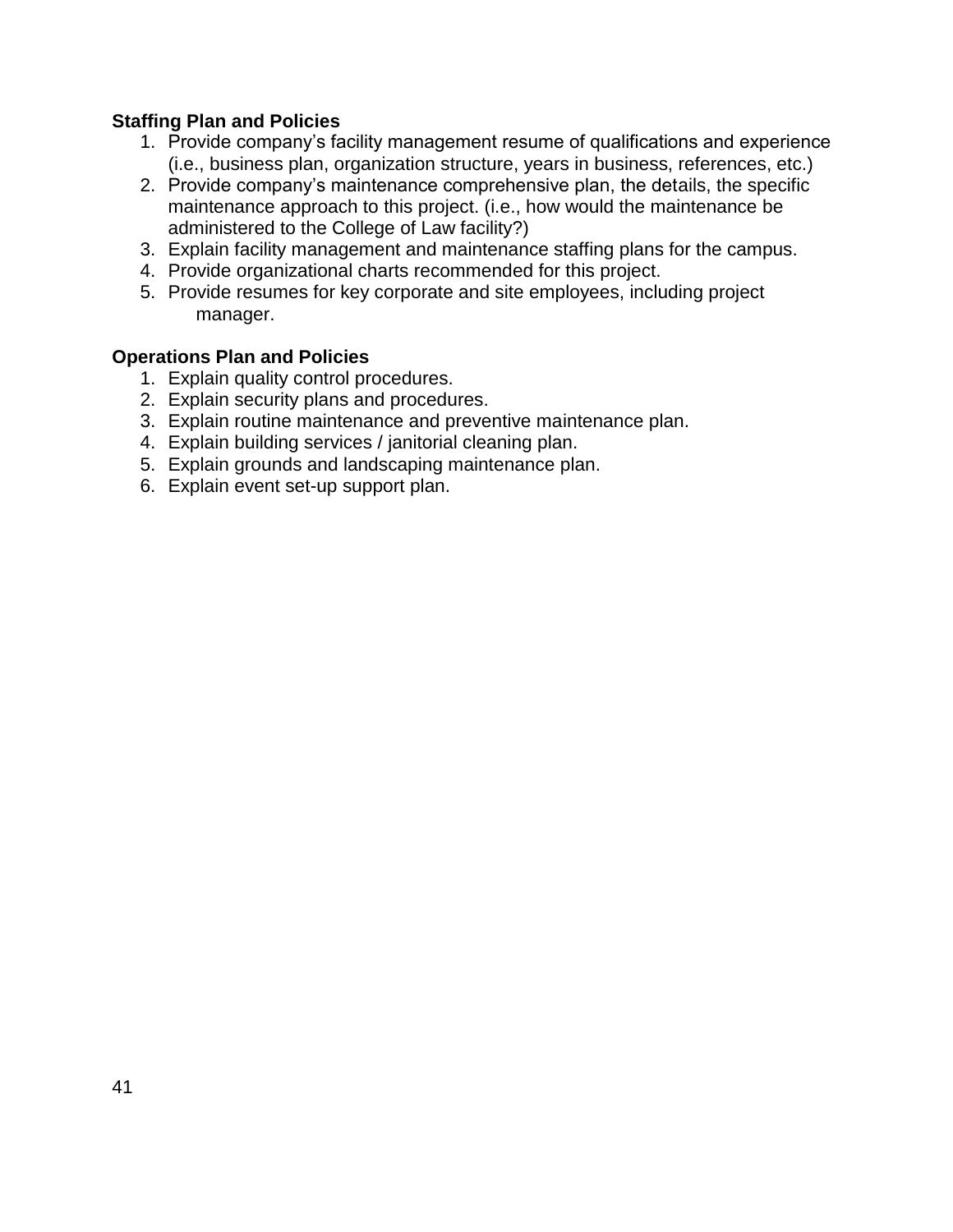### **Staffing Plan and Policies**

- 1. Provide company's facility management resume of qualifications and experience (i.e., business plan, organization structure, years in business, references, etc.)
- 2. Provide company's maintenance comprehensive plan, the details, the specific maintenance approach to this project. (i.e., how would the maintenance be administered to the College of Law facility?)
- 3. Explain facility management and maintenance staffing plans for the campus.
- 4. Provide organizational charts recommended for this project.
- 5. Provide resumes for key corporate and site employees, including project manager.

#### **Operations Plan and Policies**

- 1. Explain quality control procedures.
- 2. Explain security plans and procedures.
- 3. Explain routine maintenance and preventive maintenance plan.
- 4. Explain building services / janitorial cleaning plan.
- 5. Explain grounds and landscaping maintenance plan.
- 6. Explain event set-up support plan.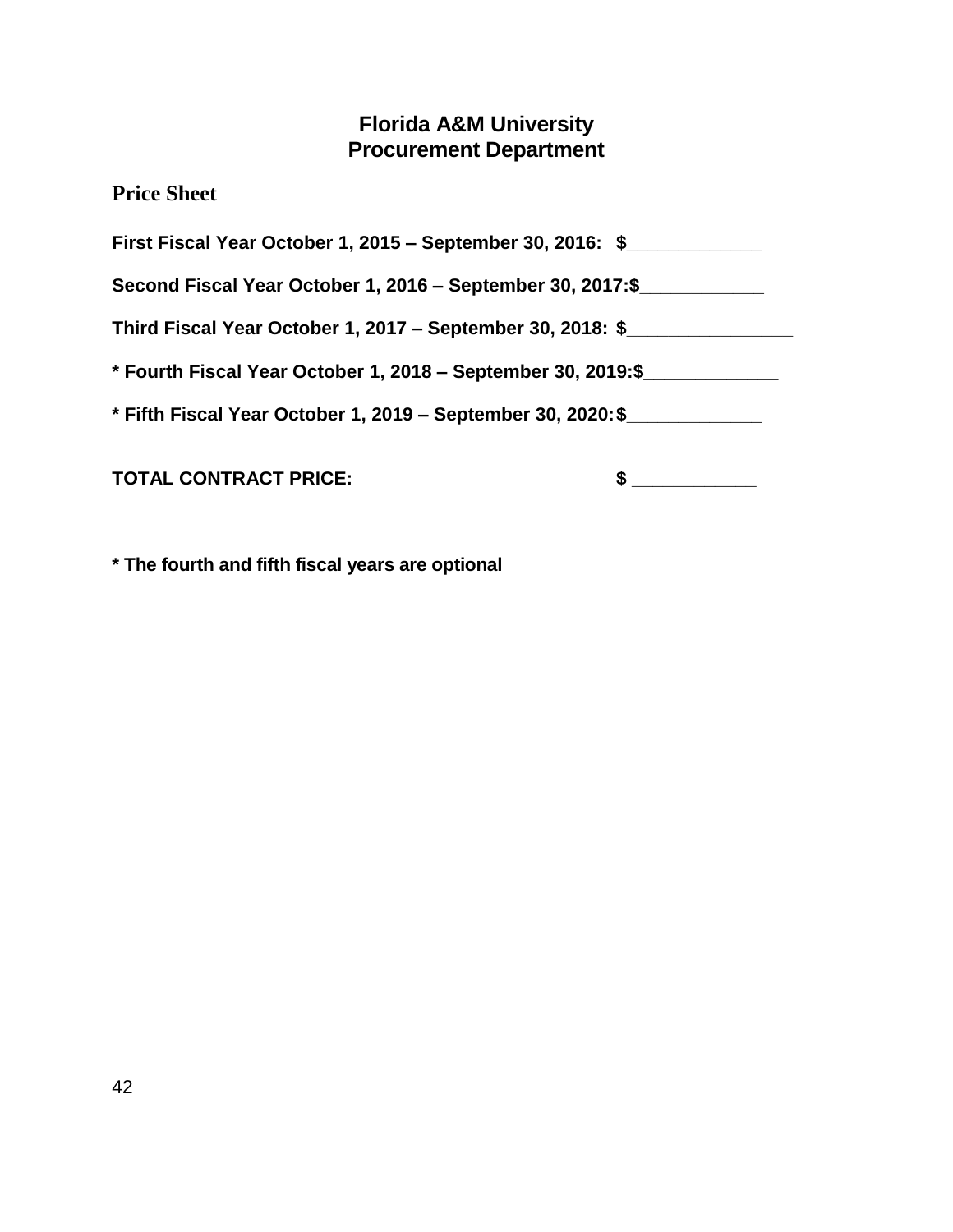# **Florida A&M University Procurement Department**

**Price Sheet**

| First Fiscal Year October 1, 2015 – September 30, 2016: \$   |  |
|--------------------------------------------------------------|--|
| Second Fiscal Year October 1, 2016 – September 30, 2017:\$   |  |
| Third Fiscal Year October 1, 2017 – September 30, 2018: \$   |  |
| * Fourth Fiscal Year October 1, 2018 – September 30, 2019:\$ |  |
| * Fifth Fiscal Year October 1, 2019 - September 30, 2020: \$ |  |
| <b>TOTAL CONTRACT PRICE:</b>                                 |  |

**\* The fourth and fifth fiscal years are optional**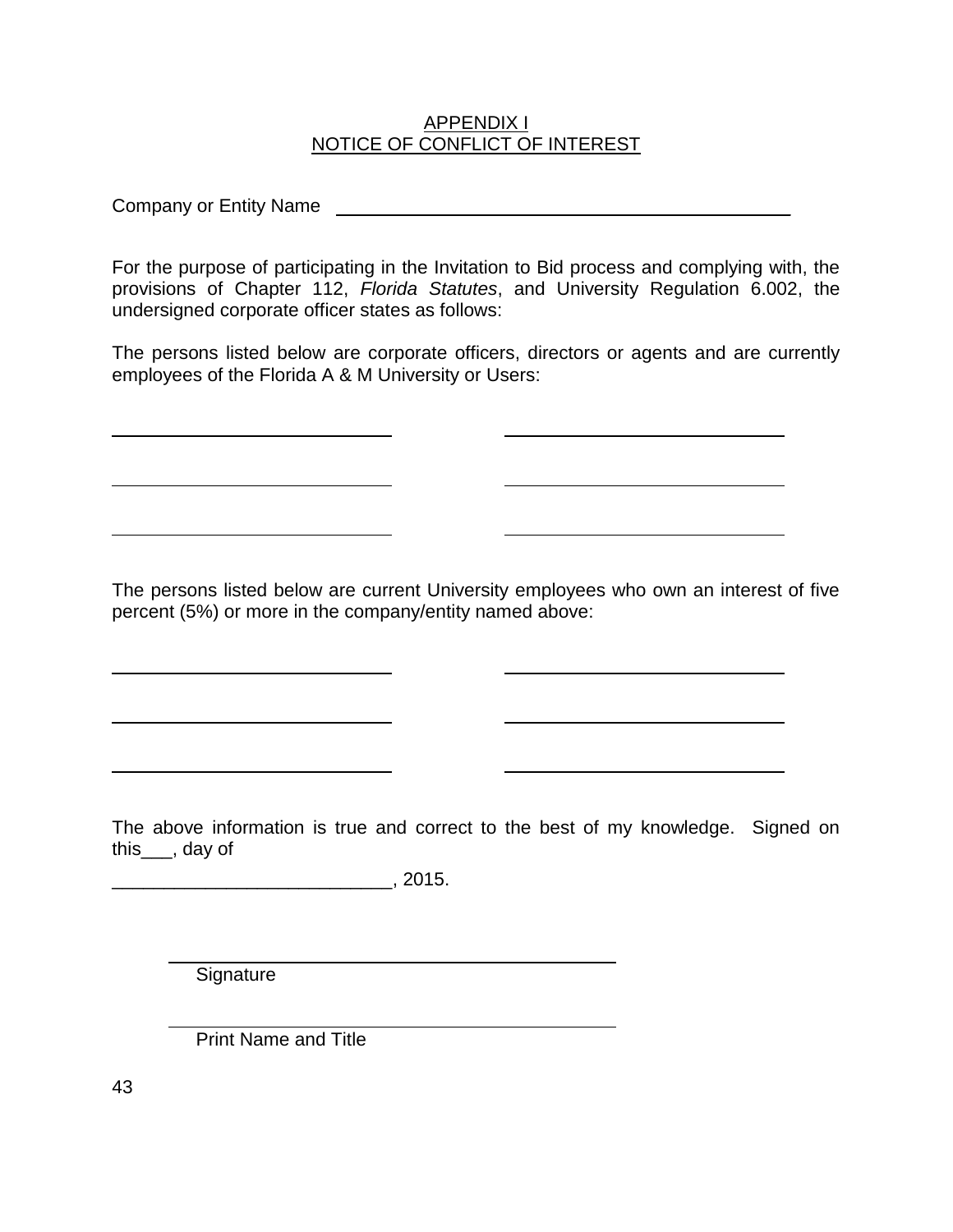#### APPENDIX I NOTICE OF CONFLICT OF INTEREST

Company or Entity Name **Law 2018 Company or Entity Name** 

For the purpose of participating in the Invitation to Bid process and complying with, the provisions of Chapter 112, *Florida Statutes*, and University Regulation 6.002, the undersigned corporate officer states as follows:

The persons listed below are corporate officers, directors or agents and are currently employees of the Florida A & M University or Users:

The persons listed below are current University employees who own an interest of five percent (5%) or more in the company/entity named above:

The above information is true and correct to the best of my knowledge. Signed on this\_\_\_, day of

\_\_\_\_\_\_\_\_\_\_\_\_\_\_\_\_\_\_\_\_\_\_\_\_\_\_\_, 2015.

**Signature** 

Print Name and Title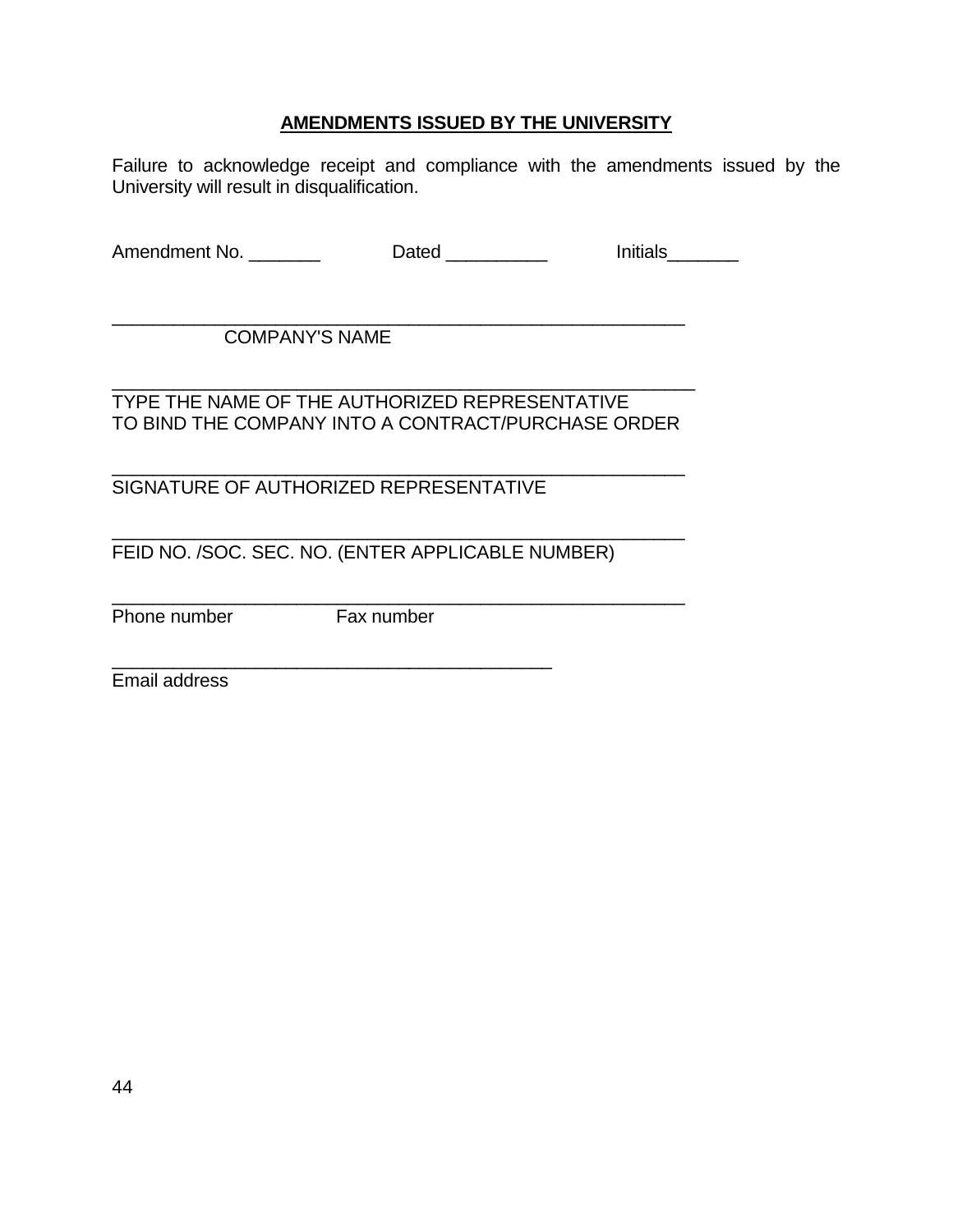### **AMENDMENTS ISSUED BY THE UNIVERSITY**

Failure to acknowledge receipt and compliance with the amendments issued by the University will result in disqualification.

Amendment No. \_\_\_\_\_\_\_\_\_ Dated \_\_\_\_\_\_\_\_\_ Initials\_\_\_\_\_\_\_

\_\_\_\_\_\_\_\_\_\_\_\_\_\_\_\_\_\_\_\_\_\_\_\_\_\_\_\_\_\_\_\_\_\_\_\_\_\_\_\_\_\_\_\_\_\_\_\_\_\_\_\_\_\_\_\_ COMPANY'S NAME

\_\_\_\_\_\_\_\_\_\_\_\_\_\_\_\_\_\_\_\_\_\_\_\_\_\_\_\_\_\_\_\_\_\_\_\_\_\_\_\_\_\_\_\_\_\_\_\_\_\_\_\_\_\_\_\_\_ TYPE THE NAME OF THE AUTHORIZED REPRESENTATIVE TO BIND THE COMPANY INTO A CONTRACT/PURCHASE ORDER

\_\_\_\_\_\_\_\_\_\_\_\_\_\_\_\_\_\_\_\_\_\_\_\_\_\_\_\_\_\_\_\_\_\_\_\_\_\_\_\_\_\_\_\_\_\_\_\_\_\_\_\_\_\_\_\_

SIGNATURE OF AUTHORIZED REPRESENTATIVE

\_\_\_\_\_\_\_\_\_\_\_\_\_\_\_\_\_\_\_\_\_\_\_\_\_\_\_\_\_\_\_\_\_\_\_\_\_\_\_\_\_\_\_

\_\_\_\_\_\_\_\_\_\_\_\_\_\_\_\_\_\_\_\_\_\_\_\_\_\_\_\_\_\_\_\_\_\_\_\_\_\_\_\_\_\_\_\_\_\_\_\_\_\_\_\_\_\_\_\_ FEID NO. /SOC. SEC. NO. (ENTER APPLICABLE NUMBER)

Phone number Fax number

\_\_\_\_\_\_\_\_\_\_\_\_\_\_\_\_\_\_\_\_\_\_\_\_\_\_\_\_\_\_\_\_\_\_\_\_\_\_\_\_\_\_\_\_\_\_\_\_\_\_\_\_\_\_\_\_

Email address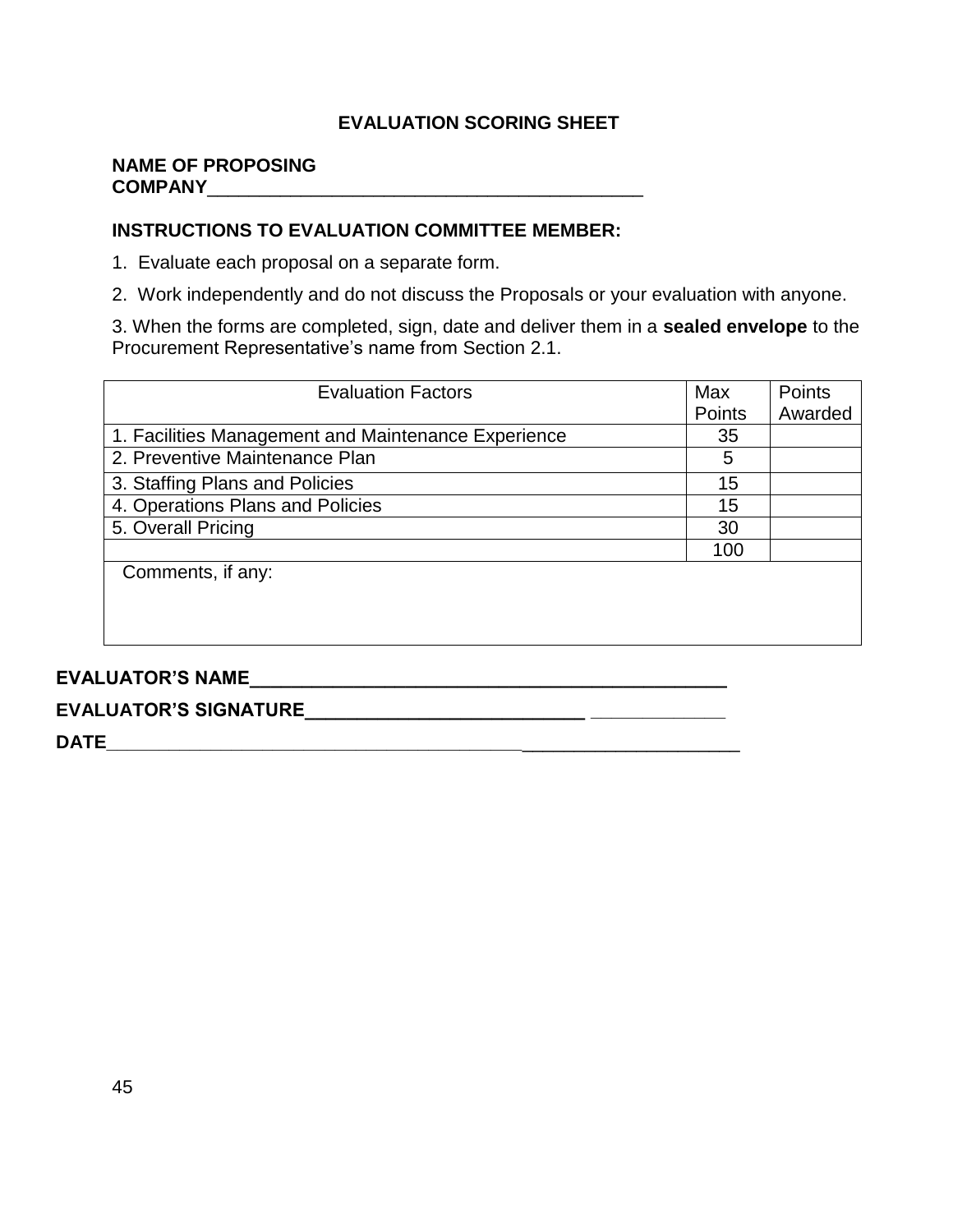### **EVALUATION SCORING SHEET**

#### **NAME OF PROPOSING COMPANY**\_\_\_\_\_\_\_\_\_\_\_\_\_\_\_\_\_\_\_\_\_\_\_\_\_\_\_\_\_\_\_\_\_\_\_\_\_\_\_\_\_\_

### **INSTRUCTIONS TO EVALUATION COMMITTEE MEMBER:**

1. Evaluate each proposal on a separate form.

2. Work independently and do not discuss the Proposals or your evaluation with anyone.

3. When the forms are completed, sign, date and deliver them in a **sealed envelope** to the Procurement Representative's name from Section 2.1.

| <b>Evaluation Factors</b>                           | Max    | Points  |
|-----------------------------------------------------|--------|---------|
|                                                     | Points | Awarded |
| 1. Facilities Management and Maintenance Experience | 35     |         |
| 2. Preventive Maintenance Plan                      | 5      |         |
| 3. Staffing Plans and Policies                      | 15     |         |
| 4. Operations Plans and Policies                    | 15     |         |
| 5. Overall Pricing                                  | 30     |         |
|                                                     | 100    |         |
| Comments, if any:                                   |        |         |
|                                                     |        |         |
|                                                     |        |         |
|                                                     |        |         |

## **EVALUATOR'S NAME\_\_\_\_\_\_\_\_\_\_\_\_\_\_\_\_\_\_\_\_\_\_\_\_\_\_\_\_\_\_\_\_\_\_\_\_\_\_\_\_\_\_\_\_\_\_**

# **EVALUATOR'S SIGNATURE\_\_\_\_\_\_\_\_\_\_\_\_\_\_\_\_\_\_\_\_\_\_\_\_\_\_\_ \_\_\_\_\_\_\_\_\_\_\_\_\_**

**DATE\_\_\_\_\_\_\_\_\_\_\_\_\_\_\_\_\_\_\_\_\_\_\_\_\_\_\_\_\_\_\_\_\_\_\_\_\_\_\_\_**\_\_\_\_\_\_\_\_\_\_\_\_\_\_\_\_\_\_\_\_\_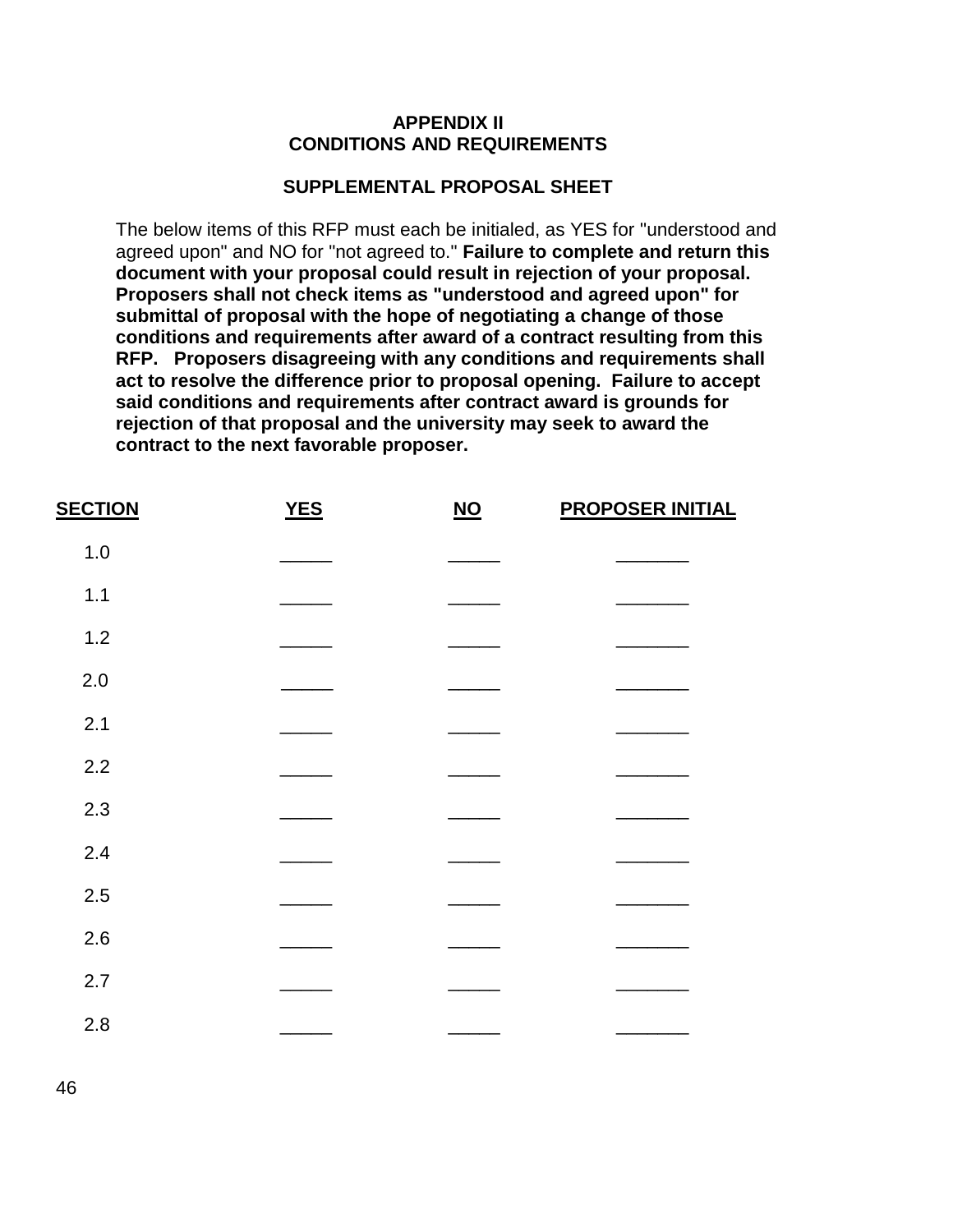#### **APPENDIX II CONDITIONS AND REQUIREMENTS**

#### **SUPPLEMENTAL PROPOSAL SHEET**

The below items of this RFP must each be initialed, as YES for "understood and agreed upon" and NO for "not agreed to." **Failure to complete and return this document with your proposal could result in rejection of your proposal. Proposers shall not check items as "understood and agreed upon" for submittal of proposal with the hope of negotiating a change of those conditions and requirements after award of a contract resulting from this RFP. Proposers disagreeing with any conditions and requirements shall act to resolve the difference prior to proposal opening. Failure to accept said conditions and requirements after contract award is grounds for rejection of that proposal and the university may seek to award the contract to the next favorable proposer.**

| <b>SECTION</b> | <b>YES</b> | $NO$ | <b>PROPOSER INITIAL</b> |
|----------------|------------|------|-------------------------|
| 1.0            |            |      |                         |
| 1.1            |            |      |                         |
| 1.2            |            |      |                         |
| 2.0            |            |      |                         |
| 2.1            |            |      |                         |
| 2.2            |            |      |                         |
| 2.3            |            |      |                         |
| 2.4            |            |      |                         |
| 2.5            |            |      |                         |
| 2.6            |            |      |                         |
| 2.7            |            |      |                         |
| 2.8            |            |      |                         |
|                |            |      |                         |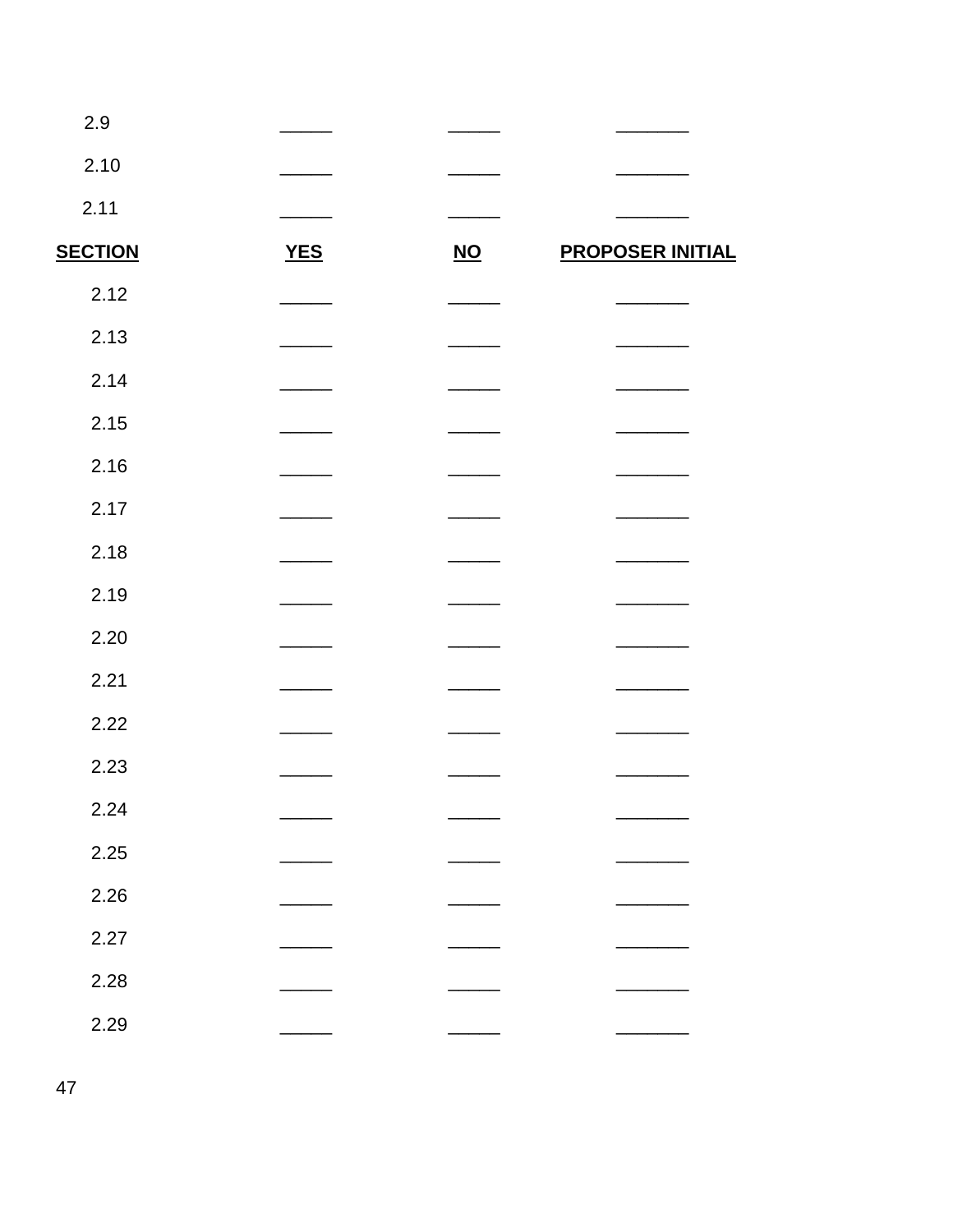| 2.9            |            |                           |                         |
|----------------|------------|---------------------------|-------------------------|
| 2.10           |            |                           |                         |
| 2.11           |            |                           |                         |
| <b>SECTION</b> | <b>YES</b> | $\underline{\mathsf{NO}}$ | <b>PROPOSER INITIAL</b> |
| 2.12           |            |                           |                         |
| 2.13           |            |                           |                         |
| 2.14           |            |                           |                         |
| 2.15           |            |                           |                         |
| 2.16           |            |                           |                         |
| 2.17           |            |                           |                         |
| 2.18           |            |                           |                         |
| 2.19           |            |                           |                         |
| 2.20           |            |                           |                         |
| 2.21           |            |                           |                         |
| 2.22           |            |                           |                         |
| 2.23           |            |                           |                         |
| 2.24           |            |                           |                         |
| 2.25           |            |                           |                         |
| 2.26           |            |                           |                         |
| 2.27           |            |                           |                         |
| 2.28           |            |                           |                         |
| 2.29           |            |                           |                         |
|                |            |                           |                         |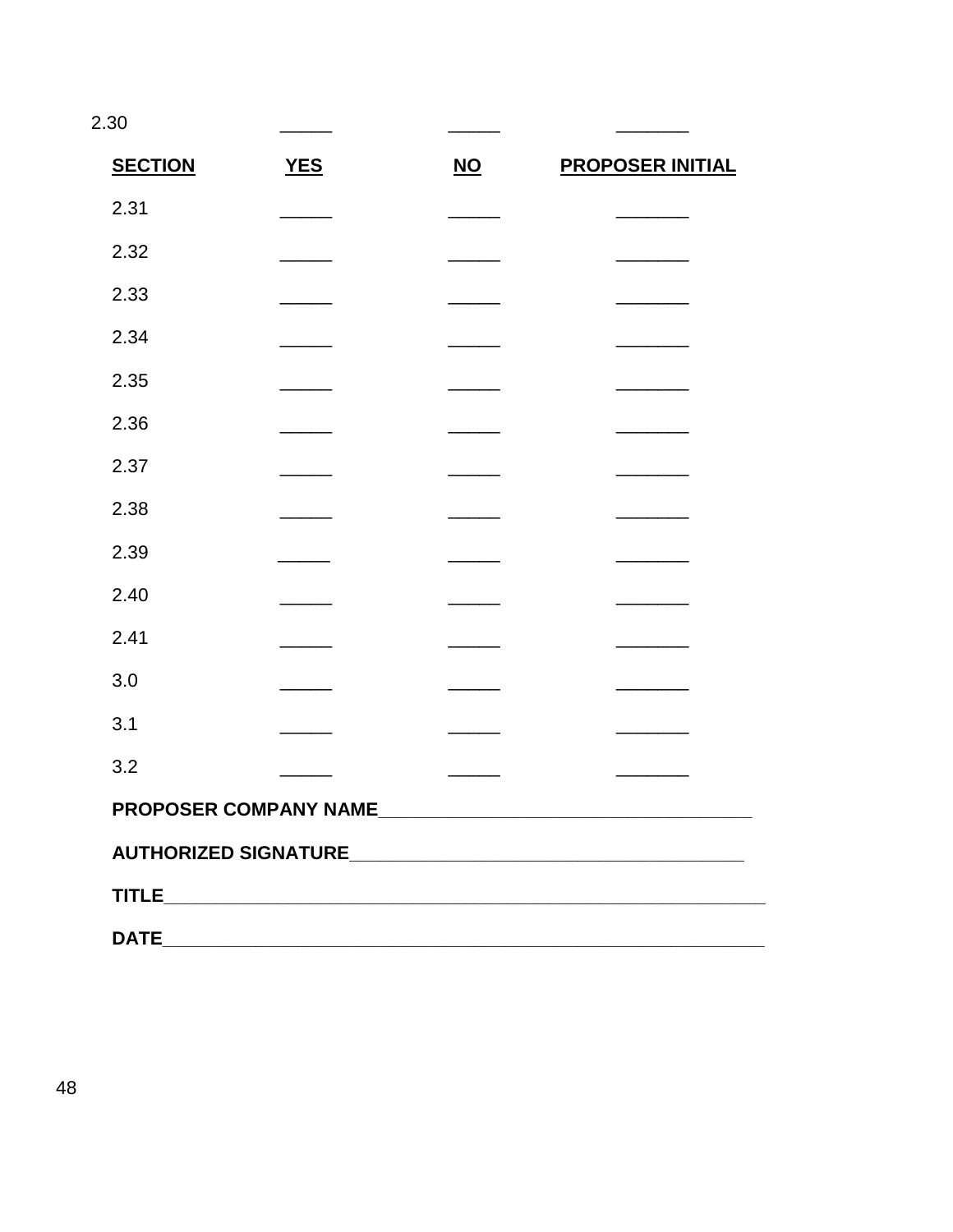2.30

| <b>SECTION</b> | <b>YES</b>                                                                                                           | $NO$                                                                                                                                                                                                                                                                                                                                                                                                                                                                       | <b>PROPOSER INITIAL</b> |
|----------------|----------------------------------------------------------------------------------------------------------------------|----------------------------------------------------------------------------------------------------------------------------------------------------------------------------------------------------------------------------------------------------------------------------------------------------------------------------------------------------------------------------------------------------------------------------------------------------------------------------|-------------------------|
| 2.31           |                                                                                                                      |                                                                                                                                                                                                                                                                                                                                                                                                                                                                            |                         |
| 2.32           |                                                                                                                      |                                                                                                                                                                                                                                                                                                                                                                                                                                                                            |                         |
| 2.33           |                                                                                                                      |                                                                                                                                                                                                                                                                                                                                                                                                                                                                            |                         |
| 2.34           |                                                                                                                      |                                                                                                                                                                                                                                                                                                                                                                                                                                                                            |                         |
| 2.35           |                                                                                                                      |                                                                                                                                                                                                                                                                                                                                                                                                                                                                            |                         |
| 2.36           |                                                                                                                      |                                                                                                                                                                                                                                                                                                                                                                                                                                                                            |                         |
| 2.37           |                                                                                                                      |                                                                                                                                                                                                                                                                                                                                                                                                                                                                            |                         |
| 2.38           |                                                                                                                      |                                                                                                                                                                                                                                                                                                                                                                                                                                                                            |                         |
| 2.39           |                                                                                                                      |                                                                                                                                                                                                                                                                                                                                                                                                                                                                            |                         |
| 2.40           |                                                                                                                      |                                                                                                                                                                                                                                                                                                                                                                                                                                                                            |                         |
| 2.41           |                                                                                                                      |                                                                                                                                                                                                                                                                                                                                                                                                                                                                            |                         |
| 3.0            |                                                                                                                      |                                                                                                                                                                                                                                                                                                                                                                                                                                                                            |                         |
| 3.1            |                                                                                                                      | $\overline{\phantom{a}}$ and $\overline{\phantom{a}}$                                                                                                                                                                                                                                                                                                                                                                                                                      |                         |
| 3.2            |                                                                                                                      | $\frac{1}{2} \left( \frac{1}{2} \right) \left( \frac{1}{2} \right) \left( \frac{1}{2} \right) \left( \frac{1}{2} \right) \left( \frac{1}{2} \right) \left( \frac{1}{2} \right) \left( \frac{1}{2} \right) \left( \frac{1}{2} \right) \left( \frac{1}{2} \right) \left( \frac{1}{2} \right) \left( \frac{1}{2} \right) \left( \frac{1}{2} \right) \left( \frac{1}{2} \right) \left( \frac{1}{2} \right) \left( \frac{1}{2} \right) \left( \frac{1}{2} \right) \left( \frac$ |                         |
|                |                                                                                                                      |                                                                                                                                                                                                                                                                                                                                                                                                                                                                            |                         |
|                |                                                                                                                      |                                                                                                                                                                                                                                                                                                                                                                                                                                                                            |                         |
|                |                                                                                                                      |                                                                                                                                                                                                                                                                                                                                                                                                                                                                            |                         |
| <b>DATE</b>    | <u> 1989 - Jan James James, martin amerikan basar dan berasal dalam pengaran basar dalam pengaran basar dalam pe</u> |                                                                                                                                                                                                                                                                                                                                                                                                                                                                            |                         |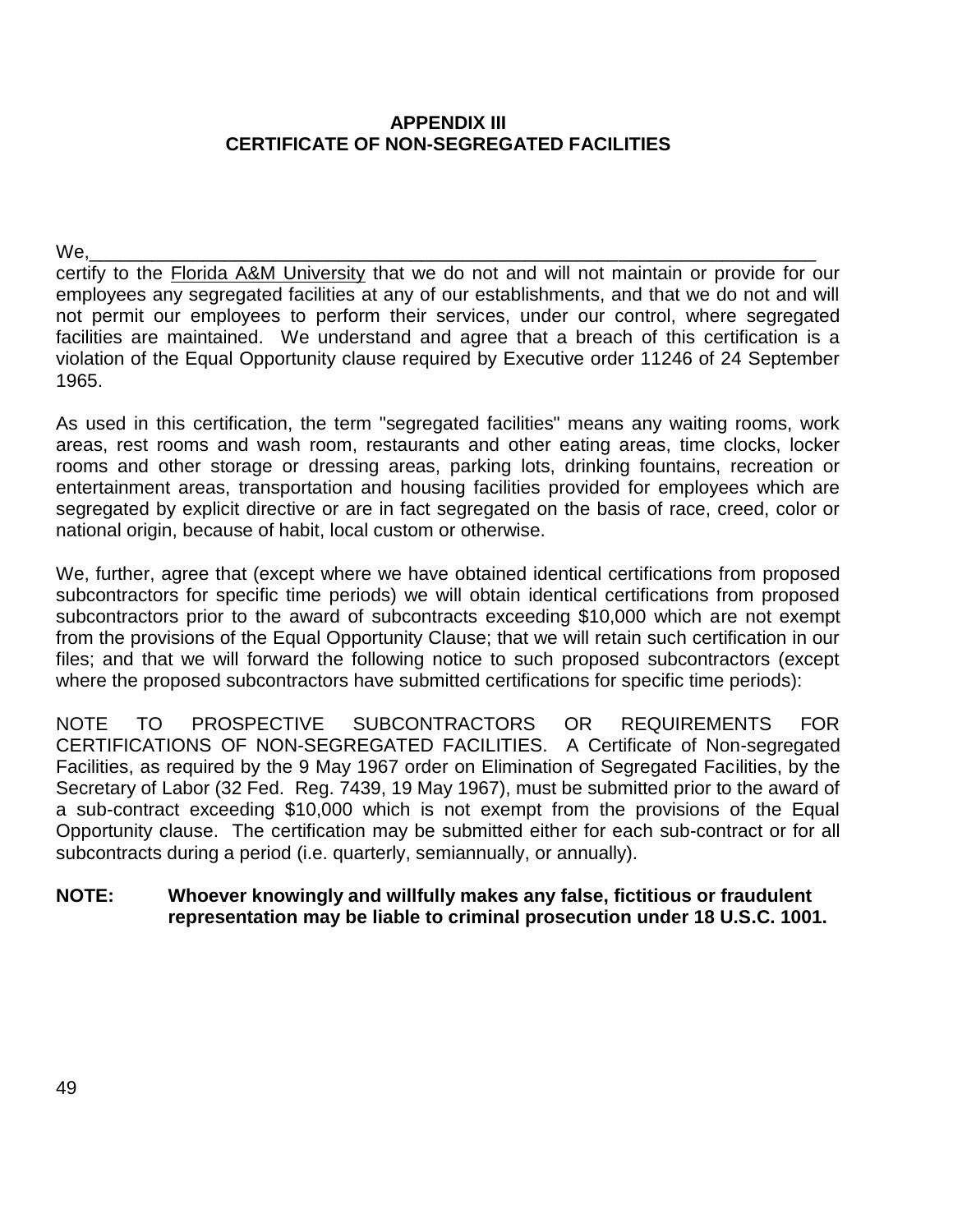### **APPENDIX III CERTIFICATE OF NON-SEGREGATED FACILITIES**

We,\_\_\_\_\_\_\_\_\_\_\_\_\_\_\_\_\_\_\_\_\_\_\_\_\_\_\_\_\_\_\_\_\_\_\_\_\_\_\_\_\_\_\_\_\_\_\_\_\_\_\_\_\_\_\_\_\_\_\_\_\_\_\_\_\_\_\_\_\_\_

certify to the **Florida A&M University** that we do not and will not maintain or provide for our employees any segregated facilities at any of our establishments, and that we do not and will not permit our employees to perform their services, under our control, where segregated facilities are maintained. We understand and agree that a breach of this certification is a violation of the Equal Opportunity clause required by Executive order 11246 of 24 September 1965.

As used in this certification, the term "segregated facilities" means any waiting rooms, work areas, rest rooms and wash room, restaurants and other eating areas, time clocks, locker rooms and other storage or dressing areas, parking lots, drinking fountains, recreation or entertainment areas, transportation and housing facilities provided for employees which are segregated by explicit directive or are in fact segregated on the basis of race, creed, color or national origin, because of habit, local custom or otherwise.

We, further, agree that (except where we have obtained identical certifications from proposed subcontractors for specific time periods) we will obtain identical certifications from proposed subcontractors prior to the award of subcontracts exceeding \$10,000 which are not exempt from the provisions of the Equal Opportunity Clause; that we will retain such certification in our files; and that we will forward the following notice to such proposed subcontractors (except where the proposed subcontractors have submitted certifications for specific time periods):

NOTE TO PROSPECTIVE SUBCONTRACTORS OR REQUIREMENTS FOR CERTIFICATIONS OF NON-SEGREGATED FACILITIES. A Certificate of Non-segregated Facilities, as required by the 9 May 1967 order on Elimination of Segregated Facilities, by the Secretary of Labor (32 Fed. Reg. 7439, 19 May 1967), must be submitted prior to the award of a sub-contract exceeding \$10,000 which is not exempt from the provisions of the Equal Opportunity clause. The certification may be submitted either for each sub-contract or for all subcontracts during a period (i.e. quarterly, semiannually, or annually).

### **NOTE: Whoever knowingly and willfully makes any false, fictitious or fraudulent representation may be liable to criminal prosecution under 18 U.S.C. 1001.**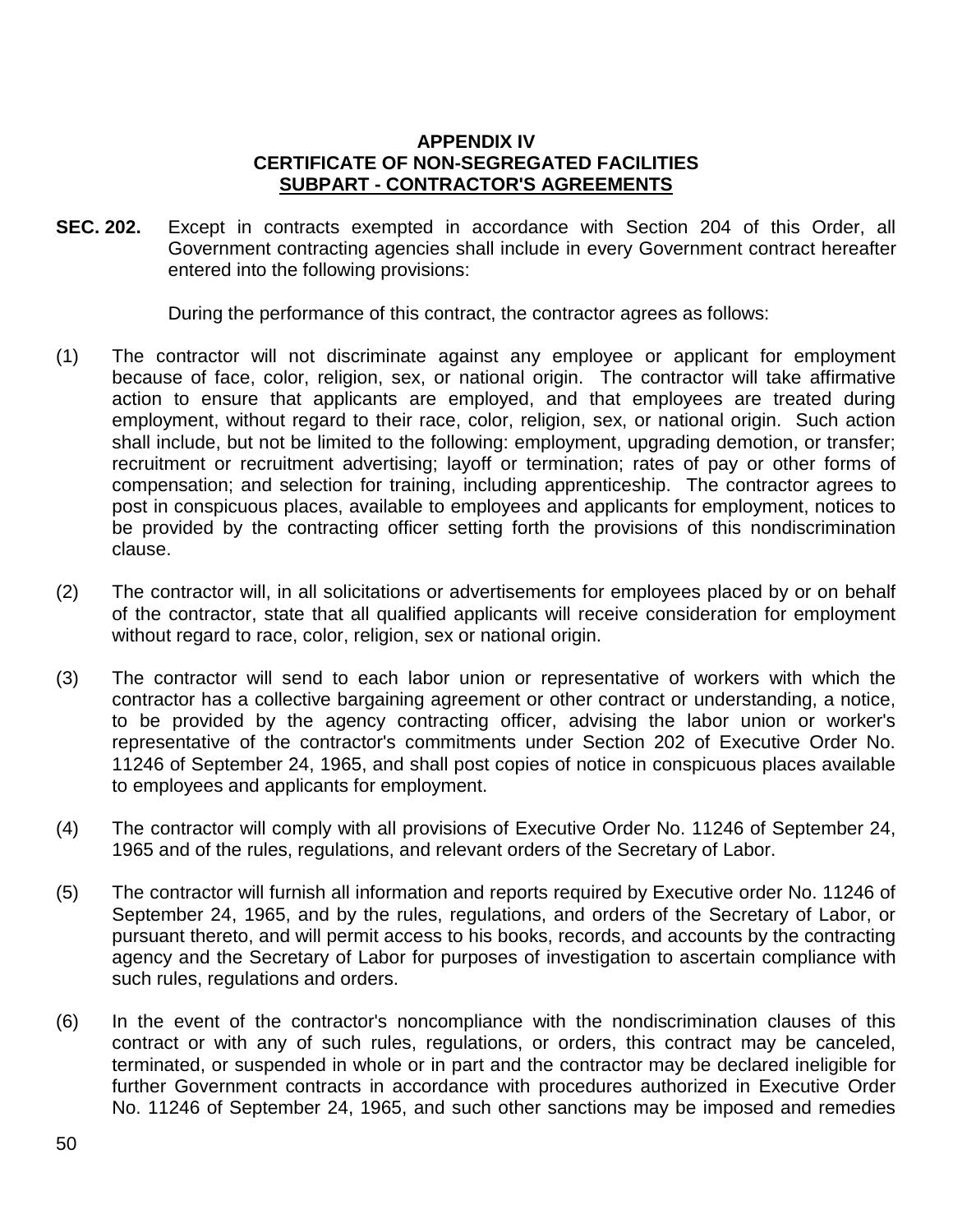### **APPENDIX IV CERTIFICATE OF NON-SEGREGATED FACILITIES SUBPART - CONTRACTOR'S AGREEMENTS**

**SEC. 202.** Except in contracts exempted in accordance with Section 204 of this Order, all Government contracting agencies shall include in every Government contract hereafter entered into the following provisions:

During the performance of this contract, the contractor agrees as follows:

- (1) The contractor will not discriminate against any employee or applicant for employment because of face, color, religion, sex, or national origin. The contractor will take affirmative action to ensure that applicants are employed, and that employees are treated during employment, without regard to their race, color, religion, sex, or national origin. Such action shall include, but not be limited to the following: employment, upgrading demotion, or transfer; recruitment or recruitment advertising; layoff or termination; rates of pay or other forms of compensation; and selection for training, including apprenticeship. The contractor agrees to post in conspicuous places, available to employees and applicants for employment, notices to be provided by the contracting officer setting forth the provisions of this nondiscrimination clause.
- (2) The contractor will, in all solicitations or advertisements for employees placed by or on behalf of the contractor, state that all qualified applicants will receive consideration for employment without regard to race, color, religion, sex or national origin.
- (3) The contractor will send to each labor union or representative of workers with which the contractor has a collective bargaining agreement or other contract or understanding, a notice, to be provided by the agency contracting officer, advising the labor union or worker's representative of the contractor's commitments under Section 202 of Executive Order No. 11246 of September 24, 1965, and shall post copies of notice in conspicuous places available to employees and applicants for employment.
- (4) The contractor will comply with all provisions of Executive Order No. 11246 of September 24, 1965 and of the rules, regulations, and relevant orders of the Secretary of Labor.
- (5) The contractor will furnish all information and reports required by Executive order No. 11246 of September 24, 1965, and by the rules, regulations, and orders of the Secretary of Labor, or pursuant thereto, and will permit access to his books, records, and accounts by the contracting agency and the Secretary of Labor for purposes of investigation to ascertain compliance with such rules, regulations and orders.
- (6) In the event of the contractor's noncompliance with the nondiscrimination clauses of this contract or with any of such rules, regulations, or orders, this contract may be canceled, terminated, or suspended in whole or in part and the contractor may be declared ineligible for further Government contracts in accordance with procedures authorized in Executive Order No. 11246 of September 24, 1965, and such other sanctions may be imposed and remedies